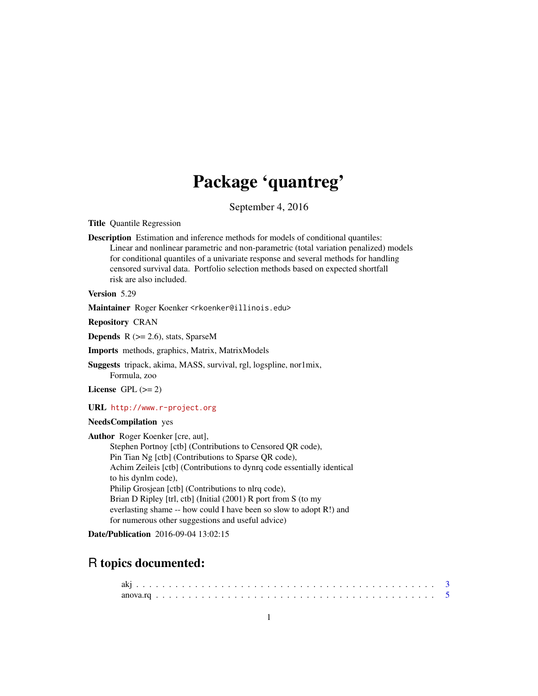# Package 'quantreg'

September 4, 2016

<span id="page-0-0"></span>Title Quantile Regression

Description Estimation and inference methods for models of conditional quantiles: Linear and nonlinear parametric and non-parametric (total variation penalized) models for conditional quantiles of a univariate response and several methods for handling censored survival data. Portfolio selection methods based on expected shortfall risk are also included.

Version 5.29

Maintainer Roger Koenker <rkoenker@illinois.edu>

Repository CRAN

**Depends**  $R$  ( $>= 2.6$ ), stats, SparseM

Imports methods, graphics, Matrix, MatrixModels

Suggests tripack, akima, MASS, survival, rgl, logspline, nor1mix, Formula, zoo

License GPL  $(>= 2)$ 

URL <http://www.r-project.org>

## NeedsCompilation yes

Author Roger Koenker [cre, aut], Stephen Portnoy [ctb] (Contributions to Censored QR code), Pin Tian Ng [ctb] (Contributions to Sparse QR code), Achim Zeileis [ctb] (Contributions to dynrq code essentially identical to his dynlm code), Philip Grosjean [ctb] (Contributions to nlrq code), Brian D Ripley [trl, ctb] (Initial (2001) R port from S (to my everlasting shame -- how could I have been so slow to adopt R!) and for numerous other suggestions and useful advice)

Date/Publication 2016-09-04 13:02:15

# R topics documented: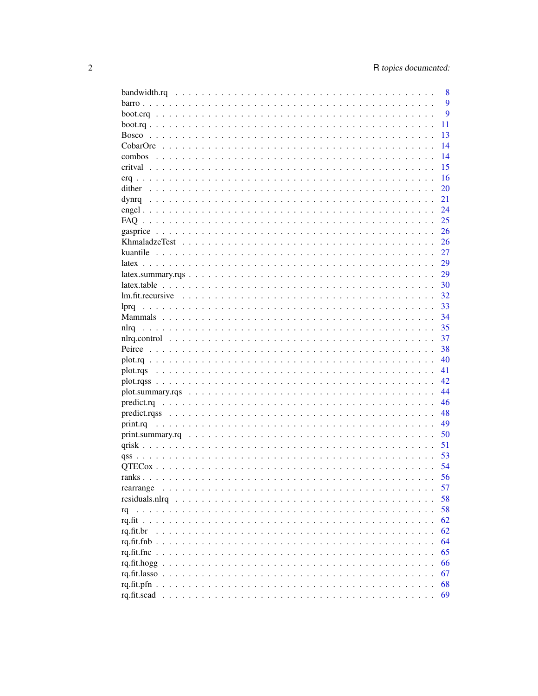|                                                                                                                          | 8  |
|--------------------------------------------------------------------------------------------------------------------------|----|
|                                                                                                                          | 9  |
|                                                                                                                          | 9  |
|                                                                                                                          | 11 |
|                                                                                                                          | 13 |
|                                                                                                                          | 14 |
|                                                                                                                          | 14 |
|                                                                                                                          | 15 |
|                                                                                                                          | 16 |
| dither                                                                                                                   | 20 |
|                                                                                                                          | 21 |
|                                                                                                                          | 24 |
|                                                                                                                          | 25 |
|                                                                                                                          | 26 |
|                                                                                                                          |    |
|                                                                                                                          | 26 |
| kuantile                                                                                                                 | 27 |
|                                                                                                                          | 29 |
|                                                                                                                          | 29 |
|                                                                                                                          | 30 |
| $lm.fit. recursive                   $                                                                                   | 32 |
| lpra                                                                                                                     | 33 |
|                                                                                                                          | 34 |
| nlrq                                                                                                                     | 35 |
|                                                                                                                          | 37 |
|                                                                                                                          | 38 |
|                                                                                                                          | 40 |
|                                                                                                                          | 41 |
|                                                                                                                          | 42 |
|                                                                                                                          | 44 |
| $predict.rq \dots \dots \dots \dots \dots \dots \dots \dots \dots \dots \dots \dots \dots \dots \dots \dots \dots \dots$ | 46 |
|                                                                                                                          | 48 |
|                                                                                                                          | 49 |
|                                                                                                                          | 50 |
|                                                                                                                          | 51 |
|                                                                                                                          | 53 |
|                                                                                                                          | 54 |
|                                                                                                                          | 56 |
|                                                                                                                          |    |
| rearrange                                                                                                                | 57 |
|                                                                                                                          | 58 |
| rq                                                                                                                       | 58 |
|                                                                                                                          | 62 |
| rq.fit.br                                                                                                                | 62 |
| rq.fit.fnb                                                                                                               | 64 |
| ra.f.t.fnc.                                                                                                              | 65 |
| rq.fit.hogg.                                                                                                             | 66 |
| rq.fit.lasso.                                                                                                            | 67 |
| rq.fit.pfn.                                                                                                              | 68 |
|                                                                                                                          | 69 |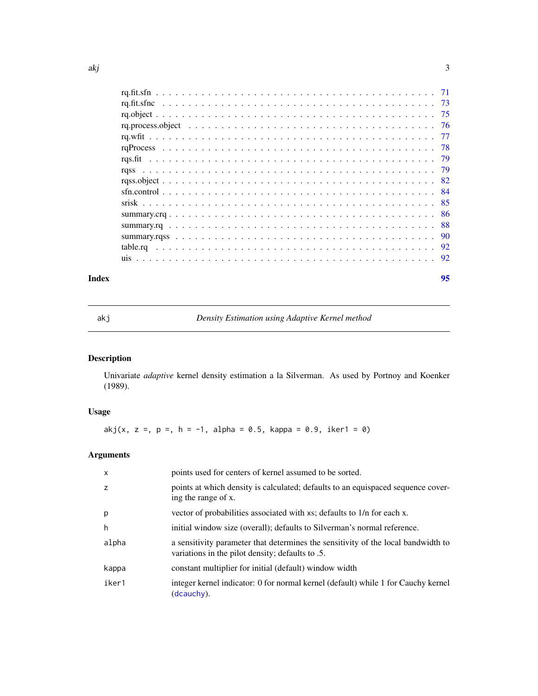<span id="page-2-0"></span>

| -84 |
|-----|
|     |
|     |
|     |
|     |
|     |
|     |
|     |

## **Index** [95](#page-94-0)

akj *Density Estimation using Adaptive Kernel method*

# Description

Univariate *adaptive* kernel density estimation a la Silverman. As used by Portnoy and Koenker (1989).

# Usage

akj(x, z =, p =, h = -1, alpha = 0.5, kappa = 0.9, iker1 = 0)

| $\mathsf{x}$ | points used for centers of kernel assumed to be sorted.                                                                               |
|--------------|---------------------------------------------------------------------------------------------------------------------------------------|
| z            | points at which density is calculated; defaults to an equispaced sequence cover-<br>ing the range of x.                               |
| p            | vector of probabilities associated with xs; defaults to 1/n for each x.                                                               |
| h            | initial window size (overall); defaults to Silverman's normal reference.                                                              |
| alpha        | a sensitivity parameter that determines the sensitivity of the local bandwidth to<br>variations in the pilot density; defaults to .5. |
| kappa        | constant multiplier for initial (default) window width                                                                                |
| iker1        | integer kernel indicator: 0 for normal kernel (default) while 1 for Cauchy kernel<br>(dcauchy).                                       |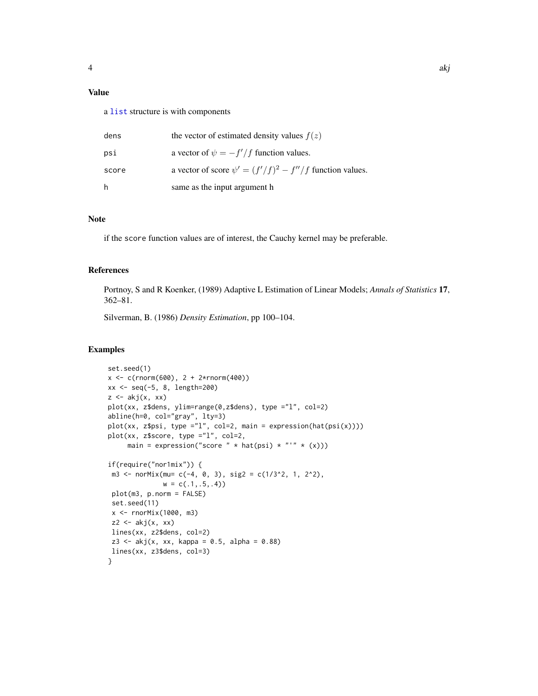# Value

a [list](#page-0-0) structure is with components

| dens  | the vector of estimated density values $f(z)$                 |
|-------|---------------------------------------------------------------|
| psi   | a vector of $\psi = -f'/f$ function values.                   |
| score | a vector of score $\psi' = (f'/f)^2 - f''/f$ function values. |
| h     | same as the input argument h                                  |

# Note

if the score function values are of interest, the Cauchy kernel may be preferable.

# References

Portnoy, S and R Koenker, (1989) Adaptive L Estimation of Linear Models; *Annals of Statistics* 17, 362–81.

Silverman, B. (1986) *Density Estimation*, pp 100–104.

## Examples

```
set.seed(1)
x < -c(rnorm(600), 2 + 2*rnorm(400))
xx <- seq(-5, 8, length=200)
z \leftarrow akj(x, xx)plot(xx, z$dens, ylim=range(0,z$dens), type ="l", col=2)
abline(h=0, col="gray", lty=3)
plot(xx, z$psi, type ="l", col=2, main = expression(hat(psi(x))))
plot(xx, z$score, type ="l", col=2,
     main = expression("score " * hat(psi) * "'" * (x)))
if(require("nor1mix")) {
m3 <- norMix(mu= c(-4, 0, 3), sig2 = c(1/3^2, 1, 2^2),
              w = c(.1, .5, .4)plot(m3, p.norm = FALSE)
 set.seed(11)
 x <- rnorMix(1000, m3)
 z^2 \leftarrow akj(x, xx)lines(xx, z2$dens, col=2)
 z3 \leq a kj(x, xx, kappa = 0.5, alpha = 0.88)lines(xx, z3$dens, col=3)
}
```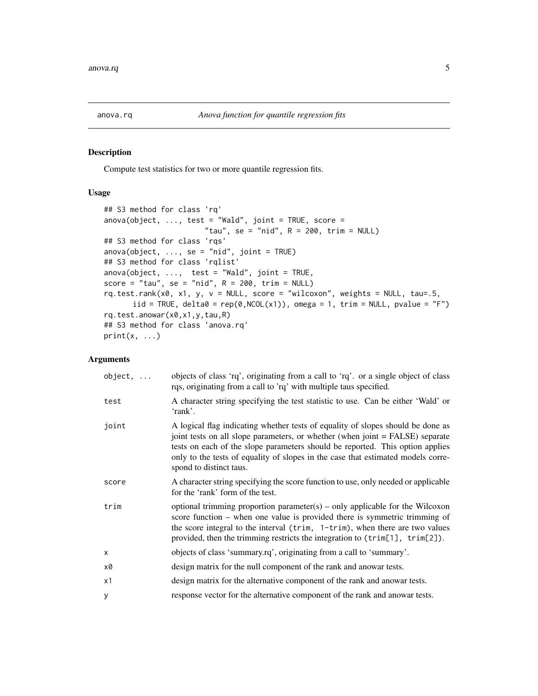<span id="page-4-0"></span>

#### <span id="page-4-1"></span>Description

Compute test statistics for two or more quantile regression fits.

# Usage

```
## S3 method for class 'rq'
anova(object, \ldots, test = "Wald", joint = TRUE, score =
                       "tau", se = "nid", R = 200, trim = NULL)
## S3 method for class 'rqs'
anova(object, \ldots, se = "nid", joint = TRUE)
## S3 method for class 'rqlist'
anova(object, ..., test = "Wald", joint = TRUE,score = "tau", se = "nid", R = 200, trim = NULL)
rq.test.random x0, x1, y, v = NULL, score = "wilcoxon", weights = NULL, tau=.5,
      iid = TRUE, delta0 = rep(0, NCOL(x1)), omega = 1, trim = NULL, pvalue = "F")
rq.test.anowar(x0,x1,y,tau,R)
## S3 method for class 'anova.rq'
print(x, \ldots)
```

| $object, \ldots$ | objects of class 'rq', originating from a call to 'rq'. or a single object of class<br>rqs, originating from a call to 'rq' with multiple taus specified.                                                                                                                                                                                                        |
|------------------|------------------------------------------------------------------------------------------------------------------------------------------------------------------------------------------------------------------------------------------------------------------------------------------------------------------------------------------------------------------|
| test             | A character string specifying the test statistic to use. Can be either 'Wald' or<br>'rank'.                                                                                                                                                                                                                                                                      |
| joint            | A logical flag indicating whether tests of equality of slopes should be done as<br>joint tests on all slope parameters, or whether (when joint = FALSE) separate<br>tests on each of the slope parameters should be reported. This option applies<br>only to the tests of equality of slopes in the case that estimated models corre-<br>spond to distinct taus. |
| score            | A character string specifying the score function to use, only needed or applicable<br>for the 'rank' form of the test.                                                                                                                                                                                                                                           |
| trim             | optional trimming proportion parameter(s) – only applicable for the Wilcoxon<br>score function – when one value is provided there is symmetric trimming of<br>the score integral to the interval (trim, 1-trim), when there are two values<br>provided, then the trimming restricts the integration to (trim[1], trim[2]).                                       |
| X                | objects of class 'summary.rq', originating from a call to 'summary'.                                                                                                                                                                                                                                                                                             |
| x0               | design matrix for the null component of the rank and anowar tests.                                                                                                                                                                                                                                                                                               |
| x1               | design matrix for the alternative component of the rank and anowar tests.                                                                                                                                                                                                                                                                                        |
| y                | response vector for the alternative component of the rank and anowar tests.                                                                                                                                                                                                                                                                                      |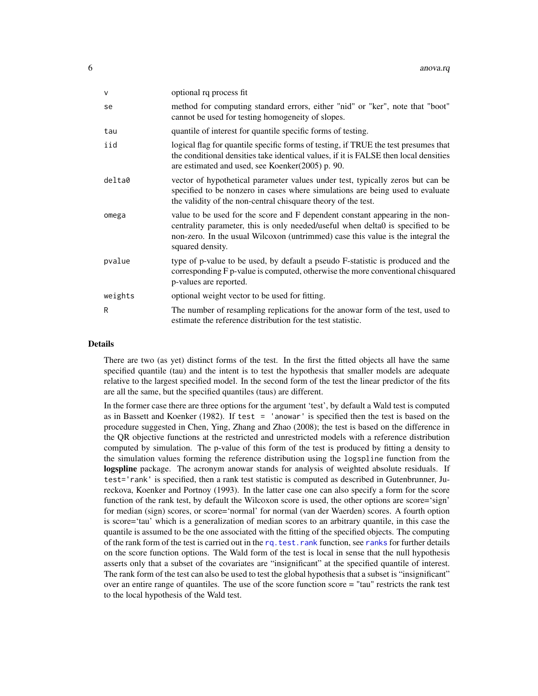| $\vee$  | optional rq process fit                                                                                                                                                                                                                                                 |
|---------|-------------------------------------------------------------------------------------------------------------------------------------------------------------------------------------------------------------------------------------------------------------------------|
| se      | method for computing standard errors, either "nid" or "ker", note that "boot"<br>cannot be used for testing homogeneity of slopes.                                                                                                                                      |
| tau     | quantile of interest for quantile specific forms of testing.                                                                                                                                                                                                            |
| iid     | logical flag for quantile specific forms of testing, if TRUE the test presumes that<br>the conditional densities take identical values, if it is FALSE then local densities<br>are estimated and used, see Koenker(2005) p. 90.                                         |
| delta0  | vector of hypothetical parameter values under test, typically zeros but can be<br>specified to be nonzero in cases where simulations are being used to evaluate<br>the validity of the non-central chisquare theory of the test.                                        |
| omega   | value to be used for the score and F dependent constant appearing in the non-<br>centrality parameter, this is only needed/useful when delta0 is specified to be<br>non-zero. In the usual Wilcoxon (untrimmed) case this value is the integral the<br>squared density. |
| pvalue  | type of p-value to be used, by default a pseudo F-statistic is produced and the<br>corresponding F p-value is computed, otherwise the more conventional chisquared<br>p-values are reported.                                                                            |
| weights | optional weight vector to be used for fitting.                                                                                                                                                                                                                          |
| R       | The number of resampling replications for the anowar form of the test, used to<br>estimate the reference distribution for the test statistic.                                                                                                                           |
|         |                                                                                                                                                                                                                                                                         |

#### Details

There are two (as yet) distinct forms of the test. In the first the fitted objects all have the same specified quantile (tau) and the intent is to test the hypothesis that smaller models are adequate relative to the largest specified model. In the second form of the test the linear predictor of the fits are all the same, but the specified quantiles (taus) are different.

In the former case there are three options for the argument 'test', by default a Wald test is computed as in Bassett and Koenker (1982). If test = 'anowar' is specified then the test is based on the procedure suggested in Chen, Ying, Zhang and Zhao (2008); the test is based on the difference in the QR objective functions at the restricted and unrestricted models with a reference distribution computed by simulation. The p-value of this form of the test is produced by fitting a density to the simulation values forming the reference distribution using the logspline function from the logspline package. The acronym anowar stands for analysis of weighted absolute residuals. If test='rank' is specified, then a rank test statistic is computed as described in Gutenbrunner, Jureckova, Koenker and Portnoy (1993). In the latter case one can also specify a form for the score function of the rank test, by default the Wilcoxon score is used, the other options are score='sign' for median (sign) scores, or score='normal' for normal (van der Waerden) scores. A fourth option is score='tau' which is a generalization of median scores to an arbitrary quantile, in this case the quantile is assumed to be the one associated with the fitting of the specified objects. The computing of the rank form of the test is carried out in the rq. test. rank function, see [ranks](#page-55-1) for further details on the score function options. The Wald form of the test is local in sense that the null hypothesis asserts only that a subset of the covariates are "insignificant" at the specified quantile of interest. The rank form of the test can also be used to test the global hypothesis that a subset is "insignificant" over an entire range of quantiles. The use of the score function score = "tau" restricts the rank test to the local hypothesis of the Wald test.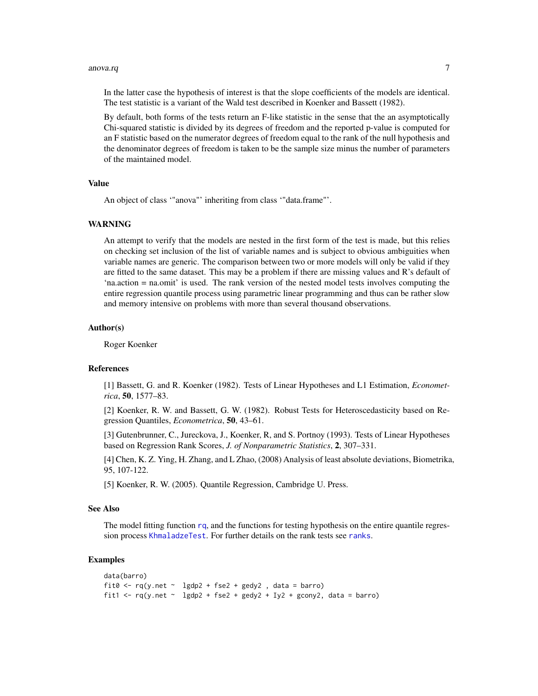#### anova.rq 7

In the latter case the hypothesis of interest is that the slope coefficients of the models are identical. The test statistic is a variant of the Wald test described in Koenker and Bassett (1982).

By default, both forms of the tests return an F-like statistic in the sense that the an asymptotically Chi-squared statistic is divided by its degrees of freedom and the reported p-value is computed for an F statistic based on the numerator degrees of freedom equal to the rank of the null hypothesis and the denominator degrees of freedom is taken to be the sample size minus the number of parameters of the maintained model.

#### Value

An object of class '"anova"' inheriting from class '"data.frame"'.

## WARNING

An attempt to verify that the models are nested in the first form of the test is made, but this relies on checking set inclusion of the list of variable names and is subject to obvious ambiguities when variable names are generic. The comparison between two or more models will only be valid if they are fitted to the same dataset. This may be a problem if there are missing values and R's default of 'na.action = na.omit' is used. The rank version of the nested model tests involves computing the entire regression quantile process using parametric linear programming and thus can be rather slow and memory intensive on problems with more than several thousand observations.

#### Author(s)

Roger Koenker

## References

[1] Bassett, G. and R. Koenker (1982). Tests of Linear Hypotheses and L1 Estimation, *Econometrica*, 50, 1577–83.

[2] Koenker, R. W. and Bassett, G. W. (1982). Robust Tests for Heteroscedasticity based on Regression Quantiles, *Econometrica*, 50, 43–61.

[3] Gutenbrunner, C., Jureckova, J., Koenker, R, and S. Portnoy (1993). Tests of Linear Hypotheses based on Regression Rank Scores, *J. of Nonparametric Statistics*, 2, 307–331.

[4] Chen, K. Z. Ying, H. Zhang, and L Zhao, (2008) Analysis of least absolute deviations, Biometrika, 95, 107-122.

[5] Koenker, R. W. (2005). Quantile Regression, Cambridge U. Press.

## See Also

The model fitting function [rq](#page-57-1), and the functions for testing hypothesis on the entire quantile regres-sion process [KhmaladzeTest](#page-25-1). For further details on the rank tests see [ranks](#page-55-1).

#### Examples

```
data(barro)
fit0 <- rq(y.net \sim 1gdp2 + fse2 + gedy2, data = barro)
fit1 <- rq(y.net \sim 1gdp2 + fse2 + gedy2 + Iy2 + gcony2, data = barro)
```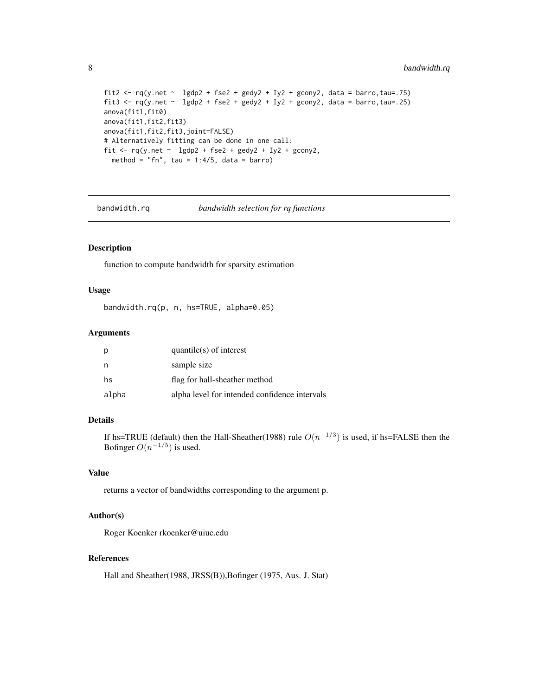```
fit2 <- rq(y.net \sim 1gdp2 + fse2 + gedy2 + Iy2 + gcony2, data = barro, tau = .75)fit3 <- rq(y.net \sim lgdp2 + fse2 + gedy2 + Iy2 + gcony2, data = barro,tau=.25)
anova(fit1,fit0)
anova(fit1,fit2,fit3)
anova(fit1,fit2,fit3,joint=FALSE)
# Alternatively fitting can be done in one call:
fit \leq rq(y.net \sim lgdp2 + fse2 + gedy2 + Iy2 + gcony2,
  method = "fn", tau = 1:4/5, data = barro)
```
bandwidth.rq *bandwidth selection for rq functions*

## Description

function to compute bandwidth for sparsity estimation

# Usage

bandwidth.rq(p, n, hs=TRUE, alpha=0.05)

# Arguments

| p     | $quantile(s)$ of interest                     |
|-------|-----------------------------------------------|
| n     | sample size                                   |
| hs    | flag for hall-sheather method                 |
| alpha | alpha level for intended confidence intervals |

#### Details

If hs=TRUE (default) then the Hall-Sheather(1988) rule  $O(n^{-1/3})$  is used, if hs=FALSE then the Bofinger  $O(n^{-1/5})$  is used.

## Value

returns a vector of bandwidths corresponding to the argument p.

#### Author(s)

Roger Koenker rkoenker@uiuc.edu

## References

Hall and Sheather(1988, JRSS(B)),Bofinger (1975, Aus. J. Stat)

<span id="page-7-0"></span>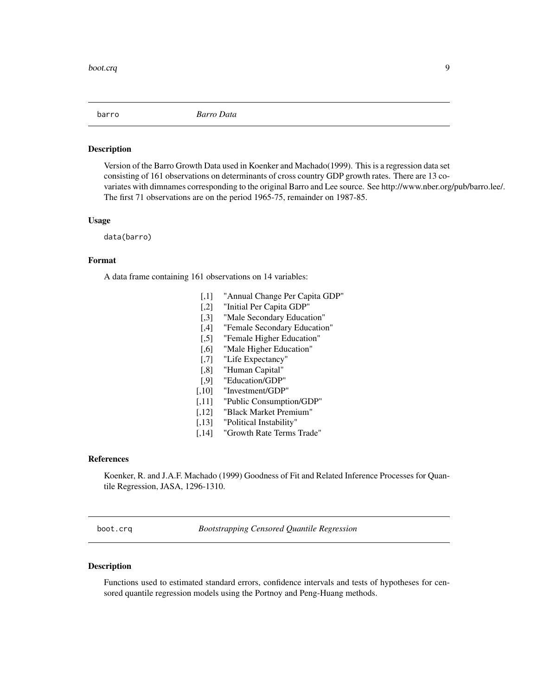<span id="page-8-0"></span>

#### Description

Version of the Barro Growth Data used in Koenker and Machado(1999). This is a regression data set consisting of 161 observations on determinants of cross country GDP growth rates. There are 13 covariates with dimnames corresponding to the original Barro and Lee source. See http://www.nber.org/pub/barro.lee/. The first 71 observations are on the period 1965-75, remainder on 1987-85.

#### Usage

data(barro)

## Format

A data frame containing 161 observations on 14 variables:

- [,1] "Annual Change Per Capita GDP"
- [,2] "Initial Per Capita GDP"
- [,3] "Male Secondary Education"
- [,4] "Female Secondary Education"
- [,5] "Female Higher Education"
- [,6] "Male Higher Education"
- [,7] "Life Expectancy"
- [,8] "Human Capital"
- [,9] "Education/GDP"
- [,10] "Investment/GDP"
- [,11] "Public Consumption/GDP"
- [,12] "Black Market Premium"
- [,13] "Political Instability"
- [,14] "Growth Rate Terms Trade"

#### References

Koenker, R. and J.A.F. Machado (1999) Goodness of Fit and Related Inference Processes for Quantile Regression, JASA, 1296-1310.

boot.crq *Bootstrapping Censored Quantile Regression*

#### Description

Functions used to estimated standard errors, confidence intervals and tests of hypotheses for censored quantile regression models using the Portnoy and Peng-Huang methods.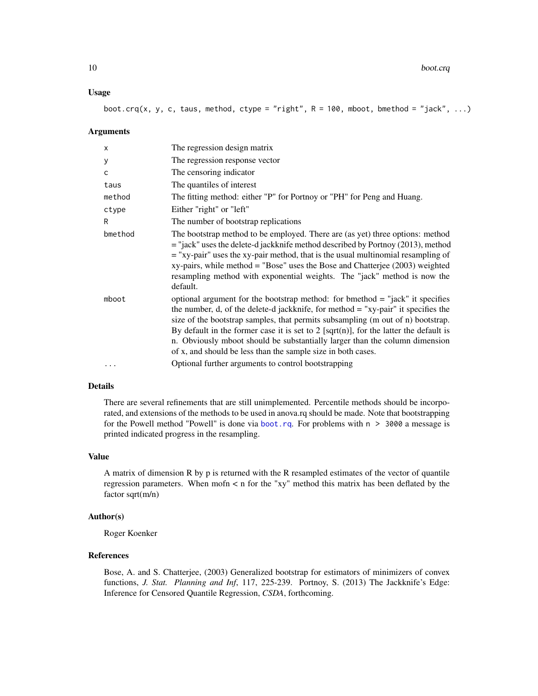#### Usage

boot.crq(x, y, c, taus, method, ctype = "right",  $R = 100$ , mboot, bmethod = "jack", ...)

#### Arguments

| X       | The regression design matrix                                                                                                                                                                                                                                                                                                                                                                                                                                                                      |
|---------|---------------------------------------------------------------------------------------------------------------------------------------------------------------------------------------------------------------------------------------------------------------------------------------------------------------------------------------------------------------------------------------------------------------------------------------------------------------------------------------------------|
| у       | The regression response vector                                                                                                                                                                                                                                                                                                                                                                                                                                                                    |
| C       | The censoring indicator                                                                                                                                                                                                                                                                                                                                                                                                                                                                           |
| taus    | The quantiles of interest                                                                                                                                                                                                                                                                                                                                                                                                                                                                         |
| method  | The fitting method: either "P" for Portnoy or "PH" for Peng and Huang.                                                                                                                                                                                                                                                                                                                                                                                                                            |
| ctype   | Either "right" or "left"                                                                                                                                                                                                                                                                                                                                                                                                                                                                          |
| R       | The number of bootstrap replications                                                                                                                                                                                                                                                                                                                                                                                                                                                              |
| bmethod | The bootstrap method to be employed. There are (as yet) three options: method<br>= "jack" uses the delete-d jackknife method described by Portnoy (2013), method<br>$=$ "xy-pair" uses the xy-pair method, that is the usual multinomial resampling of<br>$xy$ -pairs, while method = "Bose" uses the Bose and Chatterjee (2003) weighted<br>resampling method with exponential weights. The "jack" method is now the<br>default.                                                                 |
| mboot   | optional argument for the bootstrap method: for bmethod $=$ "jack" it specifies<br>the number, d, of the delete-d jackknife, for method $=$ "xy-pair" it specifies the<br>size of the bootstrap samples, that permits subsampling (m out of n) bootstrap.<br>By default in the former case it is set to 2 [sqrt(n)], for the latter the default is<br>n. Obviously mboot should be substantially larger than the column dimension<br>of x, and should be less than the sample size in both cases. |
|         | Optional further arguments to control bootstrapping                                                                                                                                                                                                                                                                                                                                                                                                                                               |

# Details

There are several refinements that are still unimplemented. Percentile methods should be incorporated, and extensions of the methods to be used in anova.rq should be made. Note that bootstrapping for the Powell method "Powell" is done via [boot.rq](#page-10-1). For problems with  $n > 3000$  a message is printed indicated progress in the resampling.

#### Value

A matrix of dimension R by p is returned with the R resampled estimates of the vector of quantile regression parameters. When mofn < n for the "xy" method this matrix has been deflated by the factor sqrt(m/n)

#### Author(s)

Roger Koenker

# References

Bose, A. and S. Chatterjee, (2003) Generalized bootstrap for estimators of minimizers of convex functions, *J. Stat. Planning and Inf*, 117, 225-239. Portnoy, S. (2013) The Jackknife's Edge: Inference for Censored Quantile Regression, *CSDA*, forthcoming.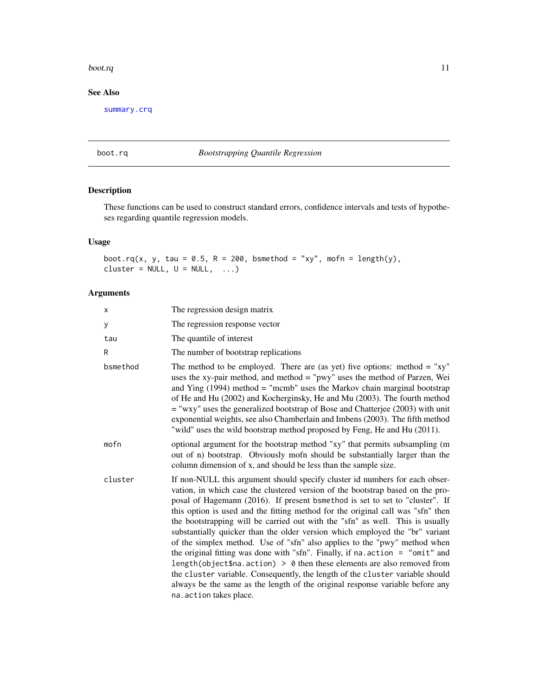#### <span id="page-10-0"></span>boot.rq and 11 and 12 and 12 and 12 and 12 and 12 and 12 and 12 and 12 and 12 and 12 and 12 and 12 and 12 and 12 and 12 and 12 and 12 and 12 and 12 and 12 and 12 and 12 and 12 and 12 and 12 and 12 and 12 and 12 and 12 and

# See Also

[summary.crq](#page-85-1)

# <span id="page-10-1"></span>boot.rq *Bootstrapping Quantile Regression*

# Description

These functions can be used to construct standard errors, confidence intervals and tests of hypotheses regarding quantile regression models.

# Usage

boot.rq(x, y, tau = 0.5, R = 200, bsmethod = "xy", mofn = length(y), cluster =  $NULL, U = NULL, ...$ 

| X        | The regression design matrix                                                                                                                                                                                                                                                                                                                                                                                                                                                                                                                                                                                                                                                                                                                                                                                                                                                                                                                     |
|----------|--------------------------------------------------------------------------------------------------------------------------------------------------------------------------------------------------------------------------------------------------------------------------------------------------------------------------------------------------------------------------------------------------------------------------------------------------------------------------------------------------------------------------------------------------------------------------------------------------------------------------------------------------------------------------------------------------------------------------------------------------------------------------------------------------------------------------------------------------------------------------------------------------------------------------------------------------|
| У        | The regression response vector                                                                                                                                                                                                                                                                                                                                                                                                                                                                                                                                                                                                                                                                                                                                                                                                                                                                                                                   |
| tau      | The quantile of interest                                                                                                                                                                                                                                                                                                                                                                                                                                                                                                                                                                                                                                                                                                                                                                                                                                                                                                                         |
| R        | The number of bootstrap replications                                                                                                                                                                                                                                                                                                                                                                                                                                                                                                                                                                                                                                                                                                                                                                                                                                                                                                             |
| bsmethod | The method to be employed. There are (as yet) five options: method $=$ "xy"<br>uses the xy-pair method, and method = "pwy" uses the method of Parzen, Wei<br>and Ying $(1994)$ method = "mcmb" uses the Markov chain marginal bootstrap<br>of He and Hu (2002) and Kocherginsky, He and Mu (2003). The fourth method<br>$=$ "wxy" uses the generalized bootstrap of Bose and Chatterjee (2003) with unit<br>exponential weights, see also Chamberlain and Imbens (2003). The fifth method<br>"wild" uses the wild bootstrap method proposed by Feng, He and Hu (2011).                                                                                                                                                                                                                                                                                                                                                                           |
| mofn     | optional argument for the bootstrap method "xy" that permits subsampling (m<br>out of n) bootstrap. Obviously mofn should be substantially larger than the<br>column dimension of x, and should be less than the sample size.                                                                                                                                                                                                                                                                                                                                                                                                                                                                                                                                                                                                                                                                                                                    |
| cluster  | If non-NULL this argument should specify cluster id numbers for each obser-<br>vation, in which case the clustered version of the bootstrap based on the pro-<br>posal of Hagemann (2016). If present bsmethod is set to set to "cluster". If<br>this option is used and the fitting method for the original call was "sfn" then<br>the bootstrapping will be carried out with the "sfn" as well. This is usually<br>substantially quicker than the older version which employed the "br" variant<br>of the simplex method. Use of "sfn" also applies to the "pwy" method when<br>the original fitting was done with "sfn". Finally, if na. action $=$ "omit" and<br>length(object\$na.action) > $\theta$ then these elements are also removed from<br>the cluster variable. Consequently, the length of the cluster variable should<br>always be the same as the length of the original response variable before any<br>na. action takes place. |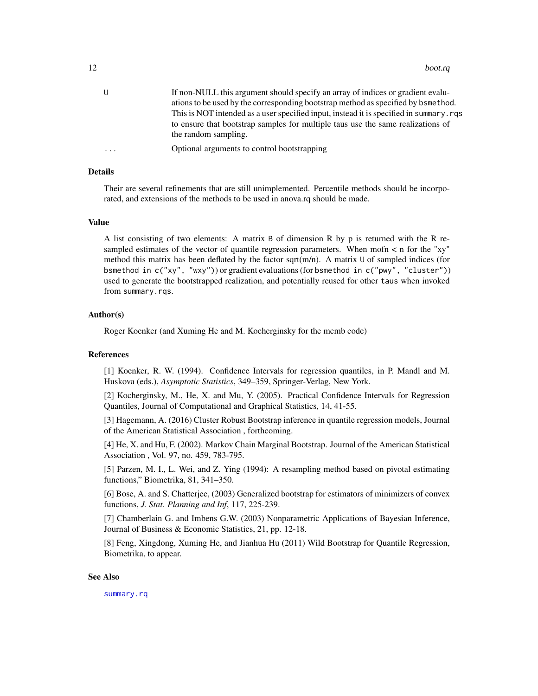| U        | If non-NULL this argument should specify an array of indices or gradient evalu-         |
|----------|-----------------------------------------------------------------------------------------|
|          | ations to be used by the corresponding bootstrap method as specified by bsmethod.       |
|          | This is NOT intended as a user specified input, instead it is specified in summary, rgs |
|          | to ensure that bootstrap samples for multiple taus use the same realizations of         |
|          | the random sampling.                                                                    |
| $\cdots$ | Optional arguments to control bootstrapping                                             |
|          |                                                                                         |

#### Details

Their are several refinements that are still unimplemented. Percentile methods should be incorporated, and extensions of the methods to be used in anova.rq should be made.

#### Value

A list consisting of two elements: A matrix B of dimension R by p is returned with the R resampled estimates of the vector of quantile regression parameters. When mofn  $\lt$  n for the "xy" method this matrix has been deflated by the factor sqrt( $m/n$ ). A matrix U of sampled indices (for bsmethod in c("xy", "wxy")) or gradient evaluations (for bsmethod in c("pwy", "cluster")) used to generate the bootstrapped realization, and potentially reused for other taus when invoked from summary.rqs.

#### Author(s)

Roger Koenker (and Xuming He and M. Kocherginsky for the mcmb code)

#### References

[1] Koenker, R. W. (1994). Confidence Intervals for regression quantiles, in P. Mandl and M. Huskova (eds.), *Asymptotic Statistics*, 349–359, Springer-Verlag, New York.

[2] Kocherginsky, M., He, X. and Mu, Y. (2005). Practical Confidence Intervals for Regression Quantiles, Journal of Computational and Graphical Statistics, 14, 41-55.

[3] Hagemann, A. (2016) Cluster Robust Bootstrap inference in quantile regression models, Journal of the American Statistical Association , forthcoming.

[4] He, X. and Hu, F. (2002). Markov Chain Marginal Bootstrap. Journal of the American Statistical Association , Vol. 97, no. 459, 783-795.

[5] Parzen, M. I., L. Wei, and Z. Ying (1994): A resampling method based on pivotal estimating functions," Biometrika, 81, 341–350.

[6] Bose, A. and S. Chatterjee, (2003) Generalized bootstrap for estimators of minimizers of convex functions, *J. Stat. Planning and Inf*, 117, 225-239.

[7] Chamberlain G. and Imbens G.W. (2003) Nonparametric Applications of Bayesian Inference, Journal of Business & Economic Statistics, 21, pp. 12-18.

[8] Feng, Xingdong, Xuming He, and Jianhua Hu (2011) Wild Bootstrap for Quantile Regression, Biometrika, to appear.

#### See Also

[summary.rq](#page-87-1)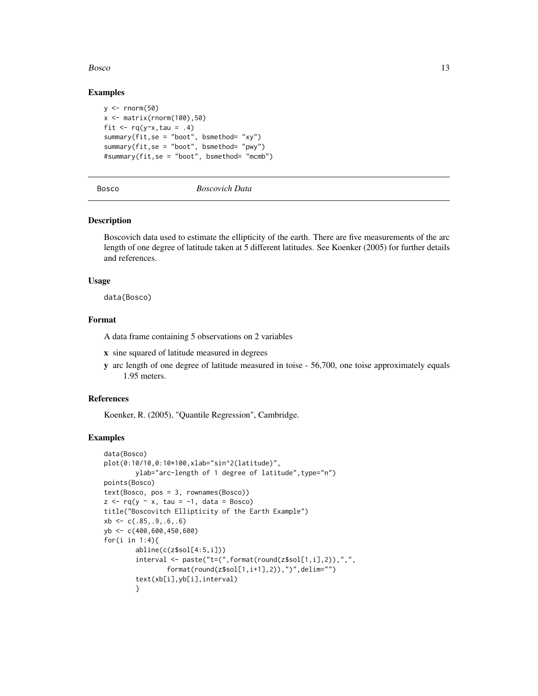#### <span id="page-12-0"></span>Bosco and the state of the state of the state of the state of the state of the state of the state of the state of the state of the state of the state of the state of the state of the state of the state of the state of the

## Examples

```
y \leftarrow \text{norm}(50)x \leftarrow \text{matrix}(rnorm(100), 50)fit \leq rq(y\leqx, tau = .4)
summary(fit,se = "boot", bsmethod= "xy")
summary(fit,se = "boot", bsmethod= "pwy")
#summary(fit,se = "boot", bsmethod= "mcmb")
```
Bosco *Boscovich Data*

## **Description**

Boscovich data used to estimate the ellipticity of the earth. There are five measurements of the arc length of one degree of latitude taken at 5 different latitudes. See Koenker (2005) for further details and references.

#### Usage

data(Bosco)

#### Format

A data frame containing 5 observations on 2 variables

- x sine squared of latitude measured in degrees
- y arc length of one degree of latitude measured in toise 56,700, one toise approximately equals 1.95 meters.

## References

Koenker, R. (2005), "Quantile Regression", Cambridge.

#### Examples

```
data(Bosco)
plot(0:10/10,0:10*100,xlab="sin^2(latitude)",
        ylab="arc-length of 1 degree of latitude",type="n")
points(Bosco)
text(Bosco, pos = 3, rownames(Bosco))
z \leq r q(y \sim x, \tau) tau = -1, data = Bosco)
title("Boscovitch Ellipticity of the Earth Example")
xb \leftarrow c(.85,.9,.6,.6)yb <- c(400,600,450,600)
for(i in 1:4){
        abline(c(z$sol[4:5,i]))
        interval <- paste("t=(",format(round(z$sol[1,i],2)),",",
                format(round(z$sol[1,i+1],2)),")",delim="")
        text(xb[i],yb[i],interval)
        }
```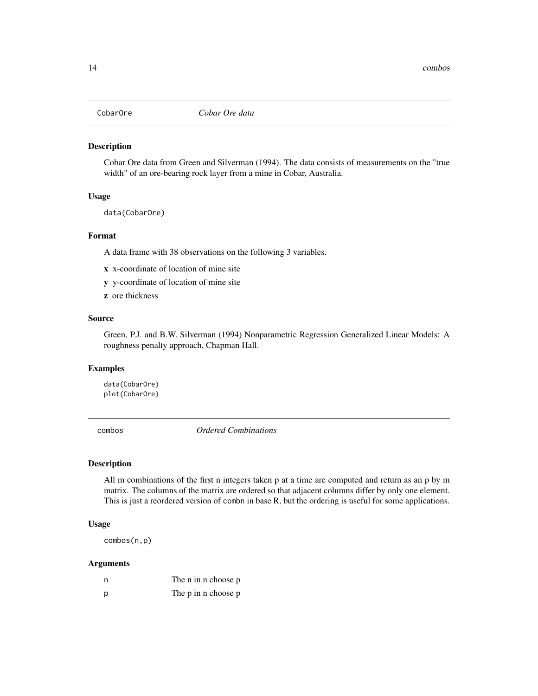<span id="page-13-0"></span>

#### Description

Cobar Ore data from Green and Silverman (1994). The data consists of measurements on the "true width" of an ore-bearing rock layer from a mine in Cobar, Australia.

#### Usage

data(CobarOre)

#### Format

A data frame with 38 observations on the following 3 variables.

- x x-coordinate of location of mine site
- y y-coordinate of location of mine site
- z ore thickness

## Source

Green, P.J. and B.W. Silverman (1994) Nonparametric Regression Generalized Linear Models: A roughness penalty approach, Chapman Hall.

# Examples

data(CobarOre) plot(CobarOre)

combos *Ordered Combinations*

# Description

All m combinations of the first n integers taken p at a time are computed and return as an p by m matrix. The columns of the matrix are ordered so that adjacent columns differ by only one element. This is just a reordered version of combn in base R, but the ordering is useful for some applications.

#### Usage

combos(n,p)

| n | The n in n choose p |
|---|---------------------|
| D | The p in n choose p |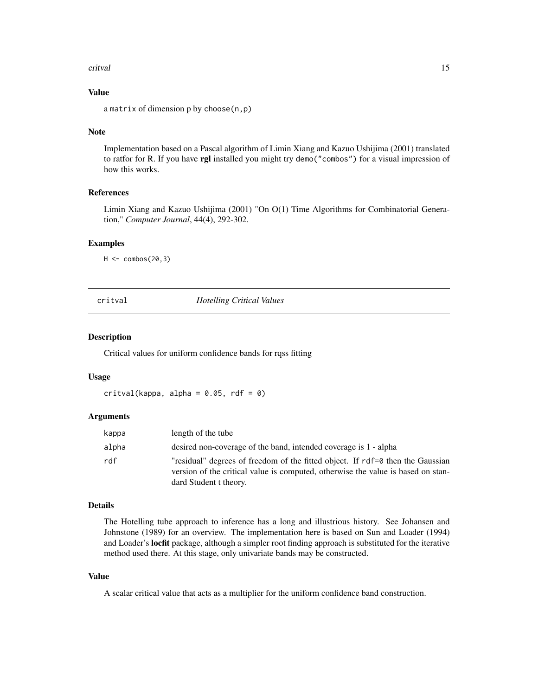#### <span id="page-14-0"></span>critval to the control of the control of the control of the control of the control of the control of the control of the control of the control of the control of the control of the control of the control of the control of t

# Value

a matrix of dimension p by choose(n,p)

#### Note

Implementation based on a Pascal algorithm of Limin Xiang and Kazuo Ushijima (2001) translated to ratfor for R. If you have rgl installed you might try demo("combos") for a visual impression of how this works.

# References

Limin Xiang and Kazuo Ushijima (2001) "On O(1) Time Algorithms for Combinatorial Generation," *Computer Journal*, 44(4), 292-302.

#### Examples

 $H < -$  combos(20,3)

critval *Hotelling Critical Values*

#### Description

Critical values for uniform confidence bands for rqss fitting

# Usage

 $critval(kappa, alpha = 0.05, rdf = 0)$ 

#### **Arguments**

| kappa | length of the tube                                                                                                                                                                           |
|-------|----------------------------------------------------------------------------------------------------------------------------------------------------------------------------------------------|
| alpha | desired non-coverage of the band, intended coverage is 1 - alpha                                                                                                                             |
| rdf   | "residual" degrees of freedom of the fitted object. If rdf=0 then the Gaussian<br>version of the critical value is computed, otherwise the value is based on stan-<br>dard Student t theory. |

#### Details

The Hotelling tube approach to inference has a long and illustrious history. See Johansen and Johnstone (1989) for an overview. The implementation here is based on Sun and Loader (1994) and Loader's locfit package, although a simpler root finding approach is substituted for the iterative method used there. At this stage, only univariate bands may be constructed.

## Value

A scalar critical value that acts as a multiplier for the uniform confidence band construction.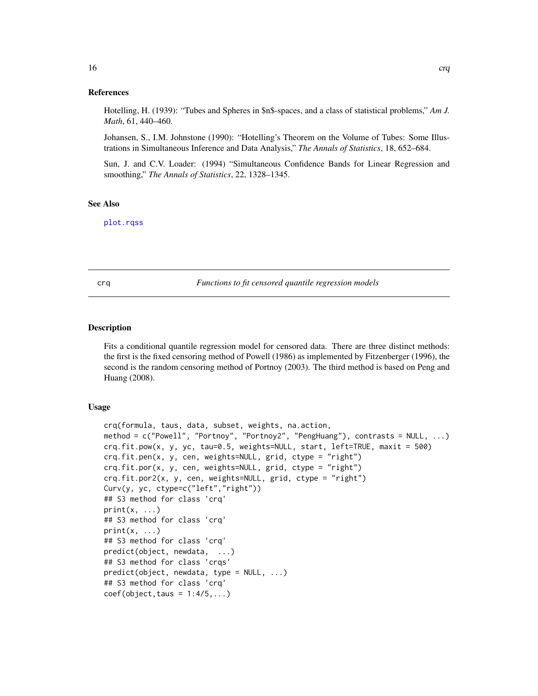<span id="page-15-0"></span>Hotelling, H. (1939): "Tubes and Spheres in \$n\$-spaces, and a class of statistical problems," *Am J. Math*, 61, 440–460.

Johansen, S., I.M. Johnstone (1990): "Hotelling's Theorem on the Volume of Tubes: Some Illustrations in Simultaneous Inference and Data Analysis," *The Annals of Statistics*, 18, 652–684.

Sun, J. and C.V. Loader: (1994) "Simultaneous Confidence Bands for Linear Regression and smoothing," *The Annals of Statistics*, 22, 1328–1345.

#### See Also

[plot.rqss](#page-41-1)

crq *Functions to fit censored quantile regression models*

#### Description

Fits a conditional quantile regression model for censored data. There are three distinct methods: the first is the fixed censoring method of Powell (1986) as implemented by Fitzenberger (1996), the second is the random censoring method of Portnoy (2003). The third method is based on Peng and Huang (2008).

#### Usage

```
crq(formula, taus, data, subset, weights, na.action,
method = c("Powell", "Portnoy", "Portnoy2", "PengHuang"), contrasts = NULL, ...)
crq.fit.pow(x, y, yc, tau=0.5, weights=NULL, start, left=TRUE, maxit = 500)
crq.fit.pen(x, y, cen, weights=NULL, grid, ctype = "right")
crq.fit.por(x, y, cen, weights=NULL, grid, ctype = "right")
crq.fit.por2(x, y, cen, weights=NULL, grid, ctype = "right")
Curv(y, yc, ctype=c("left","right"))
## S3 method for class 'crq'
print(x, \ldots)## S3 method for class 'crq'
print(x, \ldots)## S3 method for class 'crq'
predict(object, newdata, ...)
## S3 method for class 'crqs'
predict(object, newdata, type = NULL, ...)
## S3 method for class 'crq'
coef(object, taus = 1:4/5,...)
```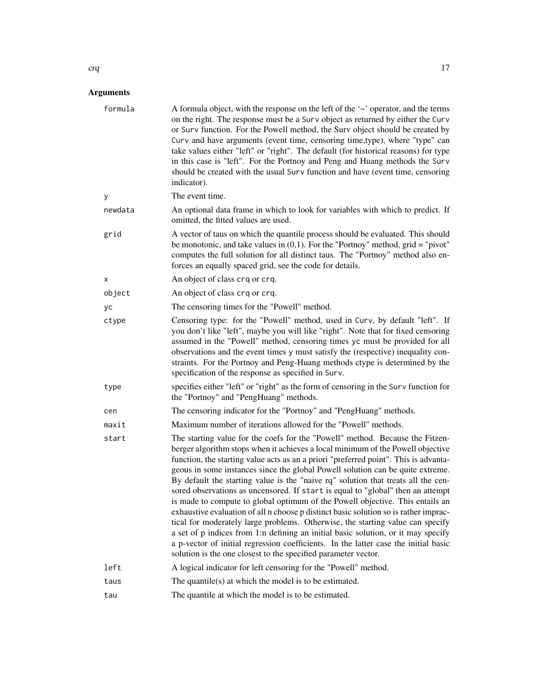| formula | A formula object, with the response on the left of the '~' operator, and the terms<br>on the right. The response must be a Surv object as returned by either the Curv<br>or Surv function. For the Powell method, the Surv object should be created by<br>Curv and have arguments (event time, censoring time, type), where "type" can<br>take values either "left" or "right". The default (for historical reasons) for type<br>in this case is "left". For the Portnoy and Peng and Huang methods the Surv<br>should be created with the usual Surv function and have (event time, censoring<br>indicator).                                                                                                                                                                                                                                                                                                                                                                                                               |
|---------|-----------------------------------------------------------------------------------------------------------------------------------------------------------------------------------------------------------------------------------------------------------------------------------------------------------------------------------------------------------------------------------------------------------------------------------------------------------------------------------------------------------------------------------------------------------------------------------------------------------------------------------------------------------------------------------------------------------------------------------------------------------------------------------------------------------------------------------------------------------------------------------------------------------------------------------------------------------------------------------------------------------------------------|
| у       | The event time.                                                                                                                                                                                                                                                                                                                                                                                                                                                                                                                                                                                                                                                                                                                                                                                                                                                                                                                                                                                                             |
| newdata | An optional data frame in which to look for variables with which to predict. If<br>omitted, the fitted values are used.                                                                                                                                                                                                                                                                                                                                                                                                                                                                                                                                                                                                                                                                                                                                                                                                                                                                                                     |
| grid    | A vector of taus on which the quantile process should be evaluated. This should<br>be monotonic, and take values in $(0,1)$ . For the "Portnoy" method, grid = "pivot"<br>computes the full solution for all distinct taus. The "Portnoy" method also en-<br>forces an equally spaced grid, see the code for details.                                                                                                                                                                                                                                                                                                                                                                                                                                                                                                                                                                                                                                                                                                       |
| X       | An object of class crq or crq.                                                                                                                                                                                                                                                                                                                                                                                                                                                                                                                                                                                                                                                                                                                                                                                                                                                                                                                                                                                              |
| object  | An object of class crq or crq.                                                                                                                                                                                                                                                                                                                                                                                                                                                                                                                                                                                                                                                                                                                                                                                                                                                                                                                                                                                              |
| yс      | The censoring times for the "Powell" method.                                                                                                                                                                                                                                                                                                                                                                                                                                                                                                                                                                                                                                                                                                                                                                                                                                                                                                                                                                                |
| ctype   | Censoring type: for the "Powell" method, used in Curv, by default "left". If<br>you don't like "left", maybe you will like "right". Note that for fixed censoring<br>assumed in the "Powell" method, censoring times yc must be provided for all<br>observations and the event times y must satisfy the (respective) inequality con-<br>straints. For the Portnoy and Peng-Huang methods ctype is determined by the<br>specification of the response as specified in Surv.                                                                                                                                                                                                                                                                                                                                                                                                                                                                                                                                                  |
| type    | specifies either "left" or "right" as the form of censoring in the Surv function for<br>the "Portnoy" and "PengHuang" methods.                                                                                                                                                                                                                                                                                                                                                                                                                                                                                                                                                                                                                                                                                                                                                                                                                                                                                              |
| cen     | The censoring indicator for the "Portnoy" and "PengHuang" methods.                                                                                                                                                                                                                                                                                                                                                                                                                                                                                                                                                                                                                                                                                                                                                                                                                                                                                                                                                          |
| maxit   | Maximum number of iterations allowed for the "Powell" methods.                                                                                                                                                                                                                                                                                                                                                                                                                                                                                                                                                                                                                                                                                                                                                                                                                                                                                                                                                              |
| start   | The starting value for the coefs for the "Powell" method. Because the Fitzen-<br>berger algorithm stops when it achieves a local minimum of the Powell objective<br>function, the starting value acts as an a priori "preferred point". This is advanta-<br>geous in some instances since the global Powell solution can be quite extreme.<br>By default the starting value is the "naive rq" solution that treats all the cen-<br>sored observations as uncensored. If start is equal to "global" then an attempt<br>is made to compute to global optimum of the Powell objective. This entails an<br>exhaustive evaluation of all n choose p distinct basic solution so is rather imprac-<br>tical for moderately large problems. Otherwise, the starting value can specify<br>a set of p indices from 1:n defining an initial basic solution, or it may specify<br>a p-vector of initial regression coefficients. In the latter case the initial basic<br>solution is the one closest to the specified parameter vector. |
| left    | A logical indicator for left censoring for the "Powell" method.                                                                                                                                                                                                                                                                                                                                                                                                                                                                                                                                                                                                                                                                                                                                                                                                                                                                                                                                                             |
| taus    | The quantile( $s$ ) at which the model is to be estimated.                                                                                                                                                                                                                                                                                                                                                                                                                                                                                                                                                                                                                                                                                                                                                                                                                                                                                                                                                                  |
| tau     | The quantile at which the model is to be estimated.                                                                                                                                                                                                                                                                                                                                                                                                                                                                                                                                                                                                                                                                                                                                                                                                                                                                                                                                                                         |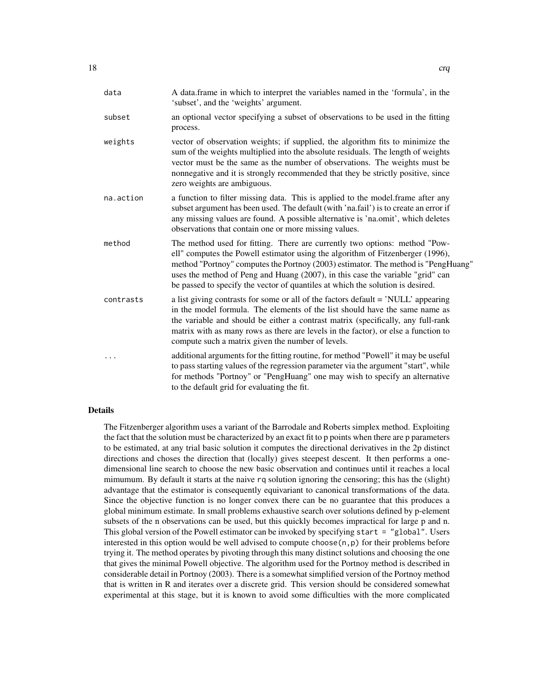| data      | A data.frame in which to interpret the variables named in the 'formula', in the<br>'subset', and the 'weights' argument.                                                                                                                                                                                                                                                                                              |
|-----------|-----------------------------------------------------------------------------------------------------------------------------------------------------------------------------------------------------------------------------------------------------------------------------------------------------------------------------------------------------------------------------------------------------------------------|
| subset    | an optional vector specifying a subset of observations to be used in the fitting<br>process.                                                                                                                                                                                                                                                                                                                          |
| weights   | vector of observation weights; if supplied, the algorithm fits to minimize the<br>sum of the weights multiplied into the absolute residuals. The length of weights<br>vector must be the same as the number of observations. The weights must be<br>nonnegative and it is strongly recommended that they be strictly positive, since<br>zero weights are ambiguous.                                                   |
| na.action | a function to filter missing data. This is applied to the model. frame after any<br>subset argument has been used. The default (with 'na.fail') is to create an error if<br>any missing values are found. A possible alternative is 'na.omit', which deletes<br>observations that contain one or more missing values.                                                                                                 |
| method    | The method used for fitting. There are currently two options: method "Pow-<br>ell" computes the Powell estimator using the algorithm of Fitzenberger (1996),<br>method "Portnoy" computes the Portnoy (2003) estimator. The method is "PengHuang"<br>uses the method of Peng and Huang (2007), in this case the variable "grid" can<br>be passed to specify the vector of quantiles at which the solution is desired. |
| contrasts | a list giving contrasts for some or all of the factors default = 'NULL' appearing<br>in the model formula. The elements of the list should have the same name as<br>the variable and should be either a contrast matrix (specifically, any full-rank<br>matrix with as many rows as there are levels in the factor), or else a function to<br>compute such a matrix given the number of levels.                       |
|           | additional arguments for the fitting routine, for method "Powell" it may be useful<br>to pass starting values of the regression parameter via the argument "start", while<br>for methods "Portnoy" or "PengHuang" one may wish to specify an alternative<br>to the default grid for evaluating the fit.                                                                                                               |

## Details

The Fitzenberger algorithm uses a variant of the Barrodale and Roberts simplex method. Exploiting the fact that the solution must be characterized by an exact fit to p points when there are p parameters to be estimated, at any trial basic solution it computes the directional derivatives in the 2p distinct directions and choses the direction that (locally) gives steepest descent. It then performs a onedimensional line search to choose the new basic observation and continues until it reaches a local mimumum. By default it starts at the naive rq solution ignoring the censoring; this has the (slight) advantage that the estimator is consequently equivariant to canonical transformations of the data. Since the objective function is no longer convex there can be no guarantee that this produces a global minimum estimate. In small problems exhaustive search over solutions defined by p-element subsets of the n observations can be used, but this quickly becomes impractical for large p and n. This global version of the Powell estimator can be invoked by specifying start = "global". Users interested in this option would be well advised to compute choose $(n, p)$  for their problems before trying it. The method operates by pivoting through this many distinct solutions and choosing the one that gives the minimal Powell objective. The algorithm used for the Portnoy method is described in considerable detail in Portnoy (2003). There is a somewhat simplified version of the Portnoy method that is written in R and iterates over a discrete grid. This version should be considered somewhat experimental at this stage, but it is known to avoid some difficulties with the more complicated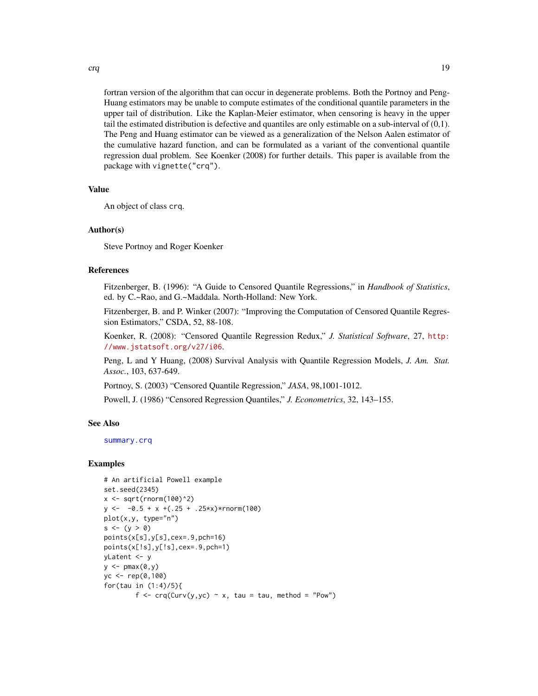crq and the contract of the contract of the contract of the contract of the contract of the contract of the contract of the contract of the contract of the contract of the contract of the contract of the contract of the co

fortran version of the algorithm that can occur in degenerate problems. Both the Portnoy and Peng-Huang estimators may be unable to compute estimates of the conditional quantile parameters in the upper tail of distribution. Like the Kaplan-Meier estimator, when censoring is heavy in the upper tail the estimated distribution is defective and quantiles are only estimable on a sub-interval of (0,1). The Peng and Huang estimator can be viewed as a generalization of the Nelson Aalen estimator of the cumulative hazard function, and can be formulated as a variant of the conventional quantile regression dual problem. See Koenker (2008) for further details. This paper is available from the package with vignette("crq").

## Value

An object of class crq.

## Author(s)

Steve Portnoy and Roger Koenker

# References

Fitzenberger, B. (1996): "A Guide to Censored Quantile Regressions," in *Handbook of Statistics*, ed. by C.~Rao, and G.~Maddala. North-Holland: New York.

Fitzenberger, B. and P. Winker (2007): "Improving the Computation of Censored Quantile Regression Estimators," CSDA, 52, 88-108.

Koenker, R. (2008): "Censored Quantile Regression Redux," *J. Statistical Software*, 27, [http:](http://www.jstatsoft.org/v27/i06) [//www.jstatsoft.org/v27/i06](http://www.jstatsoft.org/v27/i06).

Peng, L and Y Huang, (2008) Survival Analysis with Quantile Regression Models, *J. Am. Stat. Assoc.*, 103, 637-649.

Portnoy, S. (2003) "Censored Quantile Regression," *JASA*, 98,1001-1012.

Powell, J. (1986) "Censored Regression Quantiles," *J. Econometrics*, 32, 143–155.

#### See Also

[summary.crq](#page-85-1)

#### Examples

```
# An artificial Powell example
set.seed(2345)
x \le -\sqrt{\text{sqrt}(\text{rnorm}(100)^2)}y \le -0.5 + x + (.25 + .25*x) * rnorm(100)plot(x,y, type="n")
s \leftarrow (y > 0)points(x[s],y[s],cex=.9,pch=16)
points(x[!s],y[!s],cex=.9,pch=1)
yLatent <- y
y \leftarrow \text{pmax}(0, y)yc <- rep(0,100)
for(tau in (1:4)/5){
         f \leq -\text{crq(Curv(y,yc) \sim x, tau = tau, method = "Pow")}
```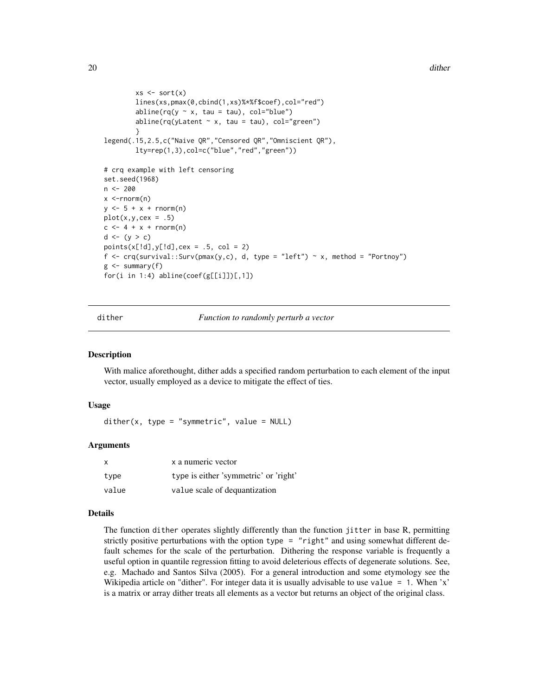```
xs \leftarrow sort(x)lines(xs,pmax(0,cbind(1,xs)%*%f$coef),col="red")
         abline(rq(y \sim x, \tau) tau = tau), col="blue")
         abline(rq(yLatent \sim x, tau = tau), col="green")
         }
legend(.15,2.5,c("Naive QR","Censored QR","Omniscient QR"),
         lty=rep(1,3),col=c("blue","red","green"))
# crq example with left censoring
set.seed(1968)
n <- 200
x < -rnorm(n)y \le -5 + x + \text{norm}(n)plot(x,y,cex = .5)c \leq -4 + x + \text{norm}(n)d \leftarrow (y > c)points(x[!d], y[!d], cex = .5, col = 2)f \leftarrow \text{crq}(\text{survival}::\text{Surv}(\text{pmax}(y, c), d, \text{ type} = "left") \sim x, \text{ method} = "Portnoy")g \leftarrow summary(f)
for(i in 1:4) abline(coef(g[[i]])[,1])
```
dither *Function to randomly perturb a vector*

#### Description

With malice aforethought, dither adds a specified random perturbation to each element of the input vector, usually employed as a device to mitigate the effect of ties.

#### Usage

 $dither(x, type = "symmetric", value = NULL)$ 

#### Arguments

| x     | x a numeric vector                    |
|-------|---------------------------------------|
| type  | type is either 'symmetric' or 'right' |
| value | value scale of dequantization         |

#### Details

The function dither operates slightly differently than the function jitter in base R, permitting strictly positive perturbations with the option type = "right" and using somewhat different default schemes for the scale of the perturbation. Dithering the response variable is frequently a useful option in quantile regression fitting to avoid deleterious effects of degenerate solutions. See, e.g. Machado and Santos Silva (2005). For a general introduction and some etymology see the Wikipedia article on "dither". For integer data it is usually advisable to use value  $= 1$ . When 'x' is a matrix or array dither treats all elements as a vector but returns an object of the original class.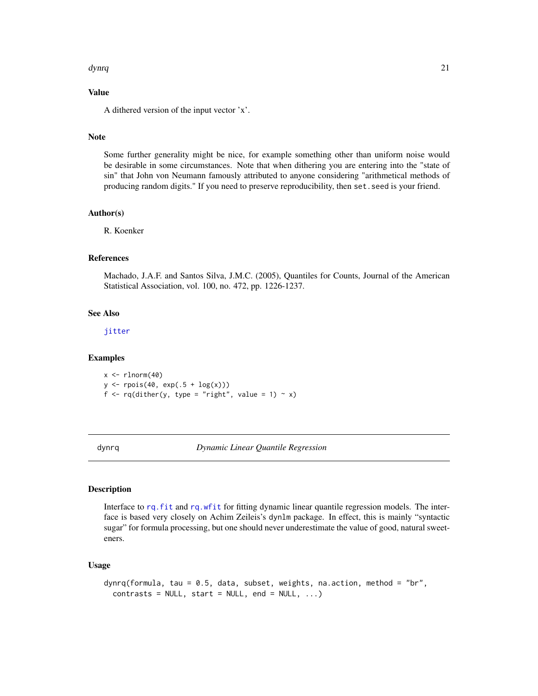#### <span id="page-20-0"></span>dynrq 21

# Value

A dithered version of the input vector 'x'.

#### Note

Some further generality might be nice, for example something other than uniform noise would be desirable in some circumstances. Note that when dithering you are entering into the "state of sin" that John von Neumann famously attributed to anyone considering "arithmetical methods of producing random digits." If you need to preserve reproducibility, then set.seed is your friend.

#### Author(s)

R. Koenker

#### References

Machado, J.A.F. and Santos Silva, J.M.C. (2005), Quantiles for Counts, Journal of the American Statistical Association, vol. 100, no. 472, pp. 1226-1237.

#### See Also

[jitter](#page-0-0)

# Examples

 $x \leftarrow \text{rlnorm}(40)$  $y \leftarrow \text{rpois}(40, \exp(.5 + \log(x)))$ f <-  $rq$ (dither(y, type = "right", value = 1) ~ x)

dynrq *Dynamic Linear Quantile Regression*

# Description

Interface to [rq.fit](#page-61-1) and [rq.wfit](#page-76-1) for fitting dynamic linear quantile regression models. The interface is based very closely on Achim Zeileis's dynlm package. In effect, this is mainly "syntactic sugar" for formula processing, but one should never underestimate the value of good, natural sweeteners.

#### Usage

```
dynrq(formula, tau = 0.5, data, subset, weights, na.action, method = "br",
 contrast = NULL, start = NULL, end = NULL, ...)
```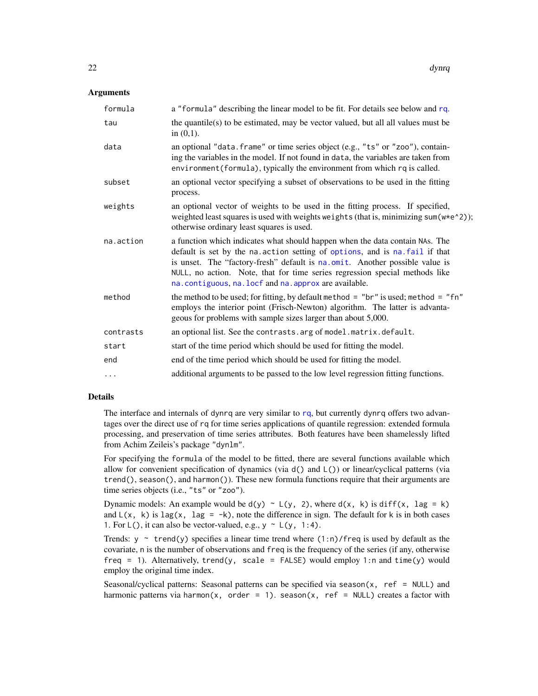## **Arguments**

| formula   | a "formula" describing the linear model to be fit. For details see below and rq.                                                                                                                                                                                                                                                                                                  |
|-----------|-----------------------------------------------------------------------------------------------------------------------------------------------------------------------------------------------------------------------------------------------------------------------------------------------------------------------------------------------------------------------------------|
| tau       | the quantile(s) to be estimated, may be vector valued, but all all values must be<br>in $(0,1)$ .                                                                                                                                                                                                                                                                                 |
| data      | an optional "data. frame" or time series object (e.g., "ts" or "zoo"), contain-<br>ing the variables in the model. If not found in data, the variables are taken from<br>environment (formula), typically the environment from which rq is called.                                                                                                                                |
| subset    | an optional vector specifying a subset of observations to be used in the fitting<br>process.                                                                                                                                                                                                                                                                                      |
| weights   | an optional vector of weights to be used in the fitting process. If specified,<br>weighted least squares is used with weights weights (that is, minimizing sum(w*e^2));<br>otherwise ordinary least squares is used.                                                                                                                                                              |
| na.action | a function which indicates what should happen when the data contain NAs. The<br>default is set by the na. action setting of options, and is na. fail if that<br>is unset. The "factory-fresh" default is na.omit. Another possible value is<br>NULL, no action. Note, that for time series regression special methods like<br>na.contiguous, na.locf and na.approx are available. |
| method    | the method to be used; for fitting, by default method = "br" is used; method = "fn"<br>employs the interior point (Frisch-Newton) algorithm. The latter is advanta-<br>geous for problems with sample sizes larger than about 5,000.                                                                                                                                              |
| contrasts | an optional list. See the contrasts. arg of model. matrix. default.                                                                                                                                                                                                                                                                                                               |
| start     | start of the time period which should be used for fitting the model.                                                                                                                                                                                                                                                                                                              |
| end       | end of the time period which should be used for fitting the model.                                                                                                                                                                                                                                                                                                                |
| $\cdots$  | additional arguments to be passed to the low level regression fitting functions.                                                                                                                                                                                                                                                                                                  |
|           |                                                                                                                                                                                                                                                                                                                                                                                   |

# Details

The interface and internals of dyn[rq](#page-57-1) are very similar to rq, but currently dynrq offers two advantages over the direct use of rq for time series applications of quantile regression: extended formula processing, and preservation of time series attributes. Both features have been shamelessly lifted from Achim Zeileis's package "dynlm".

For specifying the formula of the model to be fitted, there are several functions available which allow for convenient specification of dynamics (via  $d()$  and  $L()$ ) or linear/cyclical patterns (via  $trend()$ , season $()$ , and harmon $()$ ). These new formula functions require that their arguments are time series objects (i.e., "ts" or "zoo").

Dynamic models: An example would be  $d(y) \sim L(y, 2)$ , where  $d(x, k)$  is diff(x, lag = k) and  $L(x, k)$  is lag(x, lag = -k), note the difference in sign. The default for k is in both cases 1. For  $L()$ , it can also be vector-valued, e.g.,  $y \sim L(y, 1:4)$ .

Trends:  $y \sim \text{trend}(y)$  specifies a linear time trend where  $(1:n)/\text{freq}$  is used by default as the covariate, n is the number of observations and freq is the frequency of the series (if any, otherwise freq = 1). Alternatively, trend(y, scale = FALSE) would employ 1:n and time(y) would employ the original time index.

Seasonal/cyclical patterns: Seasonal patterns can be specified via season $(x, ref = NULL)$  and harmonic patterns via harmon(x, order = 1). season(x, ref = NULL) creates a factor with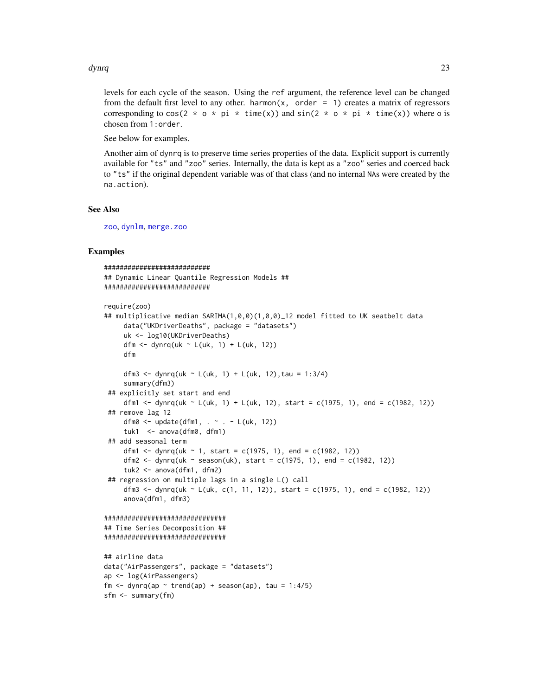#### dynrq and 23 and 23 and 23 and 23 and 23 and 23 and 23 and 23 and 23 and 23 and 23 and 23 and 23 and 23 and 23

levels for each cycle of the season. Using the ref argument, the reference level can be changed from the default first level to any other. harmon(x, order  $= 1$ ) creates a matrix of regressors corresponding to cos(2  $*$  o  $*$  pi  $*$  time(x)) and sin(2  $*$  o  $*$  pi  $*$  time(x)) where o is chosen from 1:order.

See below for examples.

Another aim of dynrq is to preserve time series properties of the data. Explicit support is currently available for "ts" and "zoo" series. Internally, the data is kept as a "zoo" series and coerced back to "ts" if the original dependent variable was of that class (and no internal NAs were created by the na.action).

#### See Also

[zoo](#page-0-0), [dynlm](#page-0-0), [merge.zoo](#page-0-0)

# Examples

```
###########################
## Dynamic Linear Quantile Regression Models ##
###########################
require(zoo)
## multiplicative median SARIMA(1,0,0)(1,0,0)_12 model fitted to UK seatbelt data
     data("UKDriverDeaths", package = "datasets")
     uk <- log10(UKDriverDeaths)
     dfm \leq dynrq(uk \sim L(uk, 1) + L(uk, 12))
     dfm
     dfm3 <- dynrq(uk ~ L(uk, 1) + L(uk, 12), tau = 1:3/4)
     summary(dfm3)
 ## explicitly set start and end
     dfm1 <- dynrq(uk ~ L(uk, 1) + L(uk, 12), start = c(1975, 1), end = c(1982, 12))
 ## remove lag 12
     dfm0 \le - update(dfm1, \le . - L(uk, 12))
     tuk1 <- anova(dfm0, dfm1)
 ## add seasonal term
     dfm1 <- dynrq(uk ~ 1, start = c(1975, 1), end = c(1982, 12))
     dfm2 <- dynrq(uk ~ season(uk), start = c(1975, 1), end = c(1982, 12))
     tuk2 <- anova(dfm1, dfm2)
 ## regression on multiple lags in a single L() call
     dfm3 <- dynrq(uk ~ L(uk, c(1, 11, 12)), start = c(1975, 1), end = c(1982, 12))
     anova(dfm1, dfm3)
###############################
## Time Series Decomposition ##
###############################
## airline data
data("AirPassengers", package = "datasets")
ap <- log(AirPassengers)
fm \leq dynrq(ap \sim trend(ap) + season(ap), tau = 1:4/5)
sfm <- summary(fm)
```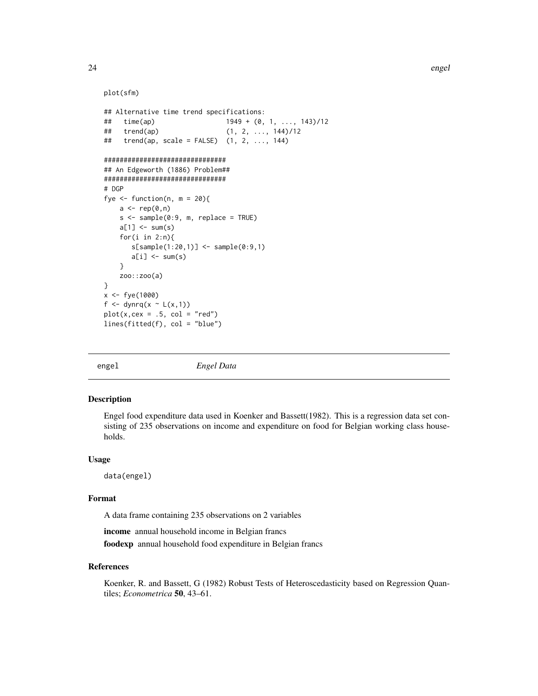## plot(sfm)

```
## Alternative time trend specifications:
                             1949 + (0, 1, \ldots, 143)/12## trend(ap) (1, 2, ..., 144)/12
## trend(ap, scale = FALSE) (1, 2, ..., 144)###############################
## An Edgeworth (1886) Problem##
###############################
# DGP
fye \le function(n, m = 20){
    a \leftarrow rep(0, n)s < - sample(0:9, m, replace = TRUE)
   a[1] <- sum(s)
    for(i in 2:n){
       s[sample(1:20,1)] <- sample(0:9,1)
       a[i] <- sum(s)
    }
    zoo::zoo(a)
}
x < -fye(1000)f <- dynrq(x \sim L(x,1))
plot(x, cex = .5, col = "red")lines(fitted(f), col = "blue")
```
engel *Engel Data*

#### Description

Engel food expenditure data used in Koenker and Bassett(1982). This is a regression data set consisting of 235 observations on income and expenditure on food for Belgian working class households.

#### Usage

data(engel)

#### Format

A data frame containing 235 observations on 2 variables

income annual household income in Belgian francs foodexp annual household food expenditure in Belgian francs

# References

Koenker, R. and Bassett, G (1982) Robust Tests of Heteroscedasticity based on Regression Quantiles; *Econometrica* 50, 43–61.

<span id="page-23-0"></span>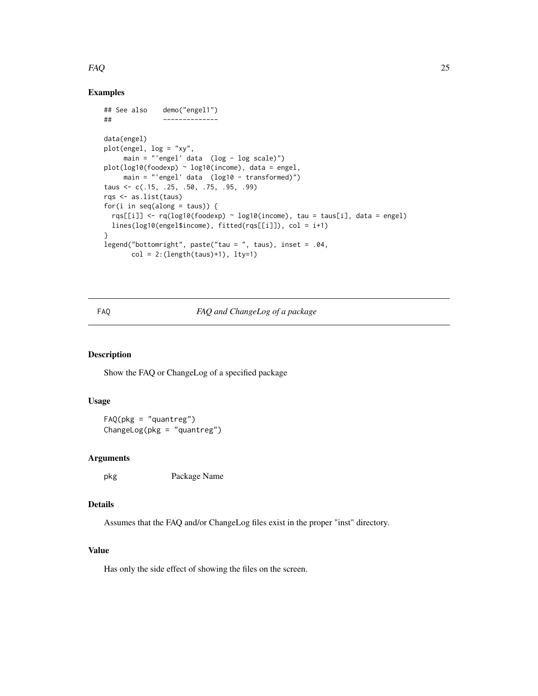#### <span id="page-24-0"></span>FAQ 25

# Examples

```
## See also demo("engel1")
## --------------
data(engel)
plot(engel, log = "xy",
    main = "'engel' data (log - log scale)")
plot(log10(foodexp) ~ log10(income), data = engel,
    main = "'engel' data (log10 - transformed)")
taus <- c(.15, .25, .50, .75, .95, .99)
rqs <- as.list(taus)
for(i in seq(along = taus)) {
 rqs[[i]] \leq rq(log10(foodexp) \sim log10(income), tau = taus[i], data = engel)
 lines(log10(engel$income), fitted(rqs[[i]]), col = i+1)
}
legend("bottomright", paste("tau = ", taus), inset = .04,
      col = 2: (length(taus)+1), 1ty=1)
```
# FAQ *FAQ and ChangeLog of a package*

#### Description

Show the FAQ or ChangeLog of a specified package

#### Usage

FAQ(pkg = "quantreg") ChangeLog(pkg = "quantreg")

## Arguments

pkg Package Name

## Details

Assumes that the FAQ and/or ChangeLog files exist in the proper "inst" directory.

# Value

Has only the side effect of showing the files on the screen.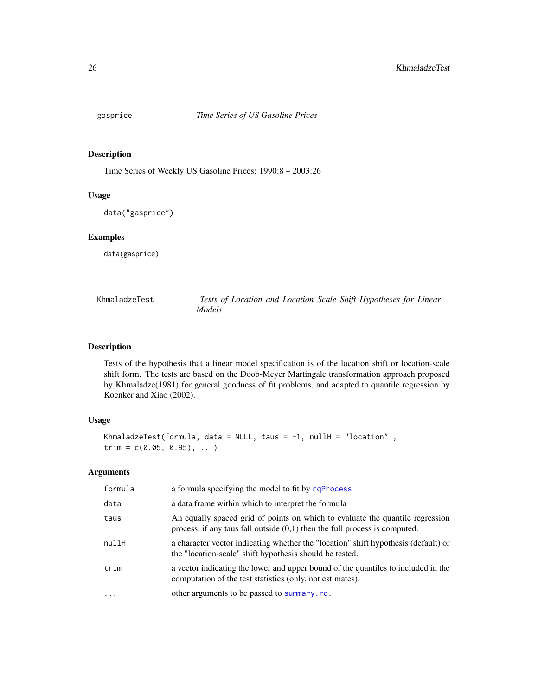<span id="page-25-0"></span>

# Description

Time Series of Weekly US Gasoline Prices: 1990:8 – 2003:26

## Usage

```
data("gasprice")
```
# Examples

data(gasprice)

<span id="page-25-1"></span>

| KhmaladzeTest |               |  |  | Tests of Location and Location Scale Shift Hypotheses for Linear |  |
|---------------|---------------|--|--|------------------------------------------------------------------|--|
|               | <i>Models</i> |  |  |                                                                  |  |

# <span id="page-25-2"></span>Description

Tests of the hypothesis that a linear model specification is of the location shift or location-scale shift form. The tests are based on the Doob-Meyer Martingale transformation approach proposed by Khmaladze(1981) for general goodness of fit problems, and adapted to quantile regression by Koenker and Xiao (2002).

# Usage

```
KhmaladzeTest(formula, data = NULL, taus = -1, nullH = "location",
trim = c(0.05, 0.95), ...
```

| formula | a formula specifying the model to fit by rqProcess                                                                                                            |
|---------|---------------------------------------------------------------------------------------------------------------------------------------------------------------|
| data    | a data frame within which to interpret the formula                                                                                                            |
| taus    | An equally spaced grid of points on which to evaluate the quantile regression<br>process, if any taus fall outside $(0,1)$ then the full process is computed. |
| nullH   | a character vector indicating whether the "location" shift hypothesis (default) or<br>the "location-scale" shift hypothesis should be tested.                 |
| trim    | a vector indicating the lower and upper bound of the quantiles to included in the<br>computation of the test statistics (only, not estimates).                |
| $\cdot$ | other arguments to be passed to summary.rq.                                                                                                                   |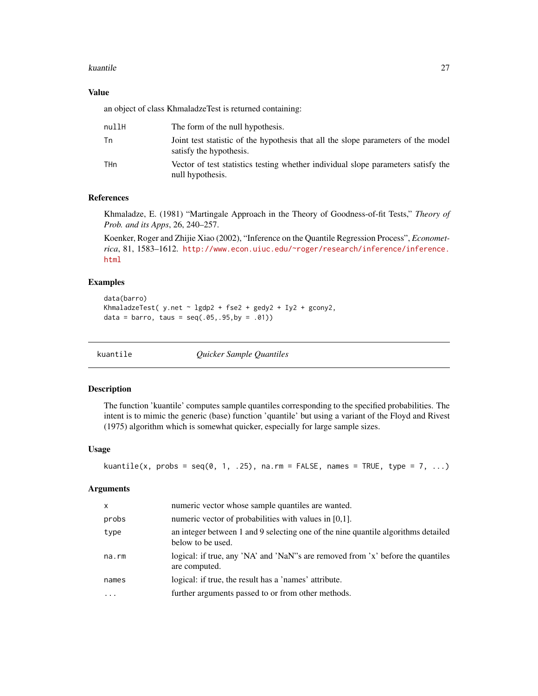#### <span id="page-26-0"></span>kuantile 27

## Value

an object of class KhmaladzeTest is returned containing:

| nullH | The form of the null hypothesis.                                                                             |
|-------|--------------------------------------------------------------------------------------------------------------|
| Тn    | Joint test statistic of the hypothesis that all the slope parameters of the model<br>satisfy the hypothesis. |
| THn   | Vector of test statistics testing whether individual slope parameters satisfy the<br>null hypothesis.        |

# References

Khmaladze, E. (1981) "Martingale Approach in the Theory of Goodness-of-fit Tests," *Theory of Prob. and its Apps*, 26, 240–257.

Koenker, Roger and Zhijie Xiao (2002), "Inference on the Quantile Regression Process", *Econometrica*, 81, 1583–1612. [http://www.econ.uiuc.edu/~roger/research/inference/inference.](http://www.econ.uiuc.edu/~roger/research/inference/inference.html) [html](http://www.econ.uiuc.edu/~roger/research/inference/inference.html)

## Examples

```
data(barro)
KhmaladzeTest( y.net ~ lgdp2 + fse2 + gedy2 + Iy2 + gcony2,
data = barro, taus = seq(.05, .95, by = .01))
```
kuantile *Quicker Sample Quantiles*

## Description

The function 'kuantile' computes sample quantiles corresponding to the specified probabilities. The intent is to mimic the generic (base) function 'quantile' but using a variant of the Floyd and Rivest (1975) algorithm which is somewhat quicker, especially for large sample sizes.

#### Usage

```
kuantile(x, probs = seq(0, 1, .25), na.rm = FALSE, names = TRUE, type = 7, ...)
```

| $\mathsf{x}$ | numeric vector whose sample quantiles are wanted.                                                      |
|--------------|--------------------------------------------------------------------------------------------------------|
| probs        | numeric vector of probabilities with values in [0,1].                                                  |
| type         | an integer between 1 and 9 selecting one of the nine quantile algorithms detailed<br>below to be used. |
| na.rm        | logical: if true, any 'NA' and 'NaN''s are removed from 'x' before the quantiles<br>are computed.      |
| names        | logical: if true, the result has a 'names' attribute.                                                  |
|              | further arguments passed to or from other methods.                                                     |
|              |                                                                                                        |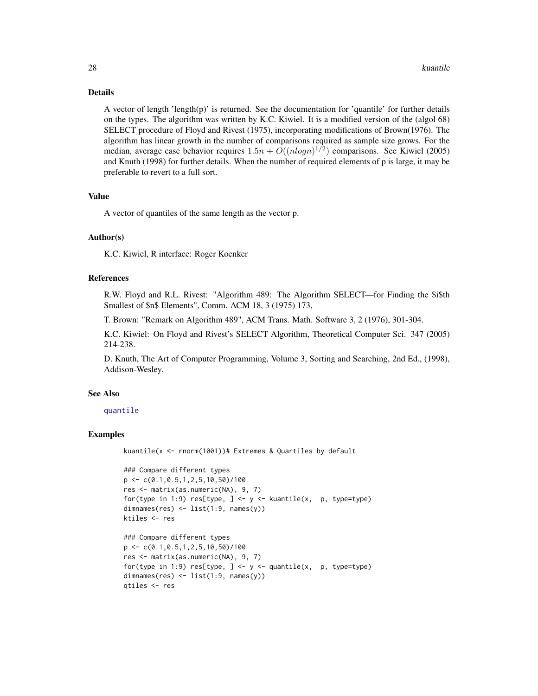#### Details

A vector of length 'length(p)' is returned. See the documentation for 'quantile' for further details on the types. The algorithm was written by K.C. Kiwiel. It is a modified version of the (algol 68) SELECT procedure of Floyd and Rivest (1975), incorporating modifications of Brown(1976). The algorithm has linear growth in the number of comparisons required as sample size grows. For the median, average case behavior requires  $1.5n + O((nlog n)^{1/2})$  comparisons. See Kiwiel (2005) and Knuth (1998) for further details. When the number of required elements of p is large, it may be preferable to revert to a full sort.

#### Value

A vector of quantiles of the same length as the vector p.

## Author(s)

K.C. Kiwiel, R interface: Roger Koenker

#### References

R.W. Floyd and R.L. Rivest: "Algorithm 489: The Algorithm SELECT—for Finding the \$i\$th Smallest of \$n\$ Elements", Comm. ACM 18, 3 (1975) 173,

T. Brown: "Remark on Algorithm 489", ACM Trans. Math. Software 3, 2 (1976), 301-304.

K.C. Kiwiel: On Floyd and Rivest's SELECT Algorithm, Theoretical Computer Sci. 347 (2005) 214-238.

D. Knuth, The Art of Computer Programming, Volume 3, Sorting and Searching, 2nd Ed., (1998), Addison-Wesley.

#### See Also

## [quantile](#page-0-0)

## Examples

kuantile(x <- rnorm(1001))# Extremes & Quartiles by default

```
### Compare different types
p \leftarrow c(0.1, 0.5, 1, 2, 5, 10, 50)/100res <- matrix(as.numeric(NA), 9, 7)
for(type in 1:9) res[type, ] \leftarrow y \leftarrow kuantile(x, p, type=type)
dimnames(res) <- list(1:9, names(y))
ktiles <- res
```

```
### Compare different types
p \leftarrow c(0.1, 0.5, 1, 2, 5, 10, 50) / 100res <- matrix(as.numeric(NA), 9, 7)
for(type in 1:9) res[type, ] <- y <- quantile(x, p, type=type)
dimnames(res) <- list(1:9, names(y))
qtiles <- res
```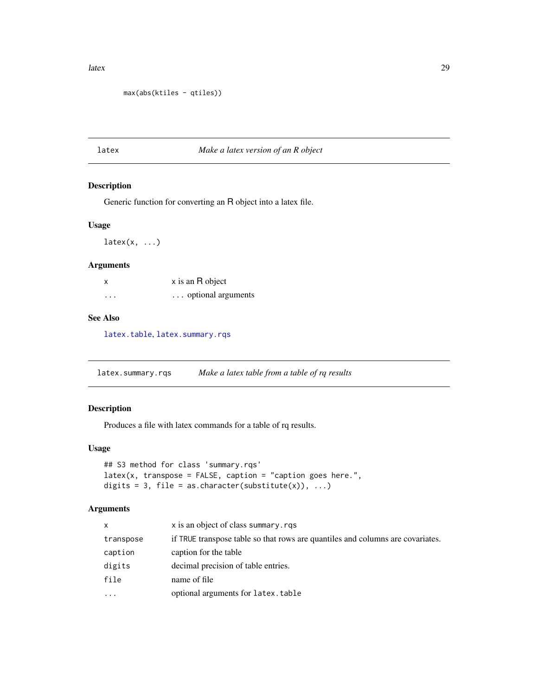<span id="page-28-0"></span>latex 29

```
max(abs(ktiles - qtiles))
```
# latex *Make a latex version of an R object*

# Description

Generic function for converting an R object into a latex file.

#### Usage

 $\text{latex}(x, \ldots)$ 

# Arguments

| x        | x is an R object   |
|----------|--------------------|
| $\cdots$ | optional arguments |

## See Also

[latex.table](#page-29-1), [latex.summary.rqs](#page-28-1)

<span id="page-28-1"></span>latex.summary.rqs *Make a latex table from a table of rq results*

# Description

Produces a file with latex commands for a table of rq results.

## Usage

```
## S3 method for class 'summary.rqs'
lates(x, transpose = FALSE, caption = "caption goes here."digits = 3, file = as.character(substitute(x)), \dots)
```

| x         | x is an object of class summary.rgs                                            |
|-----------|--------------------------------------------------------------------------------|
| transpose | if TRUE transpose table so that rows are quantiles and columns are covariates. |
| caption   | caption for the table                                                          |
| digits    | decimal precision of table entries.                                            |
| file      | name of file                                                                   |
| $\cdots$  | optional arguments for latex.table                                             |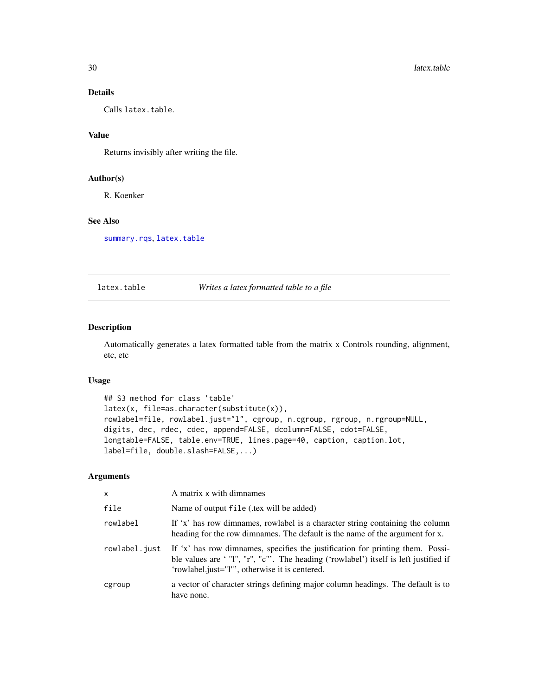# <span id="page-29-0"></span>Details

Calls latex.table.

# Value

Returns invisibly after writing the file.

## Author(s)

R. Koenker

# See Also

[summary.rqs](#page-87-2), [latex.table](#page-29-1)

#### <span id="page-29-1"></span>latex.table *Writes a latex formatted table to a file*

#### Description

Automatically generates a latex formatted table from the matrix x Controls rounding, alignment, etc, etc

#### Usage

```
## S3 method for class 'table'
latex(x, file=as.character(substitute(x)),
rowlabel=file, rowlabel.just="l", cgroup, n.cgroup, rgroup, n.rgroup=NULL,
digits, dec, rdec, cdec, append=FALSE, dcolumn=FALSE, cdot=FALSE,
longtable=FALSE, table.env=TRUE, lines.page=40, caption, caption.lot,
label=file, double.slash=FALSE,...)
```

| X             | A matrix x with dimnames                                                                                                                                                                                                 |
|---------------|--------------------------------------------------------------------------------------------------------------------------------------------------------------------------------------------------------------------------|
| file          | Name of output file (tex will be added)                                                                                                                                                                                  |
| rowlabel      | If 'x' has row dimnames, rowlabel is a character string containing the column<br>heading for the row dimnames. The default is the name of the argument for x.                                                            |
| rowlabel.just | If 'x' has row dimnames, specifies the justification for printing them. Possi-<br>ble values are '"l", "r", "c"'. The heading ('rowlabel') itself is left justified if<br>'rowlabel.just="1"', otherwise it is centered. |
| cgroup        | a vector of character strings defining major column headings. The default is to<br>have none.                                                                                                                            |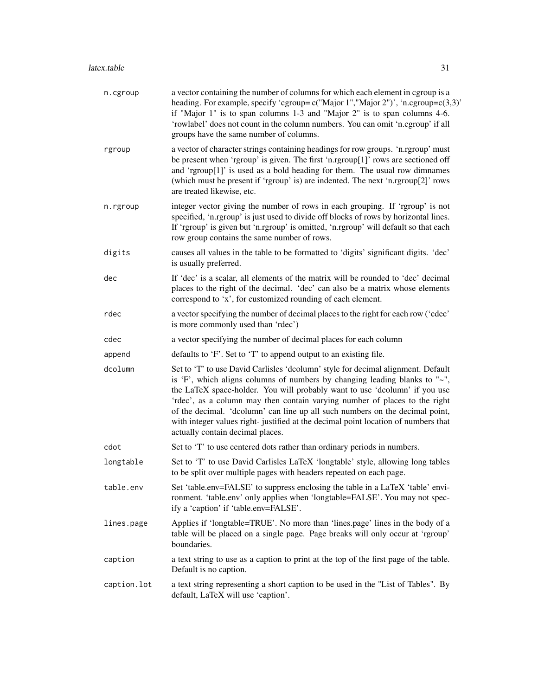| n.cgroup    | a vector containing the number of columns for which each element in cgroup is a<br>heading. For example, specify 'cgroup=c("Major 1","Major 2")', 'n.cgroup=c(3,3)'<br>if "Major 1" is to span columns 1-3 and "Major 2" is to span columns 4-6.<br>'rowlabel' does not count in the column numbers. You can omit 'n.cgroup' if all<br>groups have the same number of columns.                                                                                                                                                      |
|-------------|-------------------------------------------------------------------------------------------------------------------------------------------------------------------------------------------------------------------------------------------------------------------------------------------------------------------------------------------------------------------------------------------------------------------------------------------------------------------------------------------------------------------------------------|
| rgroup      | a vector of character strings containing headings for row groups. 'n.rgroup' must<br>be present when 'rgroup' is given. The first 'n.rgroup[1]' rows are sectioned off<br>and 'rgroup[1]' is used as a bold heading for them. The usual row dimnames<br>(which must be present if 'rgroup' is) are indented. The next 'n.rgroup[2]' rows<br>are treated likewise, etc.                                                                                                                                                              |
| n.rgroup    | integer vector giving the number of rows in each grouping. If 'rgroup' is not<br>specified, 'n.rgroup' is just used to divide off blocks of rows by horizontal lines.<br>If 'rgroup' is given but 'n.rgroup' is omitted, 'n.rgroup' will default so that each<br>row group contains the same number of rows.                                                                                                                                                                                                                        |
| digits      | causes all values in the table to be formatted to 'digits' significant digits. 'dec'<br>is usually preferred.                                                                                                                                                                                                                                                                                                                                                                                                                       |
| dec         | If 'dec' is a scalar, all elements of the matrix will be rounded to 'dec' decimal<br>places to the right of the decimal. 'dec' can also be a matrix whose elements<br>correspond to 'x', for customized rounding of each element.                                                                                                                                                                                                                                                                                                   |
| rdec        | a vector specifying the number of decimal places to the right for each row ('cdec'<br>is more commonly used than 'rdec')                                                                                                                                                                                                                                                                                                                                                                                                            |
| cdec        | a vector specifying the number of decimal places for each column                                                                                                                                                                                                                                                                                                                                                                                                                                                                    |
| append      | defaults to 'F'. Set to 'T' to append output to an existing file.                                                                                                                                                                                                                                                                                                                                                                                                                                                                   |
| dcolumn     | Set to 'T' to use David Carlisles 'dcolumn' style for decimal alignment. Default<br>is 'F', which aligns columns of numbers by changing leading blanks to "~",<br>the LaTeX space-holder. You will probably want to use 'dcolumn' if you use<br>'rdec', as a column may then contain varying number of places to the right<br>of the decimal. 'dcolumn' can line up all such numbers on the decimal point,<br>with integer values right-justified at the decimal point location of numbers that<br>actually contain decimal places. |
| cdot        | Set to 'T' to use centered dots rather than ordinary periods in numbers.                                                                                                                                                                                                                                                                                                                                                                                                                                                            |
| longtable   | Set to 'T' to use David Carlisles LaTeX 'longtable' style, allowing long tables<br>to be split over multiple pages with headers repeated on each page.                                                                                                                                                                                                                                                                                                                                                                              |
| table.env   | Set 'table.env=FALSE' to suppress enclosing the table in a LaTeX 'table' envi-<br>ronment. 'table.env' only applies when 'longtable=FALSE'. You may not spec-<br>ify a 'caption' if 'table.env=FALSE'.                                                                                                                                                                                                                                                                                                                              |
| lines.page  | Applies if 'longtable=TRUE'. No more than 'lines.page' lines in the body of a<br>table will be placed on a single page. Page breaks will only occur at 'rgroup'<br>boundaries.                                                                                                                                                                                                                                                                                                                                                      |
| caption     | a text string to use as a caption to print at the top of the first page of the table.<br>Default is no caption.                                                                                                                                                                                                                                                                                                                                                                                                                     |
| caption.lot | a text string representing a short caption to be used in the "List of Tables". By<br>default, LaTeX will use 'caption'.                                                                                                                                                                                                                                                                                                                                                                                                             |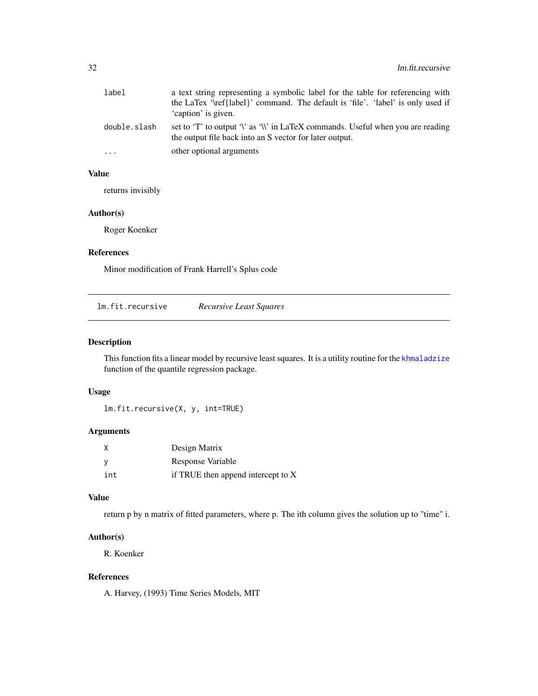<span id="page-31-0"></span>

| label        | a text string representing a symbolic label for the table for referencing with                                                             |
|--------------|--------------------------------------------------------------------------------------------------------------------------------------------|
|              | the LaTex '\ref{label}' command. The default is 'file'. 'label' is only used if                                                            |
|              | 'caption' is given.                                                                                                                        |
| double.slash | set to 'T' to output '\' as '\\' in LaTeX commands. Useful when you are reading<br>the output file back into an S vector for later output. |
| .            | other optional arguments                                                                                                                   |

## Value

returns invisibly

# Author(s)

Roger Koenker

# References

Minor modification of Frank Harrell's Splus code

lm.fit.recursive *Recursive Least Squares*

# Description

This function fits a linear model by recursive least squares. It is a utility routine for the [khmaladzize](#page-25-2) function of the quantile regression package.

# Usage

```
lm.fit.recursive(X, y, int=TRUE)
```
# Arguments

| X        | Design Matrix                      |
|----------|------------------------------------|
| <b>V</b> | Response Variable                  |
| int      | if TRUE then append intercept to X |

# Value

return p by n matrix of fitted parameters, where p. The ith column gives the solution up to "time" i.

# Author(s)

R. Koenker

# References

A. Harvey, (1993) Time Series Models, MIT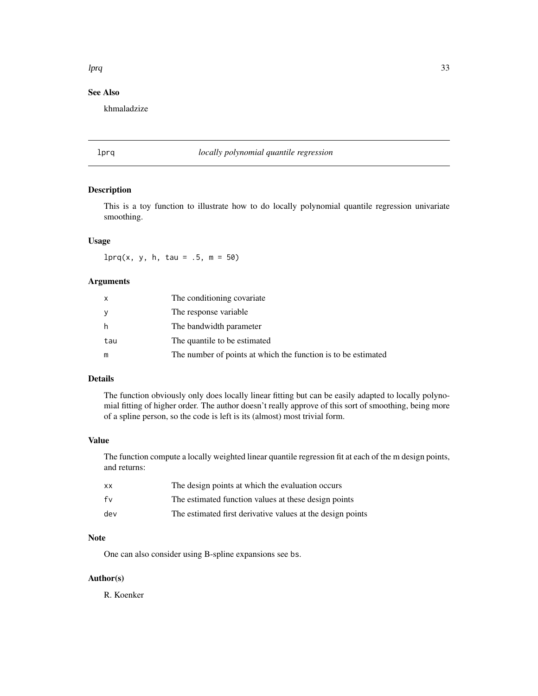# <span id="page-32-0"></span>lprq 33

# See Also

khmaladzize

# lprq *locally polynomial quantile regression*

# Description

This is a toy function to illustrate how to do locally polynomial quantile regression univariate smoothing.

## Usage

 $lprq(x, y, h, tau = .5, m = 50)$ 

# Arguments

| X   | The conditioning covariate                                    |
|-----|---------------------------------------------------------------|
| У   | The response variable                                         |
| h   | The bandwidth parameter                                       |
| tau | The quantile to be estimated                                  |
| m   | The number of points at which the function is to be estimated |

# Details

The function obviously only does locally linear fitting but can be easily adapted to locally polynomial fitting of higher order. The author doesn't really approve of this sort of smoothing, being more of a spline person, so the code is left is its (almost) most trivial form.

## Value

The function compute a locally weighted linear quantile regression fit at each of the m design points, and returns:

| xх  | The design points at which the evaluation occurs           |
|-----|------------------------------------------------------------|
| fv  | The estimated function values at these design points       |
| dev | The estimated first derivative values at the design points |

# Note

One can also consider using B-spline expansions see bs.

# Author(s)

R. Koenker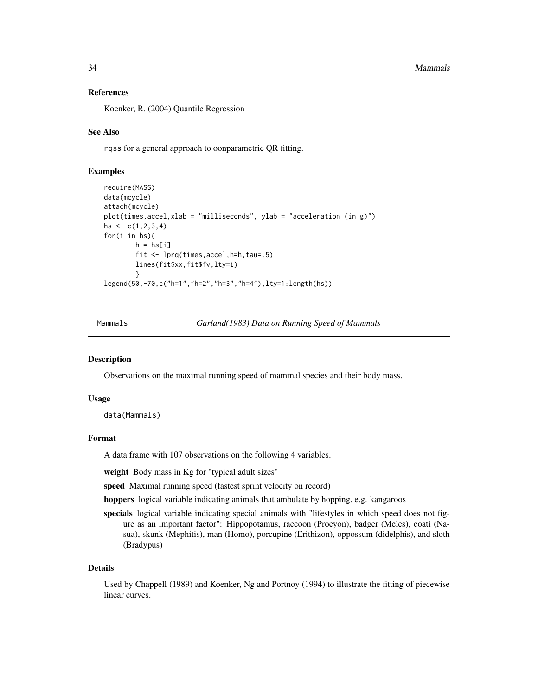#### 34 Mammals

#### References

Koenker, R. (2004) Quantile Regression

## See Also

rqss for a general approach to oonparametric QR fitting.

## Examples

```
require(MASS)
data(mcycle)
attach(mcycle)
plot(times,accel,xlab = "milliseconds", ylab = "acceleration (in g)")
hs \leq c(1, 2, 3, 4)for(i in hs){
        h = h s[i]fit <- lprq(times,accel,h=h,tau=.5)
        lines(fit$xx,fit$fv,lty=i)
        }
legend(50,-70,c("h=1","h=2","h=3","h=4"),lty=1:length(hs))
```
Mammals *Garland(1983) Data on Running Speed of Mammals*

#### **Description**

Observations on the maximal running speed of mammal species and their body mass.

#### Usage

data(Mammals)

#### Format

A data frame with 107 observations on the following 4 variables.

weight Body mass in Kg for "typical adult sizes"

speed Maximal running speed (fastest sprint velocity on record)

hoppers logical variable indicating animals that ambulate by hopping, e.g. kangaroos

specials logical variable indicating special animals with "lifestyles in which speed does not figure as an important factor": Hippopotamus, raccoon (Procyon), badger (Meles), coati (Nasua), skunk (Mephitis), man (Homo), porcupine (Erithizon), oppossum (didelphis), and sloth (Bradypus)

#### Details

Used by Chappell (1989) and Koenker, Ng and Portnoy (1994) to illustrate the fitting of piecewise linear curves.

<span id="page-33-0"></span>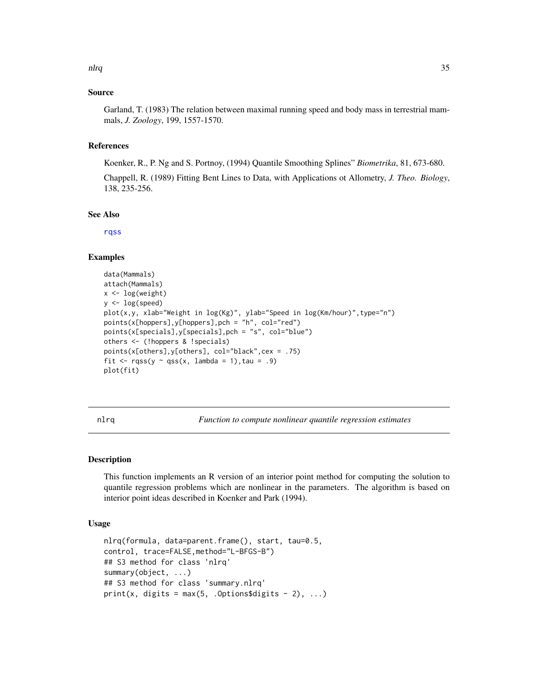#### <span id="page-34-0"></span>nlrq 35

## Source

Garland, T. (1983) The relation between maximal running speed and body mass in terrestrial mammals, *J. Zoology*, 199, 1557-1570.

#### References

Koenker, R., P. Ng and S. Portnoy, (1994) Quantile Smoothing Splines" *Biometrika*, 81, 673-680.

Chappell, R. (1989) Fitting Bent Lines to Data, with Applications ot Allometry, *J. Theo. Biology*, 138, 235-256.

#### See Also

[rqss](#page-78-1)

#### Examples

```
data(Mammals)
attach(Mammals)
x <- log(weight)
y <- log(speed)
plot(x,y, xlab="Weight in log(Kg)", ylab="Speed in log(Km/hour)",type="n")
points(x[hoppers],y[hoppers],pch = "h", col="red")points(x[specials],y[specials],pch = "s", col="blue")
others <- (!hoppers & !specials)
points(x[others],y[others], col="black",cex = .75)
fit \leq rqss(y \sim qss(x, lambda = 1), tau = .9)
plot(fit)
```
nlrq *Function to compute nonlinear quantile regression estimates*

## Description

This function implements an R version of an interior point method for computing the solution to quantile regression problems which are nonlinear in the parameters. The algorithm is based on interior point ideas described in Koenker and Park (1994).

## Usage

```
nlrq(formula, data=parent.frame(), start, tau=0.5,
control, trace=FALSE,method="L-BFGS-B")
## S3 method for class 'nlrq'
summary(object, ...)
## S3 method for class 'summary.nlrq'
print(x, digits = max(5, .0ptions$ digits - 2), ...)
```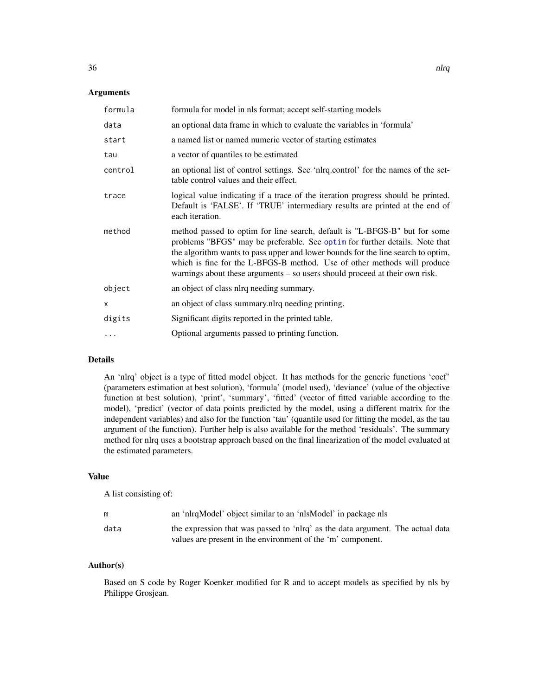#### Arguments

| formula  | formula for model in nls format; accept self-starting models                                                                                                                                                                                                                                                                                                                                             |
|----------|----------------------------------------------------------------------------------------------------------------------------------------------------------------------------------------------------------------------------------------------------------------------------------------------------------------------------------------------------------------------------------------------------------|
| data     | an optional data frame in which to evaluate the variables in 'formula'                                                                                                                                                                                                                                                                                                                                   |
| start    | a named list or named numeric vector of starting estimates                                                                                                                                                                                                                                                                                                                                               |
| tau      | a vector of quantiles to be estimated                                                                                                                                                                                                                                                                                                                                                                    |
| control  | an optional list of control settings. See 'nlrq.control' for the names of the set-<br>table control values and their effect.                                                                                                                                                                                                                                                                             |
| trace    | logical value indicating if a trace of the iteration progress should be printed.<br>Default is 'FALSE'. If 'TRUE' intermediary results are printed at the end of<br>each iteration.                                                                                                                                                                                                                      |
| method   | method passed to optim for line search, default is "L-BFGS-B" but for some<br>problems "BFGS" may be preferable. See optim for further details. Note that<br>the algorithm wants to pass upper and lower bounds for the line search to optim,<br>which is fine for the L-BFGS-B method. Use of other methods will produce<br>warnings about these arguments – so users should proceed at their own risk. |
| object   | an object of class nlrq needing summary.                                                                                                                                                                                                                                                                                                                                                                 |
| $\times$ | an object of class summary.nlrq needing printing.                                                                                                                                                                                                                                                                                                                                                        |
| digits   | Significant digits reported in the printed table.                                                                                                                                                                                                                                                                                                                                                        |
| .        | Optional arguments passed to printing function.                                                                                                                                                                                                                                                                                                                                                          |

## Details

An 'nlrq' object is a type of fitted model object. It has methods for the generic functions 'coef' (parameters estimation at best solution), 'formula' (model used), 'deviance' (value of the objective function at best solution), 'print', 'summary', 'fitted' (vector of fitted variable according to the model), 'predict' (vector of data points predicted by the model, using a different matrix for the independent variables) and also for the function 'tau' (quantile used for fitting the model, as the tau argument of the function). Further help is also available for the method 'residuals'. The summary method for nlrq uses a bootstrap approach based on the final linearization of the model evaluated at the estimated parameters.

#### Value

A list consisting of:

| m    | an 'nlrqModel' object similar to an 'nlsModel' in package nls                                                                                 |
|------|-----------------------------------------------------------------------------------------------------------------------------------------------|
| data | the expression that was passed to 'nlrq' as the data argument. The actual data<br>values are present in the environment of the 'm' component. |

# Author(s)

Based on S code by Roger Koenker modified for R and to accept models as specified by nls by Philippe Grosjean.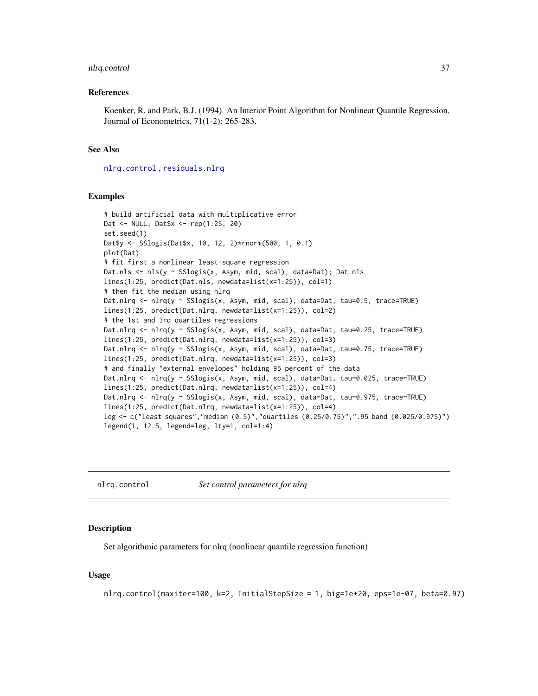## nlrq.control 37

#### References

Koenker, R. and Park, B.J. (1994). An Interior Point Algorithm for Nonlinear Quantile Regression, Journal of Econometrics, 71(1-2): 265-283.

# See Also

[nlrq.control](#page-36-0) , [residuals.nlrq](#page-57-0)

#### Examples

```
# build artificial data with multiplicative error
Dat <- NULL; Dat$x <- rep(1:25, 20)
set.seed(1)
Dat$y <- SSlogis(Dat$x, 10, 12, 2)*rnorm(500, 1, 0.1)
plot(Dat)
# fit first a nonlinear least-square regression
Dat.nls <- nls(y ~ SSlogis(x, Asym, mid, scal), data=Dat); Dat.nls
lines(1:25, predict(Dat.nls, newdata=list(x=1:25)), col=1)
# then fit the median using nlrq
Dat.nlrq <- nlrq(y ~ SSlogis(x, Asym, mid, scal), data=Dat, tau=0.5, trace=TRUE)
lines(1:25, predict(Dat.nlrq, newdata=list(x=1:25)), col=2)
# the 1st and 3rd quartiles regressions
Dat.nlrq <- nlrq(y ~ SSlogis(x, Asym, mid, scal), data=Dat, tau=0.25, trace=TRUE)
lines(1:25, predict(Dat.nlrq, newdata=list(x=1:25)), col=3)
Dat.nlrq <- nlrq(y ~ SSlogis(x, Asym, mid, scal), data=Dat, tau=0.75, trace=TRUE)
lines(1:25, predict(Dat.nlrq, newdata=list(x=1:25)), col=3)
# and finally "external envelopes" holding 95 percent of the data
Dat.nlrq <- nlrq(y ~ SSlogis(x, Asym, mid, scal), data=Dat, tau=0.025, trace=TRUE)
lines(1:25, predict(Dat.nlrq, newdata=list(x=1:25)), col=4)
Dat.nlrq <- nlrq(y ~ SSlogis(x, Asym, mid, scal), data=Dat, tau=0.975, trace=TRUE)
lines(1:25, predict(Dat.nlrq, newdata=list(x=1:25)), col=4)
leg <- c("least squares","median (0.5)","quartiles (0.25/0.75)",".95 band (0.025/0.975)")
legend(1, 12.5, legend=leg, lty=1, col=1:4)
```
<span id="page-36-0"></span>nlrq.control *Set control parameters for nlrq*

#### **Description**

Set algorithmic parameters for nlrq (nonlinear quantile regression function)

## Usage

```
nlrq.control(maxiter=100, k=2, InitialStepSize = 1, big=1e+20, eps=1e-07, beta=0.97)
```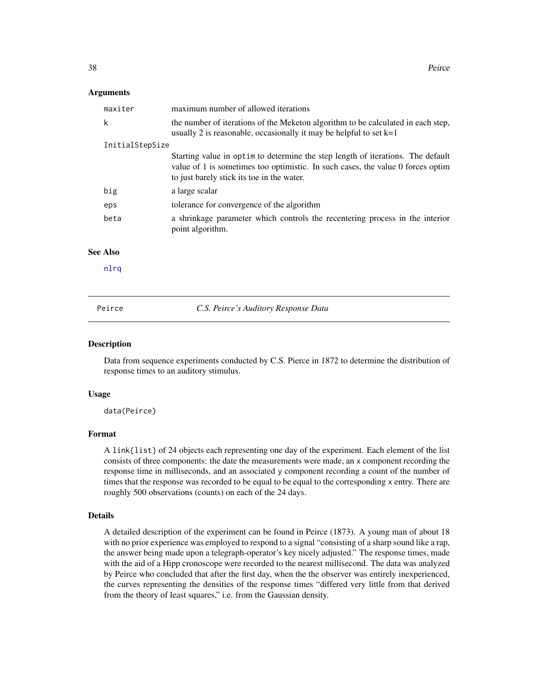#### Arguments

| maxiter         | maximum number of allowed iterations                                                                                                                                                                             |
|-----------------|------------------------------------------------------------------------------------------------------------------------------------------------------------------------------------------------------------------|
| k               | the number of iterations of the Meketon algorithm to be calculated in each step,<br>usually 2 is reasonable, occasionally it may be helpful to set $k=1$                                                         |
| InitialStepSize |                                                                                                                                                                                                                  |
|                 | Starting value in optim to determine the step length of iterations. The default<br>value of 1 is sometimes too optimistic. In such cases, the value 0 forces optim<br>to just barely stick its toe in the water. |
| big             | a large scalar                                                                                                                                                                                                   |
| eps             | tolerance for convergence of the algorithm                                                                                                                                                                       |
| beta            | a shrinkage parameter which controls the recentering process in the interior<br>point algorithm.                                                                                                                 |
| <b>See Also</b> |                                                                                                                                                                                                                  |
| nlrq            |                                                                                                                                                                                                                  |
| Peirce          | C.S. Peirce's Auditory Response Data                                                                                                                                                                             |

#### Description

Data from sequence experiments conducted by C.S. Pierce in 1872 to determine the distribution of response times to an auditory stimulus.

#### Usage

data(Peirce)

## Format

A link{list} of 24 objects each representing one day of the experiment. Each element of the list consists of three components: the date the measurements were made, an x component recording the response time in milliseconds, and an associated y component recording a count of the number of times that the response was recorded to be equal to be equal to the corresponding x entry. There are roughly 500 observations (counts) on each of the 24 days.

#### Details

A detailed description of the experiment can be found in Peirce (1873). A young man of about 18 with no prior experience was employed to respond to a signal "consisting of a sharp sound like a rap, the answer being made upon a telegraph-operator's key nicely adjusted." The response times, made with the aid of a Hipp cronoscope were recorded to the nearest millisecond. The data was analyzed by Peirce who concluded that after the first day, when the the observer was entirely inexperienced, the curves representing the densities of the response times "differed very little from that derived from the theory of least squares," i.e. from the Gaussian density.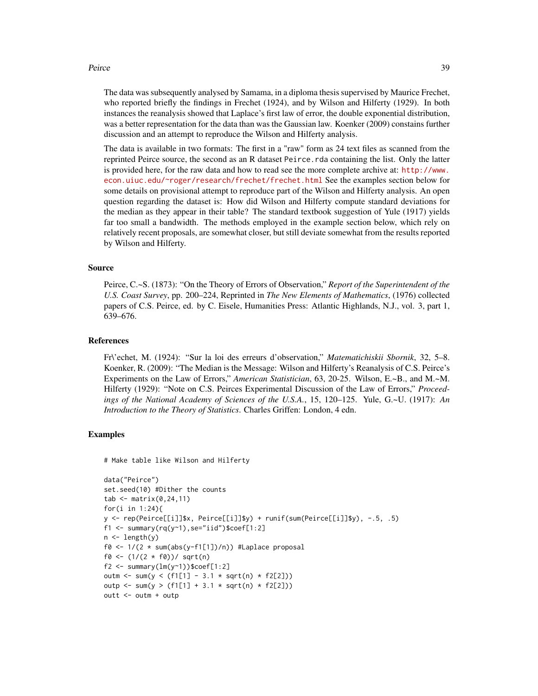#### Peirce 39

The data was subsequently analysed by Samama, in a diploma thesis supervised by Maurice Frechet, who reported briefly the findings in Frechet (1924), and by Wilson and Hilferty (1929). In both instances the reanalysis showed that Laplace's first law of error, the double exponential distribution, was a better representation for the data than was the Gaussian law. Koenker (2009) constains further discussion and an attempt to reproduce the Wilson and Hilferty analysis.

The data is available in two formats: The first in a "raw" form as 24 text files as scanned from the reprinted Peirce source, the second as an R dataset Peirce.rda containing the list. Only the latter is provided here, for the raw data and how to read see the more complete archive at: [http://www.](http://www.econ.uiuc.edu/~roger/research/frechet/frechet.html) [econ.uiuc.edu/~roger/research/frechet/frechet.html](http://www.econ.uiuc.edu/~roger/research/frechet/frechet.html) See the examples section below for some details on provisional attempt to reproduce part of the Wilson and Hilferty analysis. An open question regarding the dataset is: How did Wilson and Hilferty compute standard deviations for the median as they appear in their table? The standard textbook suggestion of Yule (1917) yields far too small a bandwidth. The methods employed in the example section below, which rely on relatively recent proposals, are somewhat closer, but still deviate somewhat from the results reported by Wilson and Hilferty.

#### Source

Peirce, C.~S. (1873): "On the Theory of Errors of Observation," *Report of the Superintendent of the U.S. Coast Survey*, pp. 200–224, Reprinted in *The New Elements of Mathematics*, (1976) collected papers of C.S. Peirce, ed. by C. Eisele, Humanities Press: Atlantic Highlands, N.J., vol. 3, part 1, 639–676.

#### References

Fr\'echet, M. (1924): "Sur la loi des erreurs d'observation," *Matematichiskii Sbornik*, 32, 5–8. Koenker, R. (2009): "The Median is the Message: Wilson and Hilferty's Reanalysis of C.S. Peirce's Experiments on the Law of Errors," *American Statistician*, 63, 20-25. Wilson, E.~B., and M.~M. Hilferty (1929): "Note on C.S. Peirces Experimental Discussion of the Law of Errors," *Proceedings of the National Academy of Sciences of the U.S.A.*, 15, 120–125. Yule, G.~U. (1917): *An Introduction to the Theory of Statistics*. Charles Griffen: London, 4 edn.

## Examples

# Make table like Wilson and Hilferty

```
data("Peirce")
set.seed(10) #Dither the counts
tab \leftarrow matrix(0, 24, 11)for(i in 1:24){
y <- rep(Peirce[[i]]$x, Peirce[[i]]$y) + runif(sum(Peirce[[i]]$y), -.5, .5)
f1 <- summary(rq(y~1),se="iid")$coef[1:2]
n \leftarrow length(y)
f0 \le -1/(2 * sum(abs(y-f1[1])/n)) #Laplace proposal
f0 <- (1/(2 * f0))/ sqrt(n)
f2 \leq -\text{summary}(lm(y \sim 1))$coef[1:2]
outm <- sum(y < (f1[1] - 3.1 * sqrt(n) * f2[2]))outp <- sum(y > (f1[1] + 3.1 * sqrt(n) * f2[2]))outt <- outm + outp
```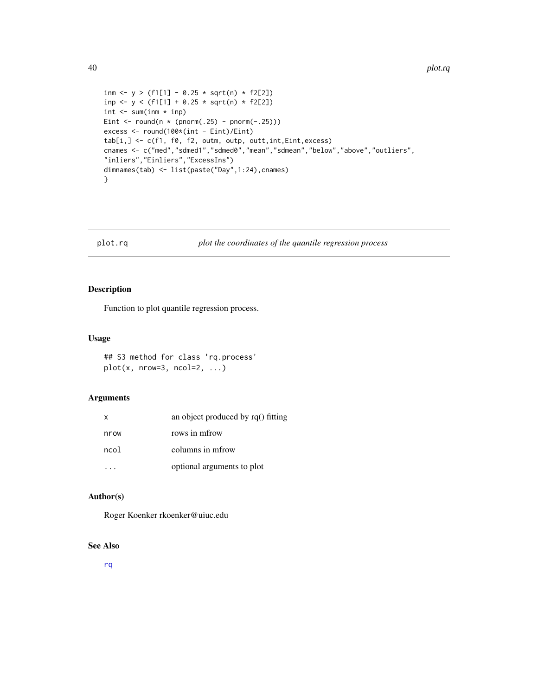```
inm <- y > (f1[1] - 0.25 * sqrt(n) * f2[2])inp \leftarrow y \leftarrow (f1[1] + 0.25 * sqrt(n) * f2[2])int \leq sum(inm * inp)
Eint \le round(n \star (pnorm(.25) - pnorm(-.25)))
excess <- round(100*(int - Eint)/Eint)
tab[i, ] \leftarrow c(f1, f0, f2, outm, outp, outt, int, Eint, excess)cnames <- c("med","sdmed1","sdmed0","mean","sdmean","below","above","outliers",
"inliers","Einliers","ExcessIns")
dimnames(tab) <- list(paste("Day",1:24),cnames)
}
```
## plot.rq *plot the coordinates of the quantile regression process*

# Description

Function to plot quantile regression process.

## Usage

## S3 method for class 'rq.process'  $plot(x, nrow=3, ncol=2, ...)$ 

# Arguments

| x    | an object produced by $rq()$ fitting |
|------|--------------------------------------|
| nrow | rows in mfrow                        |
| ncol | columns in mfrow                     |
|      | optional arguments to plot           |

# Author(s)

Roger Koenker rkoenker@uiuc.edu

# See Also

[rq](#page-57-1)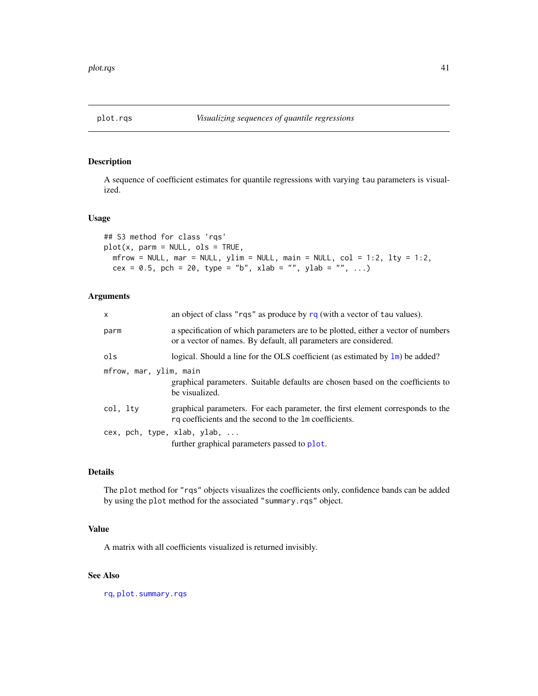<span id="page-40-0"></span>

A sequence of coefficient estimates for quantile regressions with varying tau parameters is visualized.

## Usage

```
## S3 method for class 'rqs'
plot(x, parm = NULL, ols = TRUE,
 m Frow = NULL, mar = NULL, ylim = NULL, main = NULL, col = 1:2, lty = 1:2,
 cex = 0.5, pch = 20, type = "b", xlab = "", ylab = "", ...)
```
## Arguments

| $\mathsf{x}$           | an object of class "rqs" as produce by $rq$ (with a vector of tau values).                                                                            |
|------------------------|-------------------------------------------------------------------------------------------------------------------------------------------------------|
| parm                   | a specification of which parameters are to be plotted, either a vector of numbers<br>or a vector of names. By default, all parameters are considered. |
| ols                    | logical. Should a line for the OLS coefficient (as estimated by $\text{Im}$ ) be added?                                                               |
| mfrow, mar, ylim, main | graphical parameters. Suitable defaults are chosen based on the coefficients to<br>be visualized.                                                     |
| col, ltv               | graphical parameters. For each parameter, the first element corresponds to the<br>rq coefficients and the second to the 1m coefficients.              |
|                        | cex, pch, type, xlab, ylab,<br>further graphical parameters passed to plot.                                                                           |

# Details

The plot method for "rqs" objects visualizes the coefficients only, confidence bands can be added by using the plot method for the associated "summary.rqs" object.

# Value

A matrix with all coefficients visualized is returned invisibly.

# See Also

[rq](#page-57-1), [plot.summary.rqs](#page-43-0)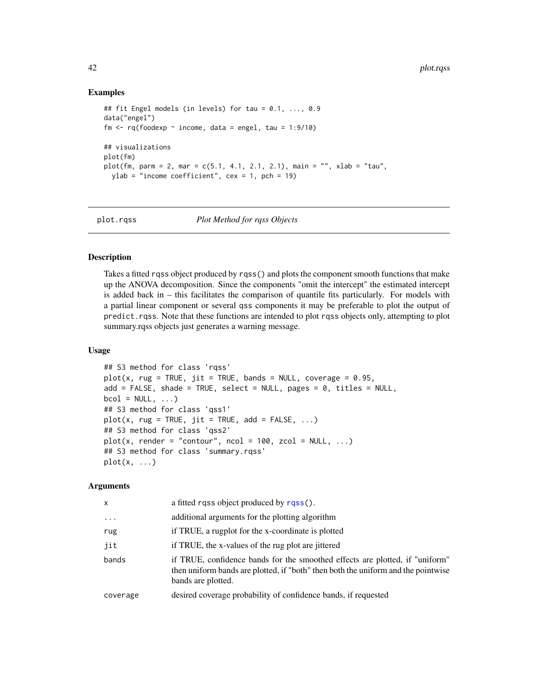## Examples

```
## fit Engel models (in levels) for tau = 0.1, ..., 0.9
data("engel")
fm \leq rq(foodexp \sim income, data = engel, tau = 1:9/10)
## visualizations
plot(fm)
plot(fm, parm = 2, mar = c(5.1, 4.1, 2.1, 2.1), main = "", xlab = "tau",
  ylab = "income coefficient", cex = 1, pch = 19)
```
plot.rqss *Plot Method for rqss Objects*

## Description

Takes a fitted rqss object produced by rqss() and plots the component smooth functions that make up the ANOVA decomposition. Since the components "omit the intercept" the estimated intercept is added back in – this facilitates the comparison of quantile fits particularly. For models with a partial linear component or several qss components it may be preferable to plot the output of predict.rqss. Note that these functions are intended to plot rqss objects only, attempting to plot summary.rqss objects just generates a warning message.

## Usage

```
## S3 method for class 'rqss'
plot(x, rug = TRUE, jit = TRUE, bands = NULL, coverage = 0.95,add = FALSE, shade = TRUE, select = NULL, pages = \theta, titles = NULL,
bcol = NULL, ...## S3 method for class 'qss1'
plot(x, rug = TRUE, jit = TRUE, add = FALSE, ...)## S3 method for class 'qss2'
plot(x, render = "contour", noch = 100, zcol = NULL, ...)## S3 method for class 'summary.rqss'
plot(x, \ldots)
```
#### Arguments

| X        | a fitted rass object produced by rass().                                                                                                                                                |
|----------|-----------------------------------------------------------------------------------------------------------------------------------------------------------------------------------------|
| $\cdot$  | additional arguments for the plotting algorithm                                                                                                                                         |
| rug      | if TRUE, a rugplot for the x-coordinate is plotted                                                                                                                                      |
| jit      | if TRUE, the x-values of the rug plot are jittered                                                                                                                                      |
| bands    | if TRUE, confidence bands for the smoothed effects are plotted, if "uniform"<br>then uniform bands are plotted, if "both" then both the uniform and the pointwise<br>bands are plotted. |
| coverage | desired coverage probability of confidence bands, if requested                                                                                                                          |
|          |                                                                                                                                                                                         |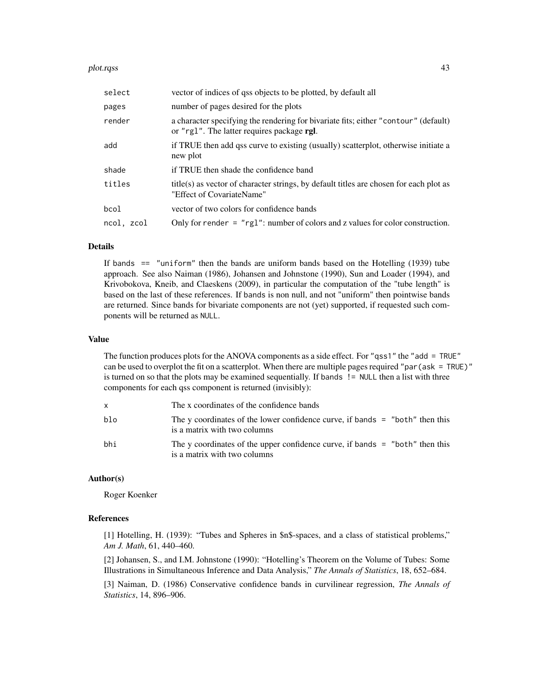#### plot.rqss and the contract of the contract of the contract of the contract of the contract of the contract of the contract of the contract of the contract of the contract of the contract of the contract of the contract of

| select     | vector of indices of qss objects to be plotted, by default all                                                                    |
|------------|-----------------------------------------------------------------------------------------------------------------------------------|
| pages      | number of pages desired for the plots                                                                                             |
| render     | a character specifying the rendering for bivariate fits; either "contour" (default)<br>or "rg1". The latter requires package rgl. |
| add        | if TRUE then add qss curve to existing (usually) scatterplot, otherwise initiate a<br>new plot                                    |
| shade      | if TRUE then shade the confidence band                                                                                            |
| titles     | title(s) as vector of character strings, by default titles are chosen for each plot as<br>"Effect of CovariateName"               |
| bcol       | vector of two colors for confidence bands                                                                                         |
| ncol, zcol | Only for render $=$ "rg1": number of colors and z values for color construction.                                                  |

## Details

If bands  $==$  "uniform" then the bands are uniform bands based on the Hotelling (1939) tube approach. See also Naiman (1986), Johansen and Johnstone (1990), Sun and Loader (1994), and Krivobokova, Kneib, and Claeskens (2009), in particular the computation of the "tube length" is based on the last of these references. If bands is non null, and not "uniform" then pointwise bands are returned. Since bands for bivariate components are not (yet) supported, if requested such components will be returned as NULL.

## Value

The function produces plots for the ANOVA components as a side effect. For "qss1" the "add = TRUE" can be used to overplot the fit on a scatterplot. When there are multiple pages required "par(ask = TRUE)" is turned on so that the plots may be examined sequentially. If bands != NULL then a list with three components for each qss component is returned (invisibly):

| X   | The x coordinates of the confidence bands                                                                    |
|-----|--------------------------------------------------------------------------------------------------------------|
| blo | The y coordinates of the lower confidence curve, if bands = "both" then this<br>is a matrix with two columns |
| bhi | The y coordinates of the upper confidence curve, if bands = "both" then this<br>is a matrix with two columns |

# Author(s)

Roger Koenker

# References

[1] Hotelling, H. (1939): "Tubes and Spheres in \$n\$-spaces, and a class of statistical problems," *Am J. Math*, 61, 440–460.

[2] Johansen, S., and I.M. Johnstone (1990): "Hotelling's Theorem on the Volume of Tubes: Some Illustrations in Simultaneous Inference and Data Analysis," *The Annals of Statistics*, 18, 652–684.

[3] Naiman, D. (1986) Conservative confidence bands in curvilinear regression, *The Annals of Statistics*, 14, 896–906.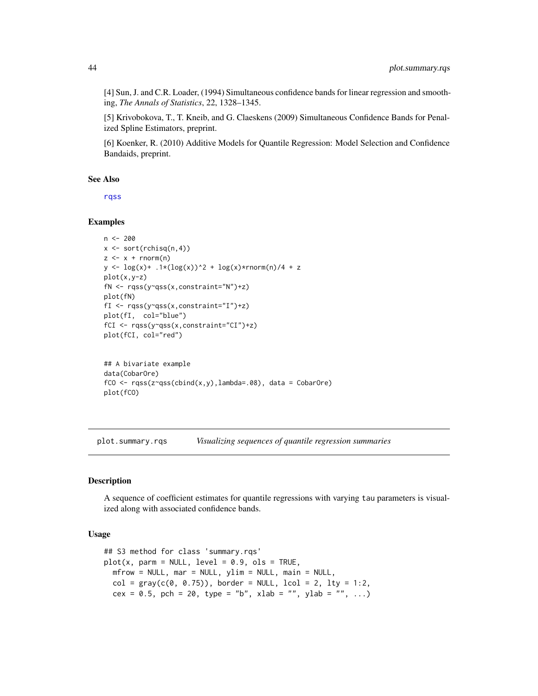[4] Sun, J. and C.R. Loader, (1994) Simultaneous confidence bands for linear regression and smoothing, *The Annals of Statistics*, 22, 1328–1345.

[5] Krivobokova, T., T. Kneib, and G. Claeskens (2009) Simultaneous Confidence Bands for Penalized Spline Estimators, preprint.

[6] Koenker, R. (2010) Additive Models for Quantile Regression: Model Selection and Confidence Bandaids, preprint.

#### See Also

[rqss](#page-78-0)

## Examples

```
n < -200x \le -\text{sort}(\text{rchisq}(n, 4))z \leq x + \text{norm}(n)y \leq log(x) + .1*(log(x))^2 + log(x)*norm(n)/4 + zplot(x,y-z)
fN <- rqss(y~qss(x,constraint="N")+z)
plot(fN)
fI <- rqss(y~qss(x,constraint="I")+z)
plot(fI, col="blue")
fCI <- rqss(y~qss(x,constraint="CI")+z)
plot(fCI, col="red")
## A bivariate example
data(CobarOre)
fCO \leq rqss(z\gamma qss(cbind(x,y),lambda=0.08), data = CobarOre)plot(fCO)
```
<span id="page-43-0"></span>plot.summary.rqs *Visualizing sequences of quantile regression summaries*

## Description

A sequence of coefficient estimates for quantile regressions with varying tau parameters is visualized along with associated confidence bands.

#### Usage

```
## S3 method for class 'summary.rqs'
plot(x, parm = NULL, level = 0.9, obs = TRUE,m mfrow = NULL, mar = NULL, ylim = NULL, main = NULL,
 col = gray(c(0, 0.75)), border = NULL, lcol = 2, lty = 1:2,
  cex = 0.5, pch = 20, type = "b", xlab = "", ylab = "", ...)
```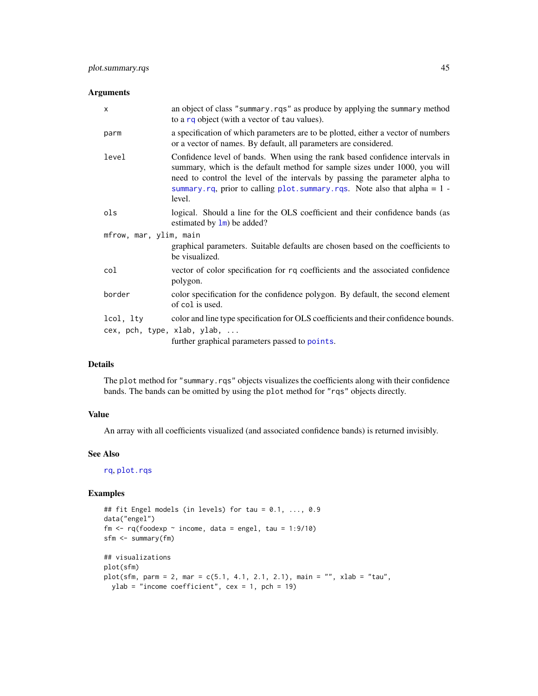## Arguments

| $\mathsf{x}$           | an object of class "summary.rqs" as produce by applying the summary method<br>to a rq object (with a vector of tau values).                                                                                                                                                                                                                |  |
|------------------------|--------------------------------------------------------------------------------------------------------------------------------------------------------------------------------------------------------------------------------------------------------------------------------------------------------------------------------------------|--|
| parm                   | a specification of which parameters are to be plotted, either a vector of numbers<br>or a vector of names. By default, all parameters are considered.                                                                                                                                                                                      |  |
| level                  | Confidence level of bands. When using the rank based confidence intervals in<br>summary, which is the default method for sample sizes under 1000, you will<br>need to control the level of the intervals by passing the parameter alpha to<br>summary. rq, prior to calling $plot \, .$ summary. rqs. Note also that alpha = 1 -<br>level. |  |
| ols                    | logical. Should a line for the OLS coefficient and their confidence bands (as<br>estimated by $\text{lm}$ ) be added?                                                                                                                                                                                                                      |  |
| mfrow, mar, ylim, main |                                                                                                                                                                                                                                                                                                                                            |  |
|                        | graphical parameters. Suitable defaults are chosen based on the coefficients to<br>be visualized.                                                                                                                                                                                                                                          |  |
| col                    | vector of color specification for rq coefficients and the associated confidence<br>polygon.                                                                                                                                                                                                                                                |  |
| border                 | color specification for the confidence polygon. By default, the second element<br>of col is used.                                                                                                                                                                                                                                          |  |
| lcol, lty              | color and line type specification for OLS coefficients and their confidence bounds.<br>cex, pch, type, xlab, ylab,<br>further graphical parameters passed to points.                                                                                                                                                                       |  |
|                        |                                                                                                                                                                                                                                                                                                                                            |  |

## Details

The plot method for "summary.rqs" objects visualizes the coefficients along with their confidence bands. The bands can be omitted by using the plot method for "rqs" objects directly.

# Value

An array with all coefficients visualized (and associated confidence bands) is returned invisibly.

# See Also

[rq](#page-57-1), [plot.rqs](#page-40-0)

# Examples

```
## fit Engel models (in levels) for tau = 0.1, ..., 0.9
data("engel")
fm \leq rq(foodexp \sim income, data = engel, tau = 1:9/10)
sfm <- summary(fm)
## visualizations
plot(sfm)
plot(sfm, parm = 2, mar = c(5.1, 4.1, 2.1, 2.1), main = "", xlab = "tau",
 ylab = "income coefficient", cex = 1, pch = 19)
```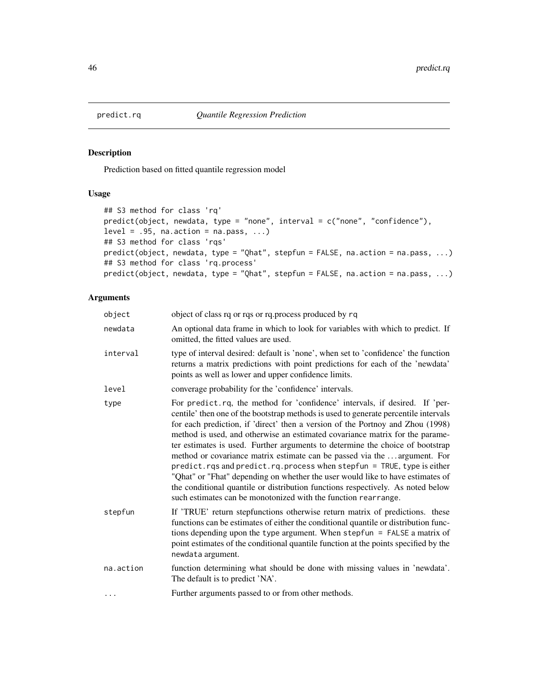Prediction based on fitted quantile regression model

# Usage

```
## S3 method for class 'rq'
predict(object, newdata, type = "none", interval = c("none", "confidence"),
level = .95, na.action = na.pass, ...)
## S3 method for class 'rqs'
predict(object, newdata, type = "Qhat", stepfun = FALSE, na.action = na.pass, ...)
## S3 method for class 'rq.process'
predict(object, newdata, type = "Qhat", stepfun = FALSE, na.action = na.pass, ...)
```
# Arguments

| object    | object of class rq or rqs or rq. process produced by rq                                                                                                                                                                                                                                                                                                                                                                                                                                                                                                                                                                                                                                                                                                                                                             |
|-----------|---------------------------------------------------------------------------------------------------------------------------------------------------------------------------------------------------------------------------------------------------------------------------------------------------------------------------------------------------------------------------------------------------------------------------------------------------------------------------------------------------------------------------------------------------------------------------------------------------------------------------------------------------------------------------------------------------------------------------------------------------------------------------------------------------------------------|
| newdata   | An optional data frame in which to look for variables with which to predict. If<br>omitted, the fitted values are used.                                                                                                                                                                                                                                                                                                                                                                                                                                                                                                                                                                                                                                                                                             |
| interval  | type of interval desired: default is 'none', when set to 'confidence' the function<br>returns a matrix predictions with point predictions for each of the 'newdata'<br>points as well as lower and upper confidence limits.                                                                                                                                                                                                                                                                                                                                                                                                                                                                                                                                                                                         |
| level     | converage probability for the 'confidence' intervals.                                                                                                                                                                                                                                                                                                                                                                                                                                                                                                                                                                                                                                                                                                                                                               |
| type      | For predict.rq, the method for 'confidence' intervals, if desired. If 'per-<br>centile' then one of the bootstrap methods is used to generate percentile intervals<br>for each prediction, if 'direct' then a version of the Portnoy and Zhou (1998)<br>method is used, and otherwise an estimated covariance matrix for the parame-<br>ter estimates is used. Further arguments to determine the choice of bootstrap<br>method or covariance matrix estimate can be passed via the  argument. For<br>predict.rqs and predict.rq.process when stepfun = TRUE, type is either<br>"Qhat" or "Fhat" depending on whether the user would like to have estimates of<br>the conditional quantile or distribution functions respectively. As noted below<br>such estimates can be monotonized with the function rearrange. |
| stepfun   | If 'TRUE' return stepfunctions otherwise return matrix of predictions. these<br>functions can be estimates of either the conditional quantile or distribution func-<br>tions depending upon the type argument. When stepfun = FALSE a matrix of<br>point estimates of the conditional quantile function at the points specified by the<br>newdata argument.                                                                                                                                                                                                                                                                                                                                                                                                                                                         |
| na.action | function determining what should be done with missing values in 'newdata'.<br>The default is to predict 'NA'.                                                                                                                                                                                                                                                                                                                                                                                                                                                                                                                                                                                                                                                                                                       |
| $\cdots$  | Further arguments passed to or from other methods.                                                                                                                                                                                                                                                                                                                                                                                                                                                                                                                                                                                                                                                                                                                                                                  |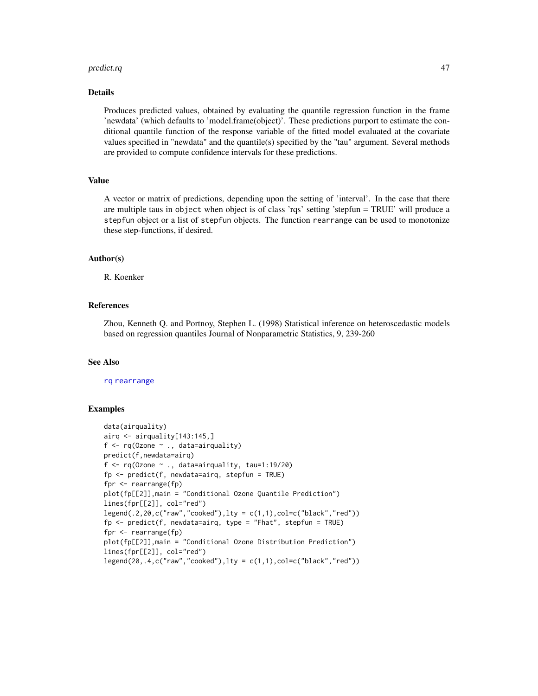#### predict.rq and the set of the set of the set of the set of the set of the set of the set of the set of the set of the set of the set of the set of the set of the set of the set of the set of the set of the set of the set o

#### Details

Produces predicted values, obtained by evaluating the quantile regression function in the frame 'newdata' (which defaults to 'model.frame(object)'. These predictions purport to estimate the conditional quantile function of the response variable of the fitted model evaluated at the covariate values specified in "newdata" and the quantile(s) specified by the "tau" argument. Several methods are provided to compute confidence intervals for these predictions.

#### Value

A vector or matrix of predictions, depending upon the setting of 'interval'. In the case that there are multiple taus in object when object is of class 'rqs' setting 'stepfun = TRUE' will produce a stepfun object or a list of stepfun objects. The function rearrange can be used to monotonize these step-functions, if desired.

## Author(s)

R. Koenker

## References

Zhou, Kenneth Q. and Portnoy, Stephen L. (1998) Statistical inference on heteroscedastic models based on regression quantiles Journal of Nonparametric Statistics, 9, 239-260

#### See Also

## [rq](#page-57-1) [rearrange](#page-56-0)

## Examples

```
data(airquality)
airq <- airquality[143:145,]
f \leftarrow rq(0zone ~ , , data=airquality)predict(f,newdata=airq)
f \leq rq(Ozone \sim ., data=airquality, tau=1:19/20)
fp \leq predict(f, newdata=airq, stepfun = TRUE)
fpr <- rearrange(fp)
plot(fp[[2]],main = "Conditional Ozone Quantile Prediction")
lines(fpr[[2]], col="red")
legend(.2,20, c("raw", "cooked"),lty = c(1,1), col=c("black", "red"))fp \leq- predict(f, newdata=airq, type = "Fhat", stepfun = TRUE)
fpr <- rearrange(fp)
plot(fp[[2]],main = "Conditional Ozone Distribution Prediction")
lines(fpr[[2]], col="red")
legend(20,.4,c("raw","cooked"),lty = c(1,1),col=c("black","red"))
```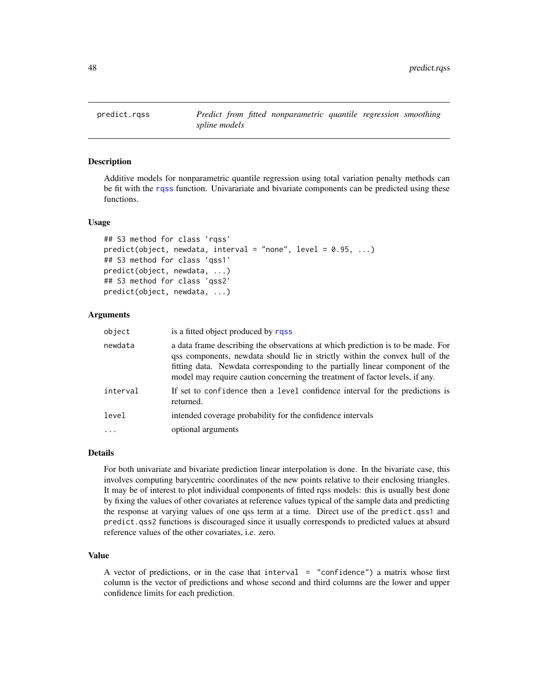Additive models for nonparametric quantile regression using total variation penalty methods can be fit with the [rqss](#page-78-0) function. Univarariate and bivariate components can be predicted using these functions.

## Usage

```
## S3 method for class 'rqss'
predict(object, new data, interval = "none", level = 0.95, ...)## S3 method for class 'qss1'
predict(object, newdata, ...)
## S3 method for class 'qss2'
predict(object, newdata, ...)
```
## Arguments

| object   | is a fitted object produced by rass                                                                                                                                                                                                                                                                                             |
|----------|---------------------------------------------------------------------------------------------------------------------------------------------------------------------------------------------------------------------------------------------------------------------------------------------------------------------------------|
| newdata  | a data frame describing the observations at which prediction is to be made. For<br>qss components, newdata should lie in strictly within the convex hull of the<br>fitting data. Newdata corresponding to the partially linear component of the<br>model may require caution concerning the treatment of factor levels, if any. |
| interval | If set to confidence then a level confidence interval for the predictions is<br>returned.                                                                                                                                                                                                                                       |
| level    | intended coverage probability for the confidence intervals                                                                                                                                                                                                                                                                      |
| .        | optional arguments                                                                                                                                                                                                                                                                                                              |
|          |                                                                                                                                                                                                                                                                                                                                 |

#### Details

For both univariate and bivariate prediction linear interpolation is done. In the bivariate case, this involves computing barycentric coordinates of the new points relative to their enclosing triangles. It may be of interest to plot individual components of fitted rqss models: this is usually best done by fixing the values of other covariates at reference values typical of the sample data and predicting the response at varying values of one qss term at a time. Direct use of the predict.qss1 and predict.qss2 functions is discouraged since it usually corresponds to predicted values at absurd reference values of the other covariates, i.e. zero.

## Value

A vector of predictions, or in the case that interval = "confidence") a matrix whose first column is the vector of predictions and whose second and third columns are the lower and upper confidence limits for each prediction.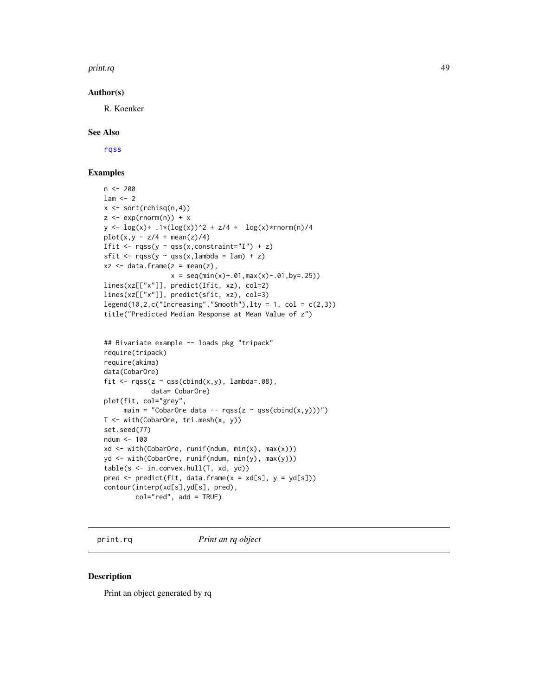#### print.rq and the contract of the contract of the contract of the contract of the contract of the contract of the contract of the contract of the contract of the contract of the contract of the contract of the contract of t

## Author(s)

R. Koenker

# See Also

[rqss](#page-78-0)

# Examples

```
n < -200lam < -2x <- sort(rchisq(n,4))
z \leq - \exp(\text{rnorm}(n)) + xy \leq log(x) + .1*(log(x))^2 + z/4 + log(x)*rnorm(n)/4plot(x, y - z/4 + mean(z)/4)Ifit \leq rqss(y \sim qss(x, constraint="I") + z)
sfit \leq rqss(y \sim qss(x,lambda = lam) + z)
xz <- data.frame(z = mean(z),
                  x = \text{seq}(\min(x) + .01, \max(x) - .01, \text{by} = .25)lines(xz[["x"]], predict(Ifit, xz), col=2)
lines(xz[["x"]], predict(sfit, xz), col=3)
legend(10, 2, c("Increasing", "Smooth"), lty = 1, col = c(2,3))title("Predicted Median Response at Mean Value of z")
## Bivariate example -- loads pkg "tripack"
require(tripack)
require(akima)
```

```
data(CobarOre)
fit \leq rqss(z \sim qss(cbind(x,y), lambda=.08),
            data= CobarOre)
plot(fit, col="grey",
     main = "CobarOre data -- rqss(z ~ qss(cbind(x,y)))")
T <- with(CobarOre, tri.mesh(x, y))
set.seed(77)
ndum <- 100
xd <- with(CobarOre, runif(ndum, min(x), max(x)))
yd <- with(CobarOre, runif(ndum, min(y), max(y)))
table(s <- in.convex.hull(T, xd, yd))
pred \leq predict(fit, data.frame(x = xd[s], y = yd[s]))
contour(interp(xd[s],yd[s], pred),
        col="red", add = TRUE)
```
print.rq *Print an rq object*

#### Description

Print an object generated by rq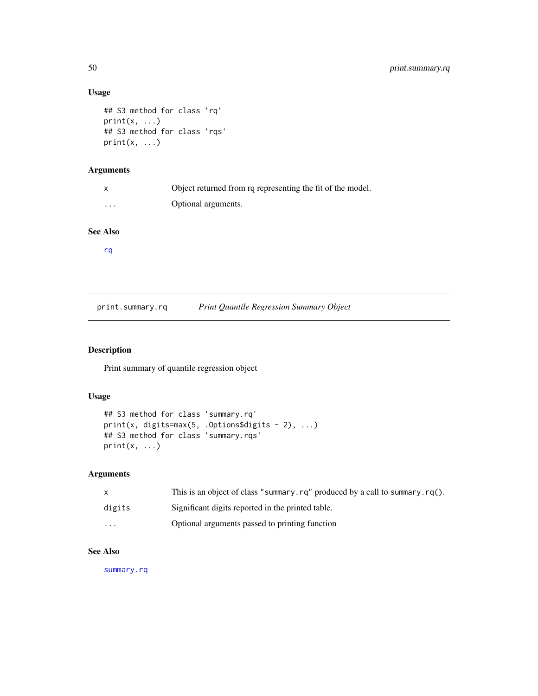# Usage

```
## S3 method for class 'rq'
print(x, \ldots)## S3 method for class 'rqs'
print(x, \ldots)
```
# Arguments

|          | Object returned from rq representing the fit of the model. |
|----------|------------------------------------------------------------|
| $\cdots$ | Optional arguments.                                        |

# See Also

[rq](#page-57-1)

print.summary.rq *Print Quantile Regression Summary Object*

# Description

Print summary of quantile regression object

# Usage

```
## S3 method for class 'summary.rq'
print(x, digits=max(5, .Options$digits - 2), ...)
## S3 method for class 'summary.rqs'
print(x, \ldots)
```
# Arguments

| X        | This is an object of class "summary.rg" produced by a call to summary.rg(). |
|----------|-----------------------------------------------------------------------------|
| digits   | Significant digits reported in the printed table.                           |
| $\cdots$ | Optional arguments passed to printing function                              |

# See Also

[summary.rq](#page-87-0)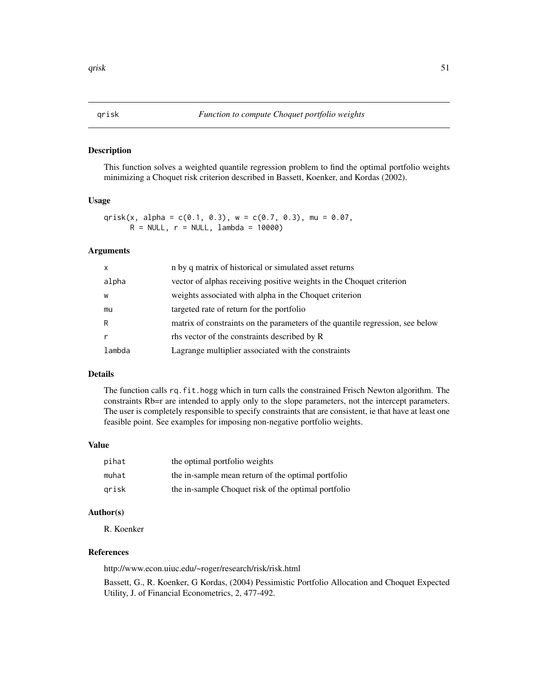<span id="page-50-0"></span>This function solves a weighted quantile regression problem to find the optimal portfolio weights minimizing a Choquet risk criterion described in Bassett, Koenker, and Kordas (2002).

#### Usage

qrisk(x, alpha =  $c(0.1, 0.3)$ , w =  $c(0.7, 0.3)$ , mu = 0.07,  $R = NULL, r = NULL, lambda = 10000)$ 

# Arguments

| $\mathsf{x}$ | n by q matrix of historical or simulated asset returns                        |
|--------------|-------------------------------------------------------------------------------|
| alpha        | vector of alphas receiving positive weights in the Choquet criterion          |
| W            | weights associated with alpha in the Choquet criterion                        |
| mu           | targeted rate of return for the portfolio                                     |
| R            | matrix of constraints on the parameters of the quantile regression, see below |
|              | the vector of the constraints described by R                                  |
| lambda       | Lagrange multiplier associated with the constraints                           |

## Details

The function calls rq.fit.hogg which in turn calls the constrained Frisch Newton algorithm. The constraints Rb=r are intended to apply only to the slope parameters, not the intercept parameters. The user is completely responsible to specify constraints that are consistent, ie that have at least one feasible point. See examples for imposing non-negative portfolio weights.

## Value

| pihat | the optimal portfolio weights                       |
|-------|-----------------------------------------------------|
| muhat | the in-sample mean return of the optimal portfolio  |
| arisk | the in-sample Choquet risk of the optimal portfolio |

# Author(s)

R. Koenker

#### References

http://www.econ.uiuc.edu/~roger/research/risk/risk.html

Bassett, G., R. Koenker, G Kordas, (2004) Pessimistic Portfolio Allocation and Choquet Expected Utility, J. of Financial Econometrics, 2, 477-492.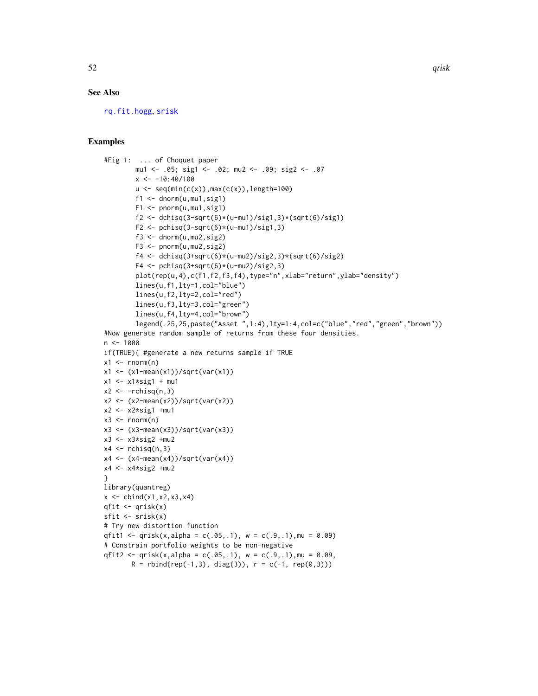## See Also

[rq.fit.hogg](#page-65-0), [srisk](#page-84-0)

#### Examples

```
#Fig 1: ... of Choquet paper
         mu1 <- .05; sig1 <- .02; mu2 <- .09; sig2 <- .07
         x < -10:40/100u \leftarrow \text{seq}(\min(c(x)), \max(c(x)), \text{length=100})f1 \leftarrow \text{dnorm}(u, mu1, sig1)F1 \leftarrow pnorm(u,mu1,sig1)
         f2 <- dchisq(3-sqrt(6)*(u-mu1)/sig1,3)*(sqrt(6)/sig1)
         F2 \le pchisq(3-sqrt(6)*(u-mu1)/sig1,3)
         f3 \leq dnorm(u, mu2, sig2)F3 <- pnorm(u,mu2,sig2)
         f4 <- dchisq(3+sqrt(6)*(u-mu2)/sig2,3)*(sqrt(6)/sig2)
         F4 \leftarrow pchisq(3+sqrt(6)*(u-mu2)/sig2,3)
         plot(rep(u,4),c(f1,f2,f3,f4),type="n",xlab="return",ylab="density")
         lines(u,f1,lty=1,col="blue")
         lines(u,f2,lty=2,col="red")
         lines(u,f3,lty=3,col="green")
         lines(u,f4,lty=4,col="brown")
         legend(.25,25,paste("Asset ",1:4),lty=1:4,col=c("blue","red","green","brown"))
#Now generate random sample of returns from these four densities.
n <- 1000
if(TRUE){ #generate a new returns sample if TRUE
x1 \leftarrow \text{rnorm}(n)x1 \leftarrow (x1 - \text{mean}(x1)) / \text{sqrt}(var(x1))x1 \leftarrow x1*sig1 + mu1x2 \leftarrow -rchisq(n,3)x2 \leftarrow (x2 - \text{mean}(x2)) / \text{sqrt}(var(x2))x2 \leq -x2*sig1 +mu1x3 \le- rnorm(n)x3 <- (x3-mean(x3))/sqrt(var(x3))
x3 <- x3*sig2 +mu2
x4 \leftarrow rchisq(n,3)
x4 \leftarrow (x4-mean(x4))/sqrt(var(x4))x4 \leftarrow x4*sig2 +mu2}
library(quantreg)
x \leftarrow \text{cbind}(x1, x2, x3, x4)qfit \leq qrisk(x)sfit \leftarrow srisk(x)# Try new distortion function
qfit1 <- qrisk(x,alpha = c(.05,.1), w = c(.9,.1), mu = 0.09)
# Constrain portfolio weights to be non-negative
qfit2 <- qrisk(x,alpha = c(.05,.1), w = c(.9,.1), mu = 0.09,
        R = \text{rbind}(\text{rep}(-1,3), \text{diag}(3)), r = c(-1, \text{rep}(\emptyset,3)))
```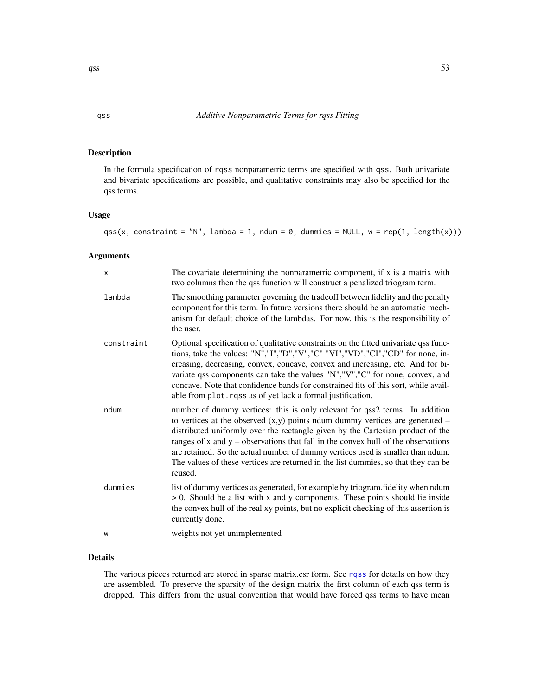In the formula specification of rqss nonparametric terms are specified with qss. Both univariate and bivariate specifications are possible, and qualitative constraints may also be specified for the qss terms.

# Usage

 $qss(x, constant = "N", lambda = 1, ndum = 0, dummies = NULL, w = rep(1, length(x)))$ 

## Arguments

| X          | The covariate determining the nonparametric component, if x is a matrix with<br>two columns then the qss function will construct a penalized triogram term.                                                                                                                                                                                                                                                                                                                                                                   |
|------------|-------------------------------------------------------------------------------------------------------------------------------------------------------------------------------------------------------------------------------------------------------------------------------------------------------------------------------------------------------------------------------------------------------------------------------------------------------------------------------------------------------------------------------|
| lambda     | The smoothing parameter governing the tradeoff between fidelity and the penalty<br>component for this term. In future versions there should be an automatic mech-<br>anism for default choice of the lambdas. For now, this is the responsibility of<br>the user.                                                                                                                                                                                                                                                             |
| constraint | Optional specification of qualitative constraints on the fitted univariate qss func-<br>tions, take the values: "N","I","D","V","C" "VI","VD","CI","CD" for none, in-<br>creasing, decreasing, convex, concave, convex and increasing, etc. And for bi-<br>variate qss components can take the values "N","V","C" for none, convex, and<br>concave. Note that confidence bands for constrained fits of this sort, while avail-<br>able from plot. rqss as of yet lack a formal justification.                                 |
| ndum       | number of dummy vertices: this is only relevant for qss2 terms. In addition<br>to vertices at the observed $(x, y)$ points ndum dummy vertices are generated –<br>distributed uniformly over the rectangle given by the Cartesian product of the<br>ranges of $x$ and $y$ – observations that fall in the convex hull of the observations<br>are retained. So the actual number of dummy vertices used is smaller than ndum.<br>The values of these vertices are returned in the list dummies, so that they can be<br>reused. |
| dummies    | list of dummy vertices as generated, for example by triogram.fidelity when ndum<br>$> 0$ . Should be a list with x and y components. These points should lie inside<br>the convex hull of the real xy points, but no explicit checking of this assertion is<br>currently done.                                                                                                                                                                                                                                                |
| W          | weights not yet unimplemented                                                                                                                                                                                                                                                                                                                                                                                                                                                                                                 |

# Details

The various pieces returned are stored in sparse matrix.csr form. See [rqss](#page-78-0) for details on how they are assembled. To preserve the sparsity of the design matrix the first column of each qss term is dropped. This differs from the usual convention that would have forced qss terms to have mean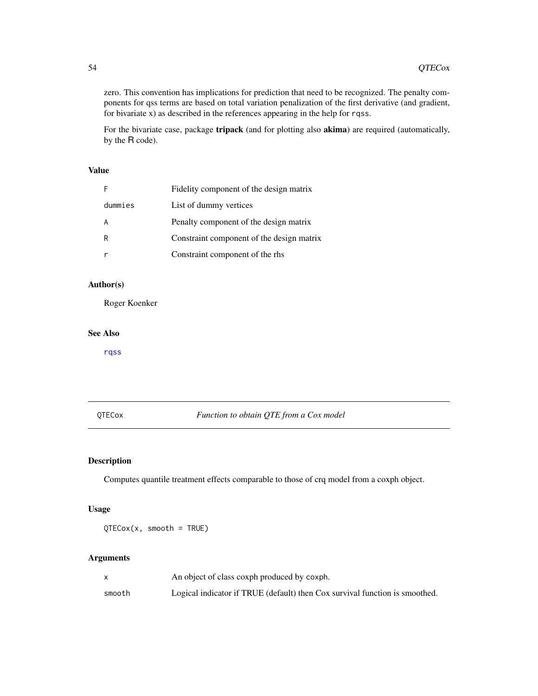zero. This convention has implications for prediction that need to be recognized. The penalty components for qss terms are based on total variation penalization of the first derivative (and gradient, for bivariate x) as described in the references appearing in the help for rqss.

For the bivariate case, package tripack (and for plotting also akima) are required (automatically, by the R code).

# Value

| F       | Fidelity component of the design matrix   |
|---------|-------------------------------------------|
| dummies | List of dummy vertices                    |
| A       | Penalty component of the design matrix    |
| R       | Constraint component of the design matrix |
|         | Constraint component of the rhs           |

# Author(s)

Roger Koenker

## See Also

[rqss](#page-78-0)

# QTECox *Function to obtain QTE from a Cox model*

# Description

Computes quantile treatment effects comparable to those of crq model from a coxph object.

# Usage

 $QTECox(x, smooth = TRUE)$ 

# Arguments

|        | An object of class coxph produced by coxph.                                 |
|--------|-----------------------------------------------------------------------------|
| smooth | Logical indicator if TRUE (default) then Cox survival function is smoothed. |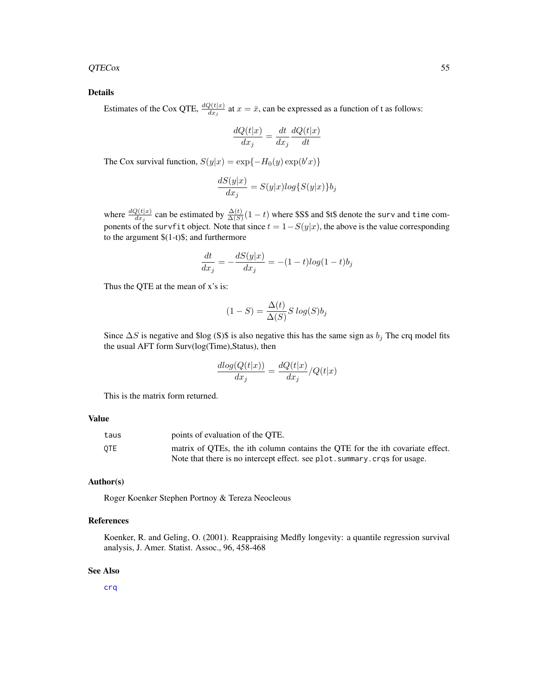## $QTECox$  55

# Details

Estimates of the Cox QTE,  $\frac{dQ(t|x)}{dx_j}$  at  $x = \bar{x}$ , can be expressed as a function of t as follows:

$$
\frac{dQ(t|x)}{dx_j} = \frac{dt}{dx_j} \frac{dQ(t|x)}{dt}
$$

The Cox survival function,  $S(y|x) = \exp\{-H_0(y) \exp(b'x)\}\$ 

$$
\frac{dS(y|x)}{dx_j}=S(y|x)log\{S(y|x)\}b_j
$$

where  $\frac{dQ(t|x)}{dx_j}$  can be estimated by  $\frac{\Delta(t)}{\Delta(S)}(1-t)$  where \$S\$ and \$t\$ denote the surv and time components of the survfit object. Note that since  $t = 1-S(y|x)$ , the above is the value corresponding to the argument \$(1-t)\$; and furthermore

$$
\frac{dt}{dx_j} = -\frac{dS(y|x)}{dx_j} = -(1-t)\log(1-t)b_j
$$

Thus the QTE at the mean of x's is:

$$
(1 - S) = \frac{\Delta(t)}{\Delta(S)} S \log(S) b_j
$$

Since  $\Delta S$  is negative and \$log (S)\$ is also negative this has the same sign as  $b_j$ . The crq model fits the usual AFT form Surv(log(Time),Status), then

$$
\frac{dlog(Q(t|x))}{dx_j} = \frac{dQ(t|x)}{dx_j}/Q(t|x)
$$

This is the matrix form returned.

#### Value

| taus | points of evaluation of the OTE.                                              |
|------|-------------------------------------------------------------------------------|
| 0TE  | matrix of OTEs, the ith column contains the OTE for the ith covariate effect. |
|      | Note that there is no intercept effect, see plot, summary, crqs for usage.    |

## Author(s)

Roger Koenker Stephen Portnoy & Tereza Neocleous

## References

Koenker, R. and Geling, O. (2001). Reappraising Medfly longevity: a quantile regression survival analysis, J. Amer. Statist. Assoc., 96, 458-468

## See Also

[crq](#page-15-0)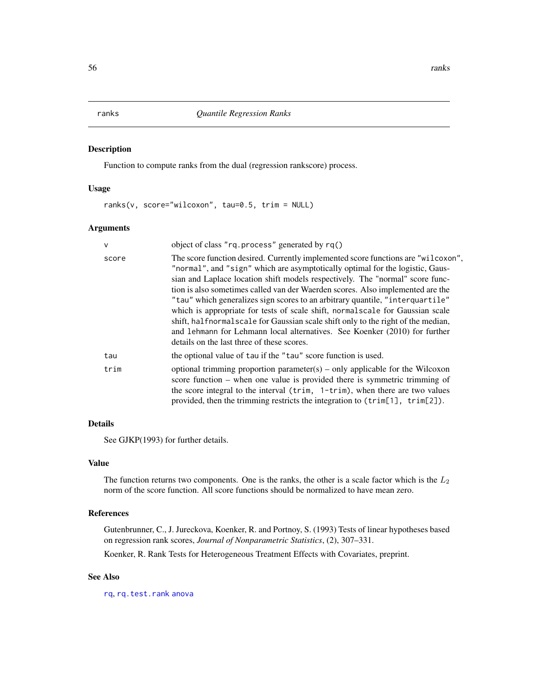Function to compute ranks from the dual (regression rankscore) process.

# Usage

ranks(v, score="wilcoxon", tau=0.5, trim = NULL)

# Arguments

| $\mathsf{V}$ | object of class "rq.process" generated by rq()                                                                                                                                                                                                                                                                                                                                                                                                                                                                                                                                                                                                                                                                           |
|--------------|--------------------------------------------------------------------------------------------------------------------------------------------------------------------------------------------------------------------------------------------------------------------------------------------------------------------------------------------------------------------------------------------------------------------------------------------------------------------------------------------------------------------------------------------------------------------------------------------------------------------------------------------------------------------------------------------------------------------------|
| score        | The score function desired. Currently implemented score functions are "wilcoxon",<br>"normal", and "sign" which are asymptotically optimal for the logistic, Gaus-<br>sian and Laplace location shift models respectively. The "normal" score func-<br>tion is also sometimes called van der Waerden scores. Also implemented are the<br>"tau" which generalizes sign scores to an arbitrary quantile, "interquartile"<br>which is appropriate for tests of scale shift, normal scale for Gaussian scale<br>shift, halfnormalscale for Gaussian scale shift only to the right of the median,<br>and 1ehmann for Lehmann local alternatives. See Koenker (2010) for further<br>details on the last three of these scores. |
| tau          | the optional value of tau if the "tau" score function is used.                                                                                                                                                                                                                                                                                                                                                                                                                                                                                                                                                                                                                                                           |
| trim         | optional trimming proportion parameter(s) – only applicable for the Wilcoxon<br>score function $-$ when one value is provided there is symmetric trimming of<br>the score integral to the interval ( $\text{trim}$ , $1-\text{trim}$ ), when there are two values<br>provided, then the trimming restricts the integration to (trim[1], trim[2]).                                                                                                                                                                                                                                                                                                                                                                        |

# Details

See GJKP(1993) for further details.

## Value

The function returns two components. One is the ranks, the other is a scale factor which is the  $L_2$ norm of the score function. All score functions should be normalized to have mean zero.

# References

Gutenbrunner, C., J. Jureckova, Koenker, R. and Portnoy, S. (1993) Tests of linear hypotheses based on regression rank scores, *Journal of Nonparametric Statistics*, (2), 307–331.

Koenker, R. Rank Tests for Heterogeneous Treatment Effects with Covariates, preprint.

## See Also

[rq](#page-57-1), [rq.test.rank](#page-4-0) [anova](#page-0-0)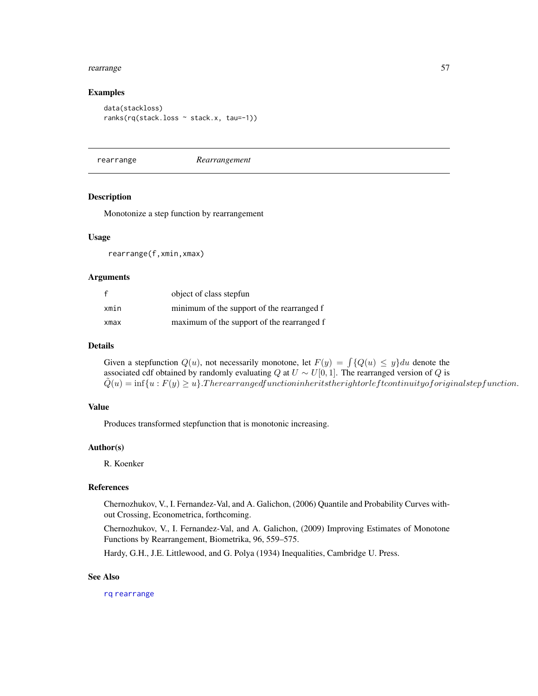#### rearrange 57

## Examples

```
data(stackloss)
ranks(rq(stack.loss ~ stack.x, tau=-1))
```
<span id="page-56-0"></span>rearrange *Rearrangement*

## Description

Monotonize a step function by rearrangement

## Usage

rearrange(f,xmin,xmax)

#### Arguments

|      | object of class stepfun                    |
|------|--------------------------------------------|
| xmin | minimum of the support of the rearranged f |
| xmax | maximum of the support of the rearranged f |

### Details

Given a stepfunction  $Q(u)$ , not necessarily monotone, let  $F(y) = \int \{Q(u) \leq y\} du$  denote the associated cdf obtained by randomly evaluating Q at  $U \sim U[0, 1]$ . The rearranged version of Q is  $\tilde{Q}(u) = \inf\{u : F(y) \geq u\}$ . Therearrangedfunctioninheritstherightorleftcontinuityoforiginalstepfunction.

# Value

Produces transformed stepfunction that is monotonic increasing.

## Author(s)

R. Koenker

# References

Chernozhukov, V., I. Fernandez-Val, and A. Galichon, (2006) Quantile and Probability Curves without Crossing, Econometrica, forthcoming.

Chernozhukov, V., I. Fernandez-Val, and A. Galichon, (2009) Improving Estimates of Monotone Functions by Rearrangement, Biometrika, 96, 559–575.

Hardy, G.H., J.E. Littlewood, and G. Polya (1934) Inequalities, Cambridge U. Press.

## See Also

[rq](#page-57-1) [rearrange](#page-56-0)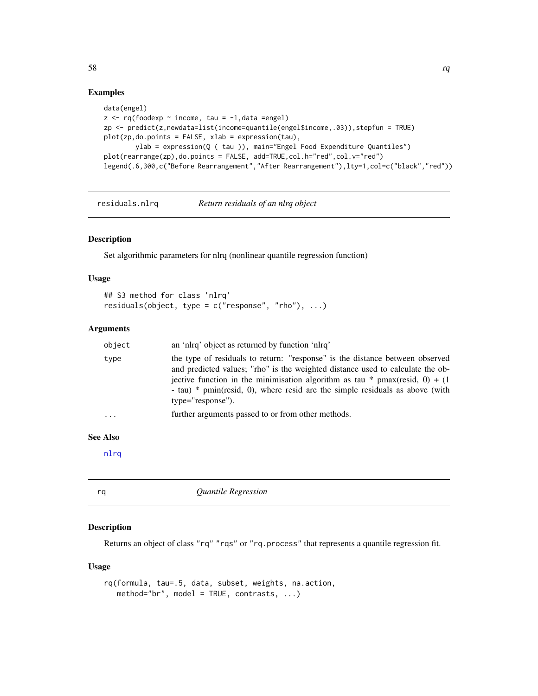## Examples

```
data(engel)
z \leq r q(foodexp \sim income, tau = -1, data = engel)zp \leftarrow predict(z,newdata=list(income=quantile(engel$income, .03)), stepfun = TRUE)plot(zp,do.points = FALSE, xlab = expression(tau),
        ylab = expression(Q ( tau )), main="Engel Food Expenditure Quantiles")
plot(rearrange(zp),do.points = FALSE, add=TRUE,col.h="red",col.v="red")
legend(.6,300,c("Before Rearrangement","After Rearrangement"),lty=1,col=c("black","red"))
```

```
residuals.nlrq Return residuals of an nlrq object
```
## Description

Set algorithmic parameters for nlrq (nonlinear quantile regression function)

## Usage

```
## S3 method for class 'nlrq'
residuals(object, type = c("response", "rho"), ...)
```
#### Arguments

| object | an 'nlrg' object as returned by function 'nlrg'                                                                                                                                                                                                                                                                                                     |
|--------|-----------------------------------------------------------------------------------------------------------------------------------------------------------------------------------------------------------------------------------------------------------------------------------------------------------------------------------------------------|
| type   | the type of residuals to return: "response" is the distance between observed<br>and predicted values; "rho" is the weighted distance used to calculate the ob-<br>jective function in the minimisation algorithm as tau * pmax(resid, 0) + (1)<br>- tau) * pmin(resid, 0), where resid are the simple residuals as above (with<br>type="response"). |
| .      | further arguments passed to or from other methods.                                                                                                                                                                                                                                                                                                  |
|        |                                                                                                                                                                                                                                                                                                                                                     |

## See Also

[nlrq](#page-34-0)

<span id="page-57-1"></span>rq *Quantile Regression*

# Description

Returns an object of class "rq" "rqs" or "rq.process" that represents a quantile regression fit.

## Usage

```
rq(formula, tau=.5, data, subset, weights, na.action,
   method="br", model = TRUE, contrasts, \ldots)
```
 $58$  rq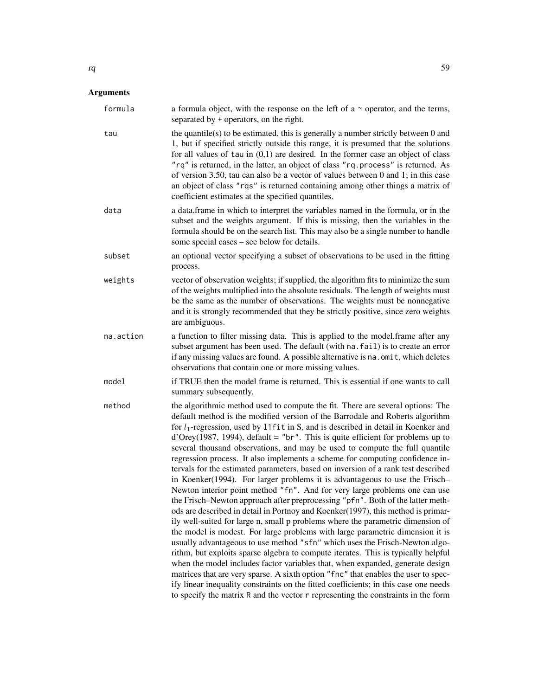| formula   | a formula object, with the response on the left of a $\sim$ operator, and the terms,<br>separated by + operators, on the right.                                                                                                                                                                                                                                                                                                                                                                                                                                                                                                                                                                                                                                                                                                                                                                                                                                                                                                                                                                                                                                                                                                                                                                                                                                                                                                                                                                                                                                                                                                 |
|-----------|---------------------------------------------------------------------------------------------------------------------------------------------------------------------------------------------------------------------------------------------------------------------------------------------------------------------------------------------------------------------------------------------------------------------------------------------------------------------------------------------------------------------------------------------------------------------------------------------------------------------------------------------------------------------------------------------------------------------------------------------------------------------------------------------------------------------------------------------------------------------------------------------------------------------------------------------------------------------------------------------------------------------------------------------------------------------------------------------------------------------------------------------------------------------------------------------------------------------------------------------------------------------------------------------------------------------------------------------------------------------------------------------------------------------------------------------------------------------------------------------------------------------------------------------------------------------------------------------------------------------------------|
| tau       | the quantile(s) to be estimated, this is generally a number strictly between 0 and<br>1, but if specified strictly outside this range, it is presumed that the solutions<br>for all values of tau in $(0,1)$ are desired. In the former case an object of class<br>"rq" is returned, in the latter, an object of class "rq.process" is returned. As<br>of version 3.50, tau can also be a vector of values between $0$ and $1$ ; in this case<br>an object of class "rqs" is returned containing among other things a matrix of<br>coefficient estimates at the specified quantiles.                                                                                                                                                                                                                                                                                                                                                                                                                                                                                                                                                                                                                                                                                                                                                                                                                                                                                                                                                                                                                                            |
| data      | a data. frame in which to interpret the variables named in the formula, or in the<br>subset and the weights argument. If this is missing, then the variables in the<br>formula should be on the search list. This may also be a single number to handle<br>some special cases – see below for details.                                                                                                                                                                                                                                                                                                                                                                                                                                                                                                                                                                                                                                                                                                                                                                                                                                                                                                                                                                                                                                                                                                                                                                                                                                                                                                                          |
| subset    | an optional vector specifying a subset of observations to be used in the fitting<br>process.                                                                                                                                                                                                                                                                                                                                                                                                                                                                                                                                                                                                                                                                                                                                                                                                                                                                                                                                                                                                                                                                                                                                                                                                                                                                                                                                                                                                                                                                                                                                    |
| weights   | vector of observation weights; if supplied, the algorithm fits to minimize the sum<br>of the weights multiplied into the absolute residuals. The length of weights must<br>be the same as the number of observations. The weights must be nonnegative<br>and it is strongly recommended that they be strictly positive, since zero weights<br>are ambiguous.                                                                                                                                                                                                                                                                                                                                                                                                                                                                                                                                                                                                                                                                                                                                                                                                                                                                                                                                                                                                                                                                                                                                                                                                                                                                    |
| na.action | a function to filter missing data. This is applied to the model.frame after any<br>subset argument has been used. The default (with na. fail) is to create an error<br>if any missing values are found. A possible alternative is na. omit, which deletes<br>observations that contain one or more missing values.                                                                                                                                                                                                                                                                                                                                                                                                                                                                                                                                                                                                                                                                                                                                                                                                                                                                                                                                                                                                                                                                                                                                                                                                                                                                                                              |
| model     | if TRUE then the model frame is returned. This is essential if one wants to call<br>summary subsequently.                                                                                                                                                                                                                                                                                                                                                                                                                                                                                                                                                                                                                                                                                                                                                                                                                                                                                                                                                                                                                                                                                                                                                                                                                                                                                                                                                                                                                                                                                                                       |
| method    | the algorithmic method used to compute the fit. There are several options: The<br>default method is the modified version of the Barrodale and Roberts algorithm<br>for $l_1$ -regression, used by 11fit in S, and is described in detail in Koenker and<br>$d'Orey(1987, 1994)$ , default = "br". This is quite efficient for problems up to<br>several thousand observations, and may be used to compute the full quantile<br>regression process. It also implements a scheme for computing confidence in-<br>tervals for the estimated parameters, based on inversion of a rank test described<br>in Koenker(1994). For larger problems it is advantageous to use the Frisch-<br>Newton interior point method "fn". And for very large problems one can use<br>the Frisch-Newton approach after preprocessing "pfn". Both of the latter meth-<br>ods are described in detail in Portnoy and Koenker(1997), this method is primar-<br>ily well-suited for large n, small p problems where the parametric dimension of<br>the model is modest. For large problems with large parametric dimension it is<br>usually advantageous to use method "sfn" which uses the Frisch-Newton algo-<br>rithm, but exploits sparse algebra to compute iterates. This is typically helpful<br>when the model includes factor variables that, when expanded, generate design<br>matrices that are very sparse. A sixth option "fnc" that enables the user to spec-<br>ify linear inequality constraints on the fitted coefficients; in this case one needs<br>to specify the matrix R and the vector r representing the constraints in the form |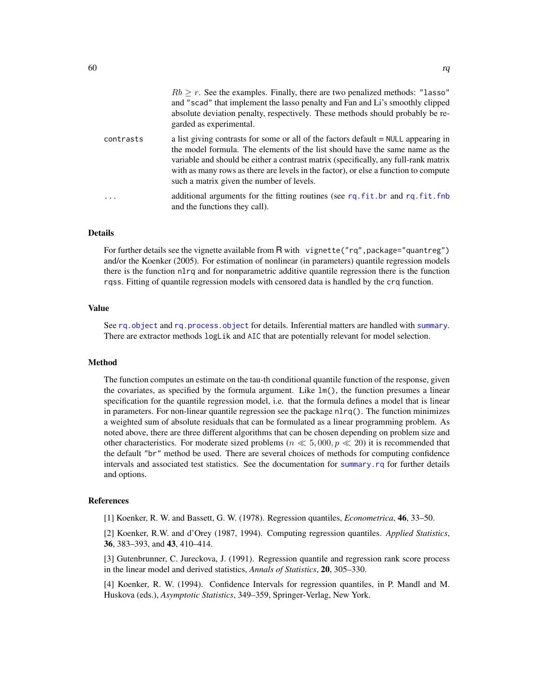|  | $Rb > r$ . See the examples. Finally, there are two penalized methods: "Lasso" |  |  |  |  |
|--|--------------------------------------------------------------------------------|--|--|--|--|
|  | and "scad" that implement the lasso penalty and Fan and Li's smoothly clipped  |  |  |  |  |

absolute deviation penalty, respectively. These methods should probably be re-

contrasts a list giving contrasts for some or all of the factors default = NULL appearing in the model formula. The elements of the list should have the same name as the variable and should be either a contrast matrix (specifically, any full-rank matrix with as many rows as there are levels in the factor), or else a function to compute such a matrix given the number of levels.

garded as experimental.

... additional arguments for the fitting routines (see [rq.fit.br](#page-61-0) and [rq.fit.fnb](#page-63-0) and the functions they call).

## Details

For further details see the vignette available from R with vignette("rq", package="quantreg") and/or the Koenker (2005). For estimation of nonlinear (in parameters) quantile regression models there is the function nlrq and for nonparametric additive quantile regression there is the function rqss. Fitting of quantile regression models with censored data is handled by the crq function.

## Value

See [rq.object](#page-74-0) and [rq.process.object](#page-75-0) for details. Inferential matters are handled with [summary](#page-0-0). There are extractor methods logLik and AIC that are potentially relevant for model selection.

## Method

The function computes an estimate on the tau-th conditional quantile function of the response, given the covariates, as specified by the formula argument. Like  $lm()$ , the function presumes a linear specification for the quantile regression model, i.e. that the formula defines a model that is linear in parameters. For non-linear quantile regression see the package nlrq(). The function minimizes a weighted sum of absolute residuals that can be formulated as a linear programming problem. As noted above, there are three different algorithms that can be chosen depending on problem size and other characteristics. For moderate sized problems ( $n \ll 5,000, p \ll 20$ ) it is recommended that the default "br" method be used. There are several choices of methods for computing confidence intervals and associated test statistics. See the documentation for [summary.rq](#page-87-0) for further details and options.

#### References

[1] Koenker, R. W. and Bassett, G. W. (1978). Regression quantiles, *Econometrica*, 46, 33–50.

[2] Koenker, R.W. and d'Orey (1987, 1994). Computing regression quantiles. *Applied Statistics*, 36, 383–393, and 43, 410–414.

[3] Gutenbrunner, C. Jureckova, J. (1991). Regression quantile and regression rank score process in the linear model and derived statistics, *Annals of Statistics*, 20, 305–330.

[4] Koenker, R. W. (1994). Confidence Intervals for regression quantiles, in P. Mandl and M. Huskova (eds.), *Asymptotic Statistics*, 349–359, Springer-Verlag, New York.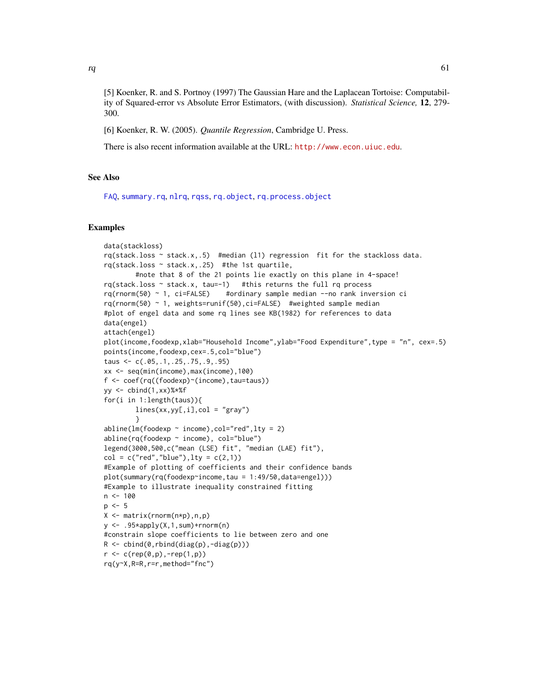[5] Koenker, R. and S. Portnoy (1997) The Gaussian Hare and the Laplacean Tortoise: Computability of Squared-error vs Absolute Error Estimators, (with discussion). *Statistical Science,* 12, 279- 300.

[6] Koenker, R. W. (2005). *Quantile Regression*, Cambridge U. Press.

There is also recent information available at the URL: <http://www.econ.uiuc.edu>.

## See Also

[FAQ](#page-24-0), [summary.rq](#page-87-0), [nlrq](#page-34-0), [rqss](#page-78-0), [rq.object](#page-74-0), [rq.process.object](#page-75-0)

## Examples

```
data(stackloss)
rq(stack.loss ~ stack.x,.5) #median (l1) regression fit for the stackloss data.
rq(stack.loss ~ stack.x,.25) #the 1st quartile,
        #note that 8 of the 21 points lie exactly on this plane in 4-space!
rq(stack.loss ~< stack.x, tau=-1) #this returns the full rq process
rq(rnorm(50) ~ 1, ci=FALSE) #ordinary sample median --no rank inversion ci
rq(rnorm(50) ~ 1, weights=runif(50),ci=FALSE) #weighted sample median
#plot of engel data and some rq lines see KB(1982) for references to data
data(engel)
attach(engel)
plot(income,foodexp,xlab="Household Income",ylab="Food Expenditure",type = "n", cex=.5)
points(income,foodexp,cex=.5,col="blue")
taus <- c(.05,.1,.25,.75,.9,.95)
xx <- seq(min(income),max(income),100)
f <- coef(rq((foodexp)~(income),tau=taus))
yy \leftarrow \text{cbind}(1,xx)%*%f
for(i in 1:length(taus)){
        lines(xx, yy[, i], col = "gray")}
abline(lm(foodexp \sim income), col="red", lty = 2)abline(rq(foodexp \sim income), col="blue")legend(3000,500,c("mean (LSE) fit", "median (LAE) fit"),
col = c("red", "blue"), lty = c(2,1))#Example of plotting of coefficients and their confidence bands
plot(summary(rq(foodexp~income,tau = 1:49/50,data=engel)))
#Example to illustrate inequality constrained fitting
n < -100p \le -5X <- matrix(rnorm(n*p),n,p)
y \leftarrow .95*apply(X,1,sum) + rnorm(n)#constrain slope coefficients to lie between zero and one
R \leftarrow \text{cbind}(\emptyset, \text{rbind}(\text{diag}(p), -\text{diag}(p)))r < -c(rep(\emptyset, p), -rep(1, p))rq(y~X,R=R,r=r,method="fnc")
```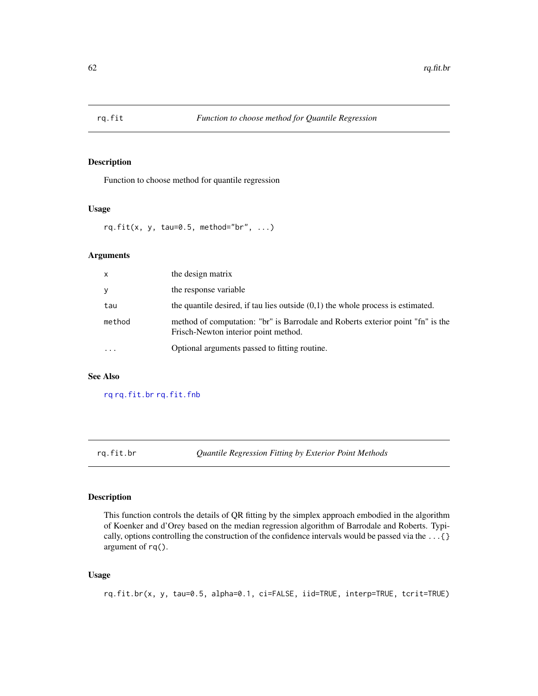Function to choose method for quantile regression

## Usage

rq.fit(x, y, tau=0.5, method="br", ...)

# Arguments

| X      | the design matrix                                                                                                       |
|--------|-------------------------------------------------------------------------------------------------------------------------|
| y      | the response variable                                                                                                   |
| tau    | the quantile desired, if tau lies outside $(0,1)$ the whole process is estimated.                                       |
| method | method of computation: "br" is Barrodale and Roberts exterior point "fn" is the<br>Frisch-Newton interior point method. |
|        | Optional arguments passed to fitting routine.                                                                           |

# See Also

[rq](#page-57-1) [rq.fit.br](#page-61-0) [rq.fit.fnb](#page-63-0)

<span id="page-61-0"></span>rq.fit.br *Quantile Regression Fitting by Exterior Point Methods*

## Description

This function controls the details of QR fitting by the simplex approach embodied in the algorithm of Koenker and d'Orey based on the median regression algorithm of Barrodale and Roberts. Typically, options controlling the construction of the confidence intervals would be passed via the ...{} argument of rq().

# Usage

rq.fit.br(x, y, tau=0.5, alpha=0.1, ci=FALSE, iid=TRUE, interp=TRUE, tcrit=TRUE)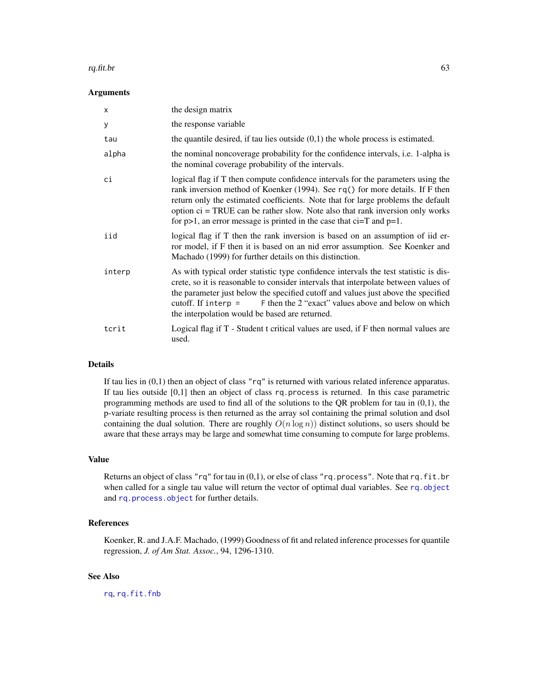#### rq.fit.br  $\qquad \qquad 63$

#### Arguments

| X      | the design matrix                                                                                                                                                                                                                                                                                                                                                                                                     |
|--------|-----------------------------------------------------------------------------------------------------------------------------------------------------------------------------------------------------------------------------------------------------------------------------------------------------------------------------------------------------------------------------------------------------------------------|
| У      | the response variable                                                                                                                                                                                                                                                                                                                                                                                                 |
| tau    | the quantile desired, if tau lies outside $(0,1)$ the whole process is estimated.                                                                                                                                                                                                                                                                                                                                     |
| alpha  | the nominal noncoverage probability for the confidence intervals, i.e. 1-alpha is<br>the nominal coverage probability of the intervals.                                                                                                                                                                                                                                                                               |
| сi     | logical flag if T then compute confidence intervals for the parameters using the<br>rank inversion method of Koenker (1994). See rq() for more details. If F then<br>return only the estimated coefficients. Note that for large problems the default<br>option $ci = TRUE$ can be rather slow. Note also that rank inversion only works<br>for $p>1$ , an error message is printed in the case that ci=T and $p=1$ . |
| iid    | logical flag if T then the rank inversion is based on an assumption of iid er-<br>ror model, if F then it is based on an nid error assumption. See Koenker and<br>Machado (1999) for further details on this distinction.                                                                                                                                                                                             |
| interp | As with typical order statistic type confidence intervals the test statistic is dis-<br>crete, so it is reasonable to consider intervals that interpolate between values of<br>the parameter just below the specified cutoff and values just above the specified<br>F then the 2 "exact" values above and below on which<br>cutoff. If interp $=$<br>the interpolation would be based are returned.                   |
| tcrit  | Logical flag if T - Student t critical values are used, if F then normal values are<br>used.                                                                                                                                                                                                                                                                                                                          |

#### Details

If tau lies in  $(0,1)$  then an object of class "rq" is returned with various related inference apparatus. If tau lies outside [0,1] then an object of class rq.process is returned. In this case parametric programming methods are used to find all of the solutions to the QR problem for tau in  $(0,1)$ , the p-variate resulting process is then returned as the array sol containing the primal solution and dsol containing the dual solution. There are roughly  $O(n \log n)$  distinct solutions, so users should be aware that these arrays may be large and somewhat time consuming to compute for large problems.

# Value

Returns an object of class "rq" for tau in  $(0,1)$ , or else of class "rq.process". Note that rq.fit.br when called for a single tau value will return the vector of optimal dual variables. See [rq.object](#page-74-0) and [rq.process.object](#page-75-0) for further details.

# References

Koenker, R. and J.A.F. Machado, (1999) Goodness of fit and related inference processes for quantile regression, *J. of Am Stat. Assoc.*, 94, 1296-1310.

# See Also

[rq](#page-57-1), [rq.fit.fnb](#page-63-0)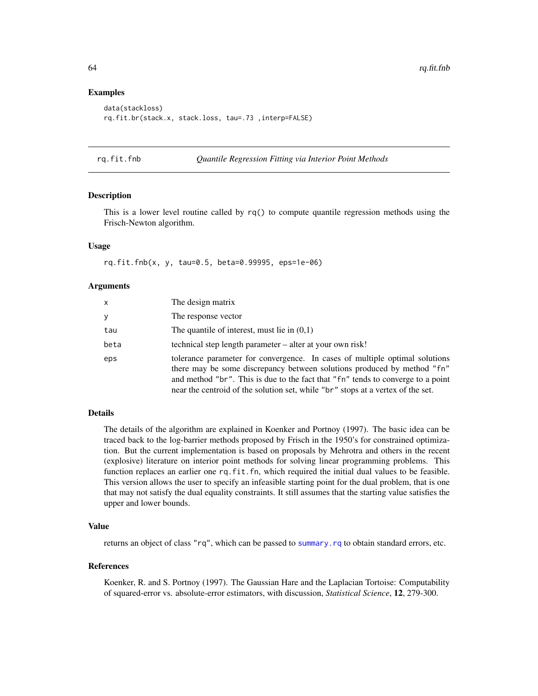## Examples

```
data(stackloss)
rq.fit.br(stack.x, stack.loss, tau=.73 ,interp=FALSE)
```
<span id="page-63-0"></span>rq.fit.fnb *Quantile Regression Fitting via Interior Point Methods*

## Description

This is a lower level routine called by  $rq()$  to compute quantile regression methods using the Frisch-Newton algorithm.

## Usage

rq.fit.fnb(x, y, tau=0.5, beta=0.99995, eps=1e-06)

# Arguments

| x    | The design matrix                                                                                                                                                                                                                                                                                                            |
|------|------------------------------------------------------------------------------------------------------------------------------------------------------------------------------------------------------------------------------------------------------------------------------------------------------------------------------|
| ٨    | The response vector                                                                                                                                                                                                                                                                                                          |
| tau  | The quantile of interest, must lie in $(0,1)$                                                                                                                                                                                                                                                                                |
| beta | technical step length parameter – alter at your own risk!                                                                                                                                                                                                                                                                    |
| eps  | tolerance parameter for convergence. In cases of multiple optimal solutions<br>there may be some discrepancy between solutions produced by method "fn"<br>and method "br". This is due to the fact that "fn" tends to converge to a point<br>near the centroid of the solution set, while "br" stops at a vertex of the set. |

## Details

The details of the algorithm are explained in Koenker and Portnoy (1997). The basic idea can be traced back to the log-barrier methods proposed by Frisch in the 1950's for constrained optimization. But the current implementation is based on proposals by Mehrotra and others in the recent (explosive) literature on interior point methods for solving linear programming problems. This function replaces an earlier one rq.fit.fn, which required the initial dual values to be feasible. This version allows the user to specify an infeasible starting point for the dual problem, that is one that may not satisfy the dual equality constraints. It still assumes that the starting value satisfies the upper and lower bounds.

## Value

returns an object of class "rq", which can be passed to [summary.rq](#page-87-0) to obtain standard errors, etc.

## References

Koenker, R. and S. Portnoy (1997). The Gaussian Hare and the Laplacian Tortoise: Computability of squared-error vs. absolute-error estimators, with discussion, *Statistical Science*, 12, 279-300.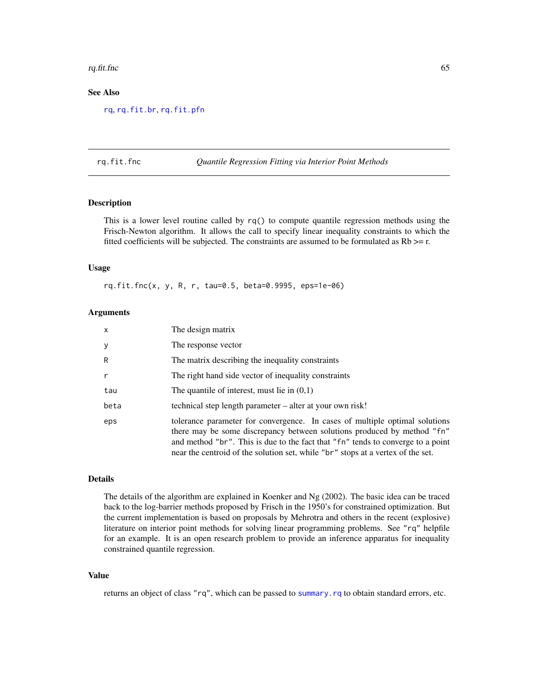#### rq.fit.fnc  $\qquad \qquad 65$

# See Also

[rq](#page-57-1), [rq.fit.br](#page-61-0), [rq.fit.pfn](#page-67-0)

#### rq.fit.fnc *Quantile Regression Fitting via Interior Point Methods*

# Description

This is a lower level routine called by  $rq()$  to compute quantile regression methods using the Frisch-Newton algorithm. It allows the call to specify linear inequality constraints to which the fitted coefficients will be subjected. The constraints are assumed to be formulated as  $Rb \geq r$ .

## Usage

rq.fit.fnc(x, y, R, r, tau=0.5, beta=0.9995, eps=1e-06)

#### Arguments

| x    | The design matrix                                                                                                                                                                                                                                                                                                            |
|------|------------------------------------------------------------------------------------------------------------------------------------------------------------------------------------------------------------------------------------------------------------------------------------------------------------------------------|
| У    | The response vector                                                                                                                                                                                                                                                                                                          |
| R    | The matrix describing the inequality constraints                                                                                                                                                                                                                                                                             |
| r    | The right hand side vector of inequality constraints                                                                                                                                                                                                                                                                         |
| tau  | The quantile of interest, must lie in $(0,1)$                                                                                                                                                                                                                                                                                |
| beta | technical step length parameter – alter at your own risk!                                                                                                                                                                                                                                                                    |
| eps  | tolerance parameter for convergence. In cases of multiple optimal solutions<br>there may be some discrepancy between solutions produced by method "fn"<br>and method "br". This is due to the fact that "fn" tends to converge to a point<br>near the centroid of the solution set, while "br" stops at a vertex of the set. |

## Details

The details of the algorithm are explained in Koenker and Ng (2002). The basic idea can be traced back to the log-barrier methods proposed by Frisch in the 1950's for constrained optimization. But the current implementation is based on proposals by Mehrotra and others in the recent (explosive) literature on interior point methods for solving linear programming problems. See "rq" helpfile for an example. It is an open research problem to provide an inference apparatus for inequality constrained quantile regression.

## Value

returns an object of class "rq", which can be passed to [summary.rq](#page-87-0) to obtain standard errors, etc.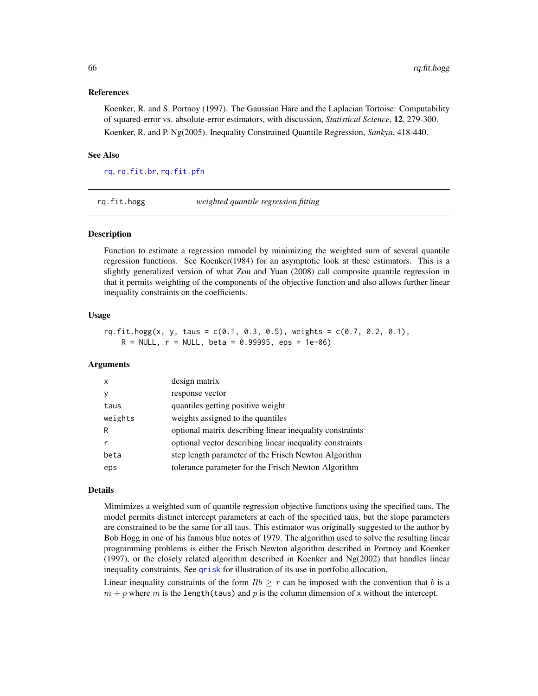## References

Koenker, R. and S. Portnoy (1997). The Gaussian Hare and the Laplacian Tortoise: Computability of squared-error vs. absolute-error estimators, with discussion, *Statistical Science*, 12, 279-300. Koenker, R. and P. Ng(2005). Inequality Constrained Quantile Regression, *Sankya*, 418-440.

## See Also

[rq](#page-57-1), [rq.fit.br](#page-61-0), [rq.fit.pfn](#page-67-0)

<span id="page-65-0"></span>rq.fit.hogg *weighted quantile regression fitting*

## Description

Function to estimate a regression mmodel by minimizing the weighted sum of several quantile regression functions. See Koenker(1984) for an asymptotic look at these estimators. This is a slightly generalized version of what Zou and Yuan (2008) call composite quantile regression in that it permits weighting of the components of the objective function and also allows further linear inequality constraints on the coefficients.

#### Usage

```
rq.fit.hogg(x, y, taus = c(0.1, 0.3, 0.5), weights = c(0.7, 0.2, 0.1),R = NULL, r = NULL, beta = 0.99995, eps = 1e-06)
```
## Arguments

| X       | design matrix                                            |
|---------|----------------------------------------------------------|
| ٧       | response vector                                          |
| taus    | quantiles getting positive weight                        |
| weights | weights assigned to the quantiles                        |
| R       | optional matrix describing linear inequality constraints |
|         | optional vector describing linear inequality constraints |
| beta    | step length parameter of the Frisch Newton Algorithm     |
| eps     | tolerance parameter for the Frisch Newton Algorithm      |

## Details

Mimimizes a weighted sum of quantile regression objective functions using the specified taus. The model permits distinct intercept parameters at each of the specified taus, but the slope parameters are constrained to be the same for all taus. This estimator was originally suggested to the author by Bob Hogg in one of his famous blue notes of 1979. The algorithm used to solve the resulting linear programming problems is either the Frisch Newton algorithm described in Portnoy and Koenker (1997), or the closely related algorithm described in Koenker and  $Ng(2002)$  that handles linear inequality constraints. See [qrisk](#page-50-0) for illustration of its use in portfolio allocation.

Linear inequality constraints of the form  $Rb > r$  can be imposed with the convention that b is a  $m + p$  where m is the length(taus) and p is the column dimension of x without the intercept.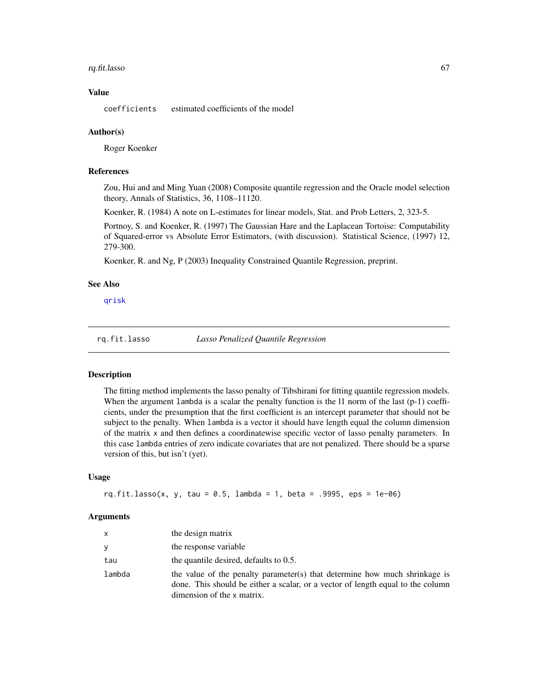# rq.fit.lasso 67

## Value

coefficients estimated coefficients of the model

#### Author(s)

Roger Koenker

#### References

Zou, Hui and and Ming Yuan (2008) Composite quantile regression and the Oracle model selection theory, Annals of Statistics, 36, 1108–11120.

Koenker, R. (1984) A note on L-estimates for linear models, Stat. and Prob Letters, 2, 323-5.

Portnoy, S. and Koenker, R. (1997) The Gaussian Hare and the Laplacean Tortoise: Computability of Squared-error vs Absolute Error Estimators, (with discussion). Statistical Science, (1997) 12, 279-300.

Koenker, R. and Ng, P (2003) Inequality Constrained Quantile Regression, preprint.

## See Also

[qrisk](#page-50-0)

rq.fit.lasso *Lasso Penalized Quantile Regression*

#### Description

The fitting method implements the lasso penalty of Tibshirani for fitting quantile regression models. When the argument lambda is a scalar the penalty function is the 11 norm of the last (p-1) coefficients, under the presumption that the first coefficient is an intercept parameter that should not be subject to the penalty. When lambda is a vector it should have length equal the column dimension of the matrix x and then defines a coordinatewise specific vector of lasso penalty parameters. In this case lambda entries of zero indicate covariates that are not penalized. There should be a sparse version of this, but isn't (yet).

## Usage

```
rq.fit.lasso(x, y, tau = 0.5, lambda = 1, beta = .9995, eps = 1e-06)
```
#### Arguments

| <b>X</b> | the design matrix                                                                                                                                                                           |
|----------|---------------------------------------------------------------------------------------------------------------------------------------------------------------------------------------------|
| У        | the response variable                                                                                                                                                                       |
| tau      | the quantile desired, defaults to 0.5.                                                                                                                                                      |
| lambda   | the value of the penalty parameter(s) that determine how much shrinkage is<br>done. This should be either a scalar, or a vector of length equal to the column<br>dimension of the x matrix. |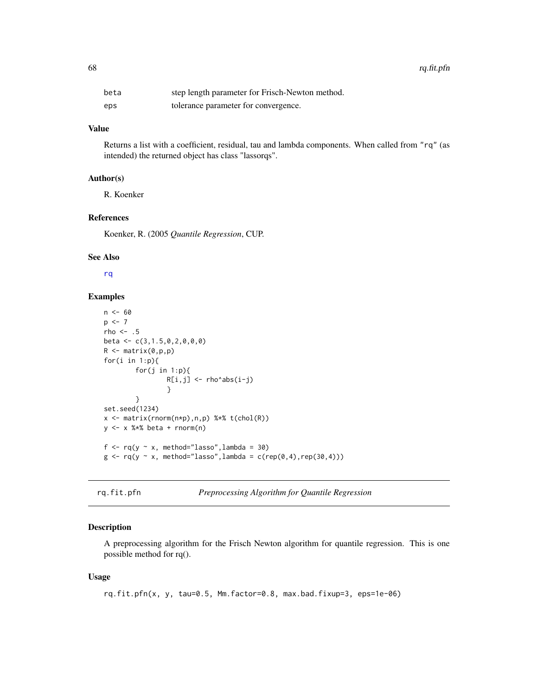| beta | step length parameter for Frisch-Newton method. |
|------|-------------------------------------------------|
| eps  | tolerance parameter for convergence.            |

## Value

Returns a list with a coefficient, residual, tau and lambda components. When called from "rq" (as intended) the returned object has class "lassorqs".

# Author(s)

R. Koenker

## References

Koenker, R. (2005 *Quantile Regression*, CUP.

## See Also

[rq](#page-57-1)

## Examples

```
n < - 60p \leftarrow 7rho \leq -.5
beta <- c(3,1.5,0,2,0,0,0)
R <- matrix(0,p,p)for(i in 1:p){
         for(j in 1:p){
                 R[i,j] <- rho^abs(i-j)
                  }
         }
set.seed(1234)
x <- matrix(rnorm(n*p),n,p) %*% t(chol(R))
y \le -x %*% beta + rnorm(n)
f \leq rq(y \sim x, method="lasso", lambda = 30)
g \leftarrow rq(y \sim x, method="lasso", lambda = c(rep(0,4), rep(30,4)))
```

```
rq.fit.pfn Preprocessing Algorithm for Quantile Regression
```
## Description

A preprocessing algorithm for the Frisch Newton algorithm for quantile regression. This is one possible method for rq().

#### Usage

rq.fit.pfn(x, y, tau=0.5, Mm.factor=0.8, max.bad.fixup=3, eps=1e-06)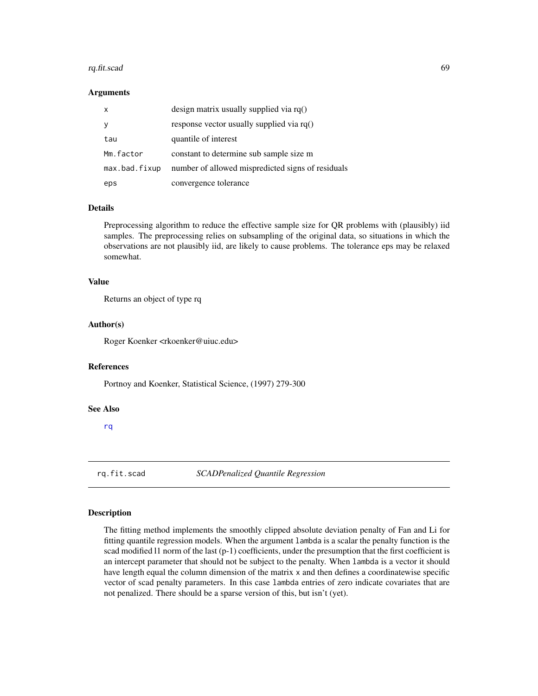#### rq.fit.scad 69

#### Arguments

| $\mathsf{x}$  | design matrix usually supplied via $rq()$         |
|---------------|---------------------------------------------------|
| y             | response vector usually supplied via $rq()$       |
| tau           | quantile of interest                              |
| Mm.factor     | constant to determine sub sample size m           |
| max.bad.fixup | number of allowed mispredicted signs of residuals |
| eps           | convergence tolerance                             |

# Details

Preprocessing algorithm to reduce the effective sample size for QR problems with (plausibly) iid samples. The preprocessing relies on subsampling of the original data, so situations in which the observations are not plausibly iid, are likely to cause problems. The tolerance eps may be relaxed somewhat.

## Value

Returns an object of type rq

## Author(s)

Roger Koenker <rkoenker@uiuc.edu>

# References

Portnoy and Koenker, Statistical Science, (1997) 279-300

#### See Also

[rq](#page-57-1)

rq.fit.scad *SCADPenalized Quantile Regression*

## Description

The fitting method implements the smoothly clipped absolute deviation penalty of Fan and Li for fitting quantile regression models. When the argument lambda is a scalar the penalty function is the scad modified l1 norm of the last (p-1) coefficients, under the presumption that the first coefficient is an intercept parameter that should not be subject to the penalty. When lambda is a vector it should have length equal the column dimension of the matrix x and then defines a coordinatewise specific vector of scad penalty parameters. In this case lambda entries of zero indicate covariates that are not penalized. There should be a sparse version of this, but isn't (yet).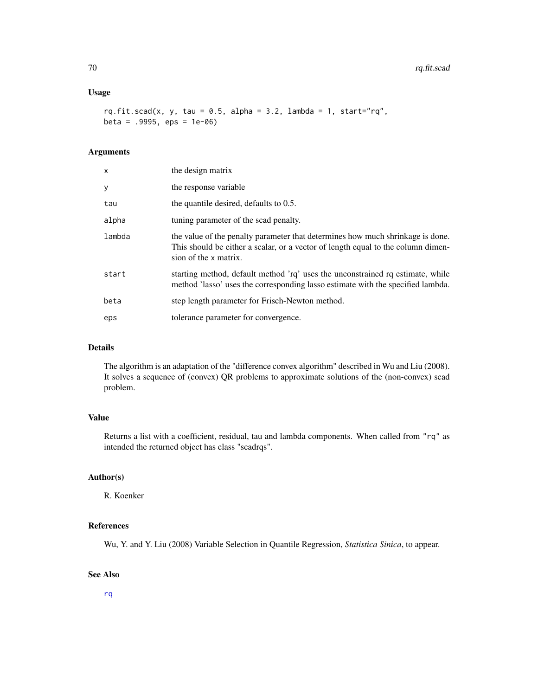## Usage

rq.fit.scad(x, y, tau =  $0.5$ , alpha =  $3.2$ , lambda =  $1$ , start="rq",  $beta = .9995$ ,  $eps = 1e-06$ )

# Arguments

| x      | the design matrix                                                                                                                                                                           |
|--------|---------------------------------------------------------------------------------------------------------------------------------------------------------------------------------------------|
| у      | the response variable                                                                                                                                                                       |
| tau    | the quantile desired, defaults to 0.5.                                                                                                                                                      |
| alpha  | tuning parameter of the scad penalty.                                                                                                                                                       |
| lambda | the value of the penalty parameter that determines how much shrinkage is done.<br>This should be either a scalar, or a vector of length equal to the column dimen-<br>sion of the x matrix. |
| start  | starting method, default method 'rq' uses the unconstrained rq estimate, while<br>method 'lasso' uses the corresponding lasso estimate with the specified lambda.                           |
| beta   | step length parameter for Frisch-Newton method.                                                                                                                                             |
| eps    | tolerance parameter for convergence.                                                                                                                                                        |

# Details

The algorithm is an adaptation of the "difference convex algorithm" described in Wu and Liu (2008). It solves a sequence of (convex) QR problems to approximate solutions of the (non-convex) scad problem.

## Value

Returns a list with a coefficient, residual, tau and lambda components. When called from "rq" as intended the returned object has class "scadrqs".

# Author(s)

R. Koenker

# References

Wu, Y. and Y. Liu (2008) Variable Selection in Quantile Regression, *Statistica Sinica*, to appear.

# See Also

[rq](#page-57-1)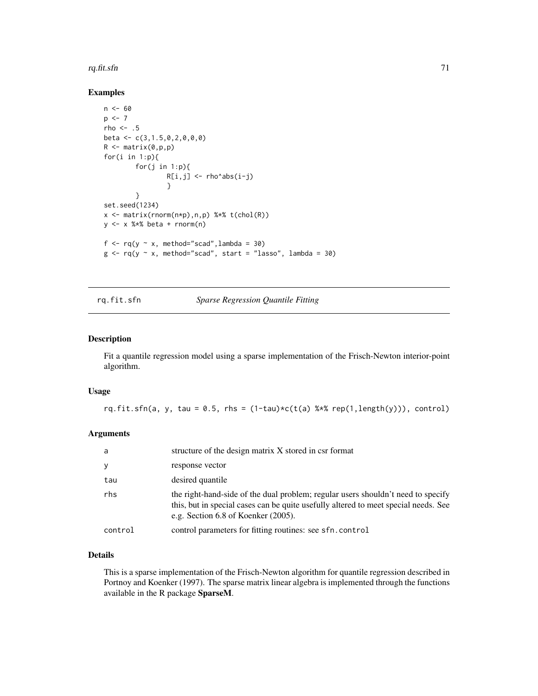#### rq.fit.sfn  $\frac{1}{2}$

## Examples

```
n < - 60p \le -7rho <-.5
beta <- c(3,1.5,0,2,0,0,0)
R <- matrix(0,p,p)for(i in 1:p){
         for(j in 1:p){
                 R[i,j] <- rho^abs(i-j)
                  }
        }
set.seed(1234)
x <- matrix(rnorm(n*p),n,p) %*% t(chol(R))
y \le -x %*% beta + rnorm(n)
f \leq rq(y \sim x, method="scad", lambda = 30)
g \leq r q(y \sim x, \text{ method="s2a4}'', \text{start = "lasso", lambda = 30})
```
# rq.fit.sfn *Sparse Regression Quantile Fitting*

# Description

Fit a quantile regression model using a sparse implementation of the Frisch-Newton interior-point algorithm.

## Usage

rq.fit.sfn(a, y, tau = 0.5, rhs =  $(1-tau)*(t(a)$  %\*% rep $(1, length(y)))$ , control)

### Arguments

| a       | structure of the design matrix X stored in csr format                                                                                                                                                               |
|---------|---------------------------------------------------------------------------------------------------------------------------------------------------------------------------------------------------------------------|
| y       | response vector                                                                                                                                                                                                     |
| tau     | desired quantile                                                                                                                                                                                                    |
| rhs     | the right-hand-side of the dual problem; regular users shouldn't need to specify<br>this, but in special cases can be quite usefully altered to meet special needs. See<br>e.g. Section $6.8$ of Koenker $(2005)$ . |
| control | control parameters for fitting routines: see sfn.control                                                                                                                                                            |

# Details

This is a sparse implementation of the Frisch-Newton algorithm for quantile regression described in Portnoy and Koenker (1997). The sparse matrix linear algebra is implemented through the functions available in the R package SparseM.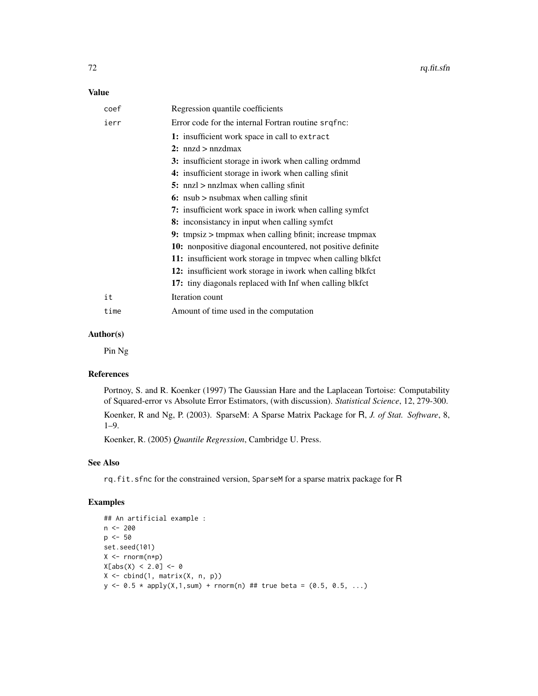## Value

| coef | Regression quantile coefficients                            |
|------|-------------------------------------------------------------|
| ierr | Error code for the internal Fortran routine srqfnc:         |
|      | 1: insufficient work space in call to extract               |
|      | 2: $nnzd > nnzdmax$                                         |
|      | 3: insufficient storage in iwork when calling ordmmd        |
|      | 4: insufficient storage in iwork when calling sfinit        |
|      | 5: nnzl $>$ nnzlmax when calling sfinit                     |
|      | 6: nsub $>$ nsubmax when calling sfinit                     |
|      | 7: insufficient work space in iwork when calling symfct     |
|      | 8: inconsistancy in input when calling symfct               |
|      | 9: tmpsiz > tmpmax when calling bfinit; increase tmpmax     |
|      | 10: nonpositive diagonal encountered, not positive definite |
|      | 11: insufficient work storage in tmpvec when calling blkfct |
|      | 12: insufficient work storage in iwork when calling blkfct  |
|      | 17: tiny diagonals replaced with Inf when calling blkfct    |
| it   | Iteration count                                             |
| time | Amount of time used in the computation                      |
|      |                                                             |

# Author(s)

Pin Ng

## References

Portnoy, S. and R. Koenker (1997) The Gaussian Hare and the Laplacean Tortoise: Computability of Squared-error vs Absolute Error Estimators, (with discussion). *Statistical Science*, 12, 279-300. Koenker, R and Ng, P. (2003). SparseM: A Sparse Matrix Package for R, *J. of Stat. Software*, 8, 1–9.

Koenker, R. (2005) *Quantile Regression*, Cambridge U. Press.

# See Also

rq.fit.sfnc for the constrained version, SparseM for a sparse matrix package for R

# Examples

```
## An artificial example :
n < - 200p \le -50set.seed(101)
X \leftarrow \text{norm}(n * p)X[abs(X) < 2.0] < -0X <- cbind(1, matrix(X, n, p))
y \le -0.5 * apply(X, 1, sum) + rnorm(n) # true beta = (0.5, 0.5, ...)
```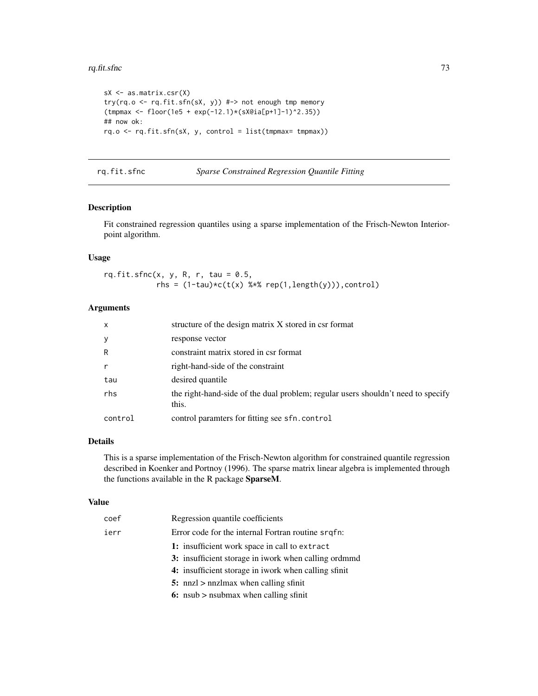#### <span id="page-72-0"></span>rq.fit.sfnc 73

```
sX <- as.matrix.csr(X)
try(rq.o <- rq.fit.sfn(sX, y)) #-> not enough tmp memory
(tmpmax <- floor(1e5 + exp(-12.1)*(sX@ia[p+1]-1)^2.35))
## now ok:
rq.o <- rq.fit.sfn(sX, y, control = list(tmpmax= tmpmax))
```
rq.fit.sfnc *Sparse Constrained Regression Quantile Fitting*

# **Description**

Fit constrained regression quantiles using a sparse implementation of the Frisch-Newton Interiorpoint algorithm.

# Usage

rq.fit.sfnc $(x, y, R, r, tau = 0.5,$ rhs =  $(1-tau)*c(t(x)$  %\*% rep $(1, length(y)))$ , control)

#### Arguments

| $\mathsf{x}$ | structure of the design matrix X stored in csr format                                     |
|--------------|-------------------------------------------------------------------------------------------|
| y            | response vector                                                                           |
| R            | constraint matrix stored in csr format                                                    |
| r            | right-hand-side of the constraint                                                         |
| tau          | desired quantile                                                                          |
| rhs          | the right-hand-side of the dual problem; regular users shouldn't need to specify<br>this. |
| control      | control paramters for fitting see sfn.control                                             |

# Details

This is a sparse implementation of the Frisch-Newton algorithm for constrained quantile regression described in Koenker and Portnoy (1996). The sparse matrix linear algebra is implemented through the functions available in the R package SparseM.

# Value

| coef | Regression quantile coefficients                     |
|------|------------------------------------------------------|
| ierr | Error code for the internal Fortran routine srqfn:   |
|      | 1: insufficient work space in call to extract        |
|      | 3: insufficient storage in iwork when calling ordmmd |
|      | 4: insufficient storage in iwork when calling sfinit |
|      | 5: nnzl $>$ nnzlmax when calling sfinit              |
|      | 6: $nsub >$ nsubmax when calling sfinit              |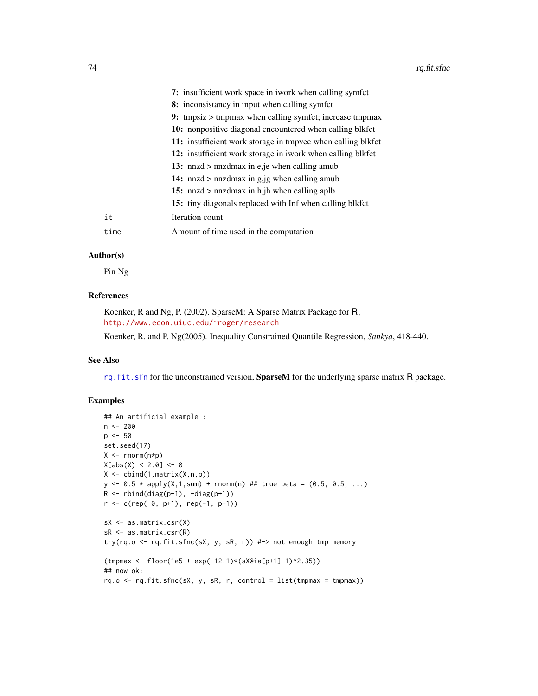<span id="page-73-0"></span>

|      | 7: insufficient work space in iwork when calling symfct         |
|------|-----------------------------------------------------------------|
|      | 8: inconsistancy in input when calling symfct                   |
|      | 9: tmpsiz $>$ tmpmax when calling symfct; increase tmpmax       |
|      | <b>10:</b> nonpositive diagonal encountered when calling blkfct |
|      | 11: insufficient work storage in tmpvec when calling blkfct     |
|      | 12: insufficient work storage in iwork when calling blkfct      |
|      | 13: nnzd $>$ nnzdmax in e, je when calling amub                 |
|      | 14: $nnzd$ > $nnzdmax$ in $g_{ij}$ when calling amub            |
|      | 15: nnzd $>$ nnzdmax in h, jh when calling aplb                 |
|      | 15: tiny diagonals replaced with Inf when calling blkfct        |
| it   | Iteration count                                                 |
| time | Amount of time used in the computation                          |
|      |                                                                 |

#### Author(s)

Pin Ng

# References

Koenker, R and Ng, P. (2002). SparseM: A Sparse Matrix Package for R; <http://www.econ.uiuc.edu/~roger/research>

Koenker, R. and P. Ng(2005). Inequality Constrained Quantile Regression, *Sankya*, 418-440.

# See Also

[rq.fit.sfn](#page-70-0) for the unconstrained version, SparseM for the underlying sparse matrix R package.

# Examples

```
## An artificial example :
n <- 200
p \le -50set.seed(17)
X <- rnorm(n*p)
X[abs(X) < 2.0] < -0X \leftarrow \text{cbind}(1, \text{matrix}(X, n, p))y \le -0.5 * apply(X, 1, sum) + rnorm(n) # true beta = (0.5, 0.5, ...)R \leftarrow \text{rbind(diag(p+1), -diag(p+1))}r \leq c (rep( 0, p+1), rep(-1, p+1))
sX <- as.matrix.csr(X)
sR <- as.matrix.csr(R)
try(rq.o <- rq.fit.sfnc(sX, y, sR, r)) #-> not enough tmp memory
(tmpmax <- floor(1e5 + exp(-12.1)*(sX@ia[p+1]-1)^2.35))
## now ok:
rq.o \leftarrow rq.fit.sfnc(sX, y, sR, r, control = list(tmpmax = tmpmax))
```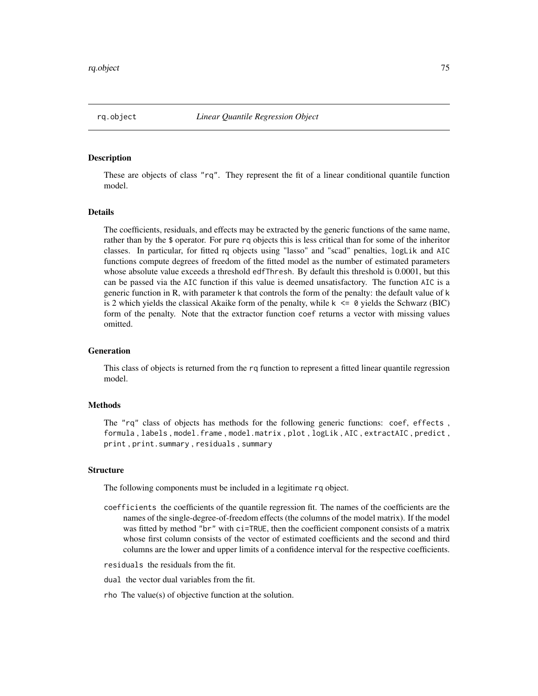<span id="page-74-0"></span>

These are objects of class "rq". They represent the fit of a linear conditional quantile function model.

#### Details

The coefficients, residuals, and effects may be extracted by the generic functions of the same name, rather than by the \$ operator. For pure rq objects this is less critical than for some of the inheritor classes. In particular, for fitted rq objects using "lasso" and "scad" penalties, logLik and AIC functions compute degrees of freedom of the fitted model as the number of estimated parameters whose absolute value exceeds a threshold edfThresh. By default this threshold is 0.0001, but this can be passed via the AIC function if this value is deemed unsatisfactory. The function AIC is a generic function in R, with parameter k that controls the form of the penalty: the default value of k is 2 which yields the classical Akaike form of the penalty, while  $k \le 0$  yields the Schwarz (BIC) form of the penalty. Note that the extractor function coef returns a vector with missing values omitted.

#### Generation

This class of objects is returned from the rq function to represent a fitted linear quantile regression model.

#### Methods

The "rq" class of objects has methods for the following generic functions: coef, effects , formula , labels , model.frame , model.matrix , plot , logLik , AIC , extractAIC , predict , print , print.summary , residuals , summary

#### **Structure**

The following components must be included in a legitimate rq object.

- coefficients the coefficients of the quantile regression fit. The names of the coefficients are the names of the single-degree-of-freedom effects (the columns of the model matrix). If the model was fitted by method "br" with ci=TRUE, then the coefficient component consists of a matrix whose first column consists of the vector of estimated coefficients and the second and third columns are the lower and upper limits of a confidence interval for the respective coefficients.
- residuals the residuals from the fit.
- dual the vector dual variables from the fit.
- rho The value(s) of objective function at the solution.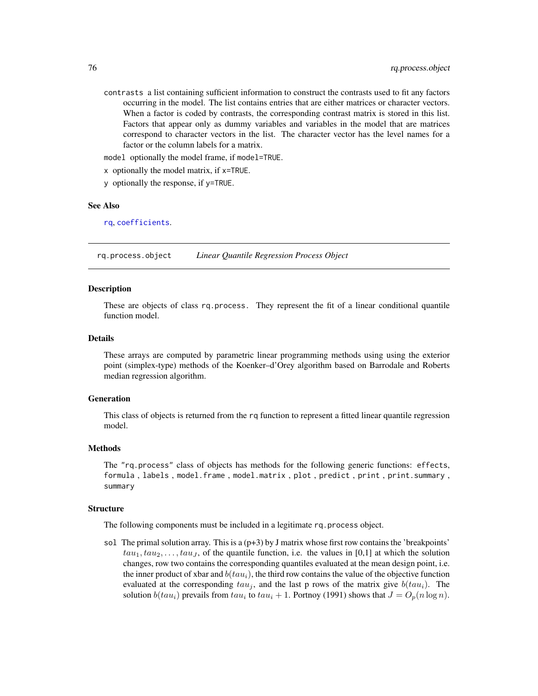<span id="page-75-0"></span>contrasts a list containing sufficient information to construct the contrasts used to fit any factors occurring in the model. The list contains entries that are either matrices or character vectors. When a factor is coded by contrasts, the corresponding contrast matrix is stored in this list. Factors that appear only as dummy variables and variables in the model that are matrices correspond to character vectors in the list. The character vector has the level names for a factor or the column labels for a matrix.

model optionally the model frame, if model=TRUE.

x optionally the model matrix, if x=TRUE.

y optionally the response, if y=TRUE.

#### See Also

[rq](#page-57-0), [coefficients](#page-0-0).

rq.process.object *Linear Quantile Regression Process Object*

#### Description

These are objects of class rq.process. They represent the fit of a linear conditional quantile function model.

#### Details

These arrays are computed by parametric linear programming methods using using the exterior point (simplex-type) methods of the Koenker–d'Orey algorithm based on Barrodale and Roberts median regression algorithm.

#### Generation

This class of objects is returned from the rq function to represent a fitted linear quantile regression model.

# **Methods**

The "rq.process" class of objects has methods for the following generic functions: effects, formula , labels , model.frame , model.matrix , plot , predict , print , print.summary , summary

#### **Structure**

The following components must be included in a legitimate rq.process object.

sol The primal solution array. This is a  $(p+3)$  by J matrix whose first row contains the 'breakpoints'  $tau_1, tau_1, tau_2, \ldots, tau_J$ , of the quantile function, i.e. the values in [0,1] at which the solution changes, row two contains the corresponding quantiles evaluated at the mean design point, i.e. the inner product of xbar and  $b(tau_i)$ , the third row contains the value of the objective function evaluated at the corresponding  $tau_j$ , and the last p rows of the matrix give  $b(tau_i)$ . The solution  $b(tau_i)$  prevails from  $tau_i$  to  $tau_i + 1$ . Portnoy (1991) shows that  $J = O_p(n \log n)$ .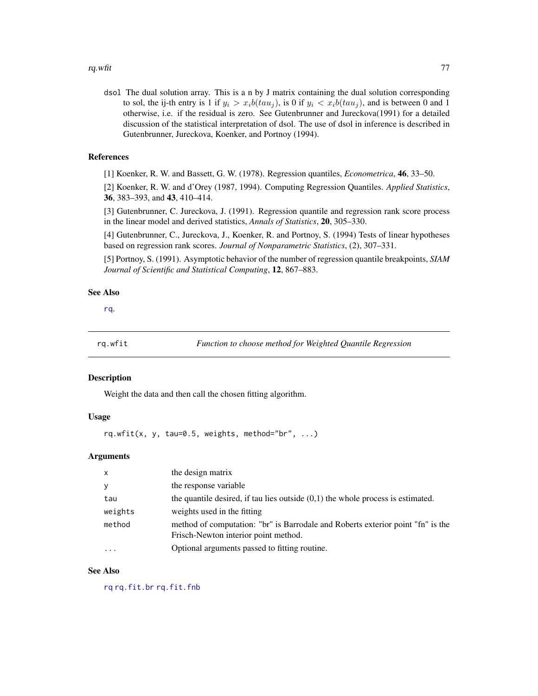<span id="page-76-0"></span>dsol The dual solution array. This is a n by J matrix containing the dual solution corresponding to sol, the ij-th entry is 1 if  $y_i > x_i b(tau_i)$ , is 0 if  $y_i < x_i b(tau_i)$ , and is between 0 and 1 otherwise, i.e. if the residual is zero. See Gutenbrunner and Jureckova(1991) for a detailed discussion of the statistical interpretation of dsol. The use of dsol in inference is described in Gutenbrunner, Jureckova, Koenker, and Portnoy (1994).

#### References

[1] Koenker, R. W. and Bassett, G. W. (1978). Regression quantiles, *Econometrica*, 46, 33–50.

[2] Koenker, R. W. and d'Orey (1987, 1994). Computing Regression Quantiles. *Applied Statistics*, 36, 383–393, and 43, 410–414.

[3] Gutenbrunner, C. Jureckova, J. (1991). Regression quantile and regression rank score process in the linear model and derived statistics, *Annals of Statistics*, 20, 305–330.

[4] Gutenbrunner, C., Jureckova, J., Koenker, R. and Portnoy, S. (1994) Tests of linear hypotheses based on regression rank scores. *Journal of Nonparametric Statistics*, (2), 307–331.

[5] Portnoy, S. (1991). Asymptotic behavior of the number of regression quantile breakpoints, *SIAM Journal of Scientific and Statistical Computing*, 12, 867–883.

#### See Also

[rq](#page-57-0).

rq.wfit *Function to choose method for Weighted Quantile Regression*

#### Description

Weight the data and then call the chosen fitting algorithm.

# Usage

rq.wfit(x, y, tau=0.5, weights, method="br",  $\ldots$ )

#### Arguments

| $\mathsf{x}$ | the design matrix                                                                                                       |
|--------------|-------------------------------------------------------------------------------------------------------------------------|
| y            | the response variable                                                                                                   |
| tau          | the quantile desired, if tau lies outside $(0,1)$ the whole process is estimated.                                       |
| weights      | weights used in the fitting                                                                                             |
| method       | method of computation: "br" is Barrodale and Roberts exterior point "fn" is the<br>Frisch-Newton interior point method. |
|              | Optional arguments passed to fitting routine.                                                                           |

# See Also

[rq](#page-57-0) [rq.fit.br](#page-61-0) [rq.fit.fnb](#page-63-0)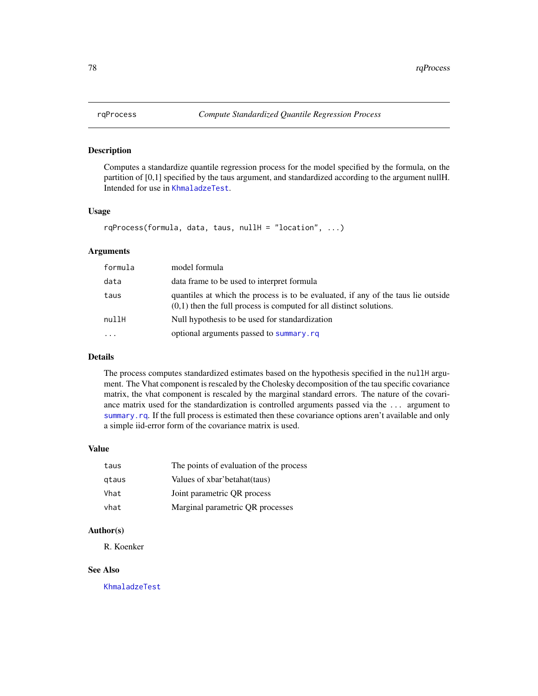<span id="page-77-0"></span>

Computes a standardize quantile regression process for the model specified by the formula, on the partition of [0,1] specified by the taus argument, and standardized according to the argument nullH. Intended for use in [KhmaladzeTest](#page-25-0).

#### Usage

 $rqProcess(formula, data, taus, nullH = "location", ...)$ 

# Arguments

| formula  | model formula                                                                                                                                              |
|----------|------------------------------------------------------------------------------------------------------------------------------------------------------------|
| data     | data frame to be used to interpret formula                                                                                                                 |
| taus     | quantiles at which the process is to be evaluated, if any of the taus lie outside<br>$(0,1)$ then the full process is computed for all distinct solutions. |
| nullH    | Null hypothesis to be used for standardization                                                                                                             |
| $\cdots$ | optional arguments passed to summary.rq                                                                                                                    |

# Details

The process computes standardized estimates based on the hypothesis specified in the nullH argument. The Vhat component is rescaled by the Cholesky decomposition of the tau specific covariance matrix, the vhat component is rescaled by the marginal standard errors. The nature of the covariance matrix used for the standardization is controlled arguments passed via the ... argument to [summary.rq](#page-87-0). If the full process is estimated then these covariance options aren't available and only a simple iid-error form of the covariance matrix is used.

# Value

| taus  | The points of evaluation of the process |
|-------|-----------------------------------------|
| gtaus | Values of xbar'betahat(taus)            |
| Vhat  | Joint parametric QR process             |
| vhat  | Marginal parametric QR processes        |

#### Author(s)

R. Koenker

# See Also

[KhmaladzeTest](#page-25-0)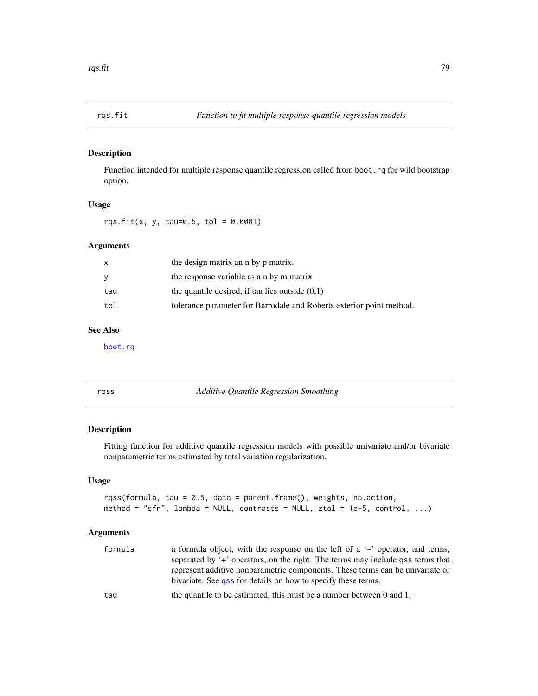<span id="page-78-0"></span>

Function intended for multiple response quantile regression called from boot.rq for wild bootstrap option.

# Usage

rqs.fit(x, y, tau=0.5, tol =  $0.0001$ )

# Arguments

| X   | the design matrix an n by p matrix.                                  |
|-----|----------------------------------------------------------------------|
| y   | the response variable as a n by m matrix                             |
| tau | the quantile desired, if tau lies outside $(0,1)$                    |
| tol | tolerance parameter for Barrodale and Roberts exterior point method. |

# See Also

[boot.rq](#page-10-0)

rqss *Additive Quantile Regression Smoothing*

# Description

Fitting function for additive quantile regression models with possible univariate and/or bivariate nonparametric terms estimated by total variation regularization.

# Usage

```
rqss(formula, tau = 0.5, data = parent.frame(), weights, na.action,
method = "sfn", lambda = NULL, contrasts = NULL, ztol = 1e-5, control, \dots)
```
# Arguments

| formula | a formula object, with the response on the left of a $\sim$ operator, and terms,<br>separated by '+' operators, on the right. The terms may include qss terms that |
|---------|--------------------------------------------------------------------------------------------------------------------------------------------------------------------|
|         | represent additive nonparametric components. These terms can be univariate or<br>bivariate. See qss for details on how to specify these terms.                     |
| tau     | the quantile to be estimated, this must be a number between $0$ and $1$ ,                                                                                          |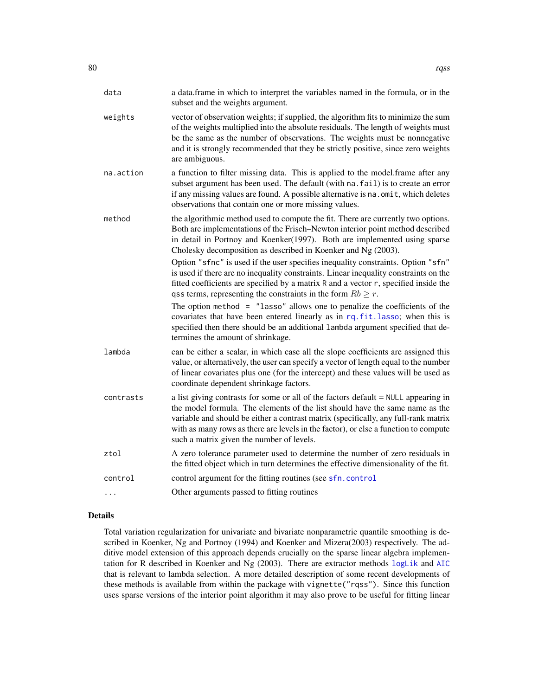<span id="page-79-0"></span>

| data      | a data.frame in which to interpret the variables named in the formula, or in the<br>subset and the weights argument.                                                                                                                                                                                                                                                                                                                                                                                                                                                                                                                                                                                                                                                                                                                                                                                                                             |
|-----------|--------------------------------------------------------------------------------------------------------------------------------------------------------------------------------------------------------------------------------------------------------------------------------------------------------------------------------------------------------------------------------------------------------------------------------------------------------------------------------------------------------------------------------------------------------------------------------------------------------------------------------------------------------------------------------------------------------------------------------------------------------------------------------------------------------------------------------------------------------------------------------------------------------------------------------------------------|
| weights   | vector of observation weights; if supplied, the algorithm fits to minimize the sum<br>of the weights multiplied into the absolute residuals. The length of weights must<br>be the same as the number of observations. The weights must be nonnegative<br>and it is strongly recommended that they be strictly positive, since zero weights<br>are ambiguous.                                                                                                                                                                                                                                                                                                                                                                                                                                                                                                                                                                                     |
| na.action | a function to filter missing data. This is applied to the model.frame after any<br>subset argument has been used. The default (with na. fail) is to create an error<br>if any missing values are found. A possible alternative is na. omit, which deletes<br>observations that contain one or more missing values.                                                                                                                                                                                                                                                                                                                                                                                                                                                                                                                                                                                                                               |
| method    | the algorithmic method used to compute the fit. There are currently two options.<br>Both are implementations of the Frisch-Newton interior point method described<br>in detail in Portnoy and Koenker(1997). Both are implemented using sparse<br>Cholesky decomposition as described in Koenker and Ng (2003).<br>Option "sfnc" is used if the user specifies inequality constraints. Option "sfn"<br>is used if there are no inequality constraints. Linear inequality constraints on the<br>fitted coefficients are specified by a matrix R and a vector r, specified inside the<br>qss terms, representing the constraints in the form $Rb \ge r$ .<br>The option method $=$ "lasso" allows one to penalize the coefficients of the<br>covariates that have been entered linearly as in rq. fit. lasso; when this is<br>specified then there should be an additional lambda argument specified that de-<br>termines the amount of shrinkage. |
| lambda    | can be either a scalar, in which case all the slope coefficients are assigned this<br>value, or alternatively, the user can specify a vector of length equal to the number<br>of linear covariates plus one (for the intercept) and these values will be used as<br>coordinate dependent shrinkage factors.                                                                                                                                                                                                                                                                                                                                                                                                                                                                                                                                                                                                                                      |
| contrasts | a list giving contrasts for some or all of the factors default = NULL appearing in<br>the model formula. The elements of the list should have the same name as the<br>variable and should be either a contrast matrix (specifically, any full-rank matrix<br>with as many rows as there are levels in the factor), or else a function to compute<br>such a matrix given the number of levels.                                                                                                                                                                                                                                                                                                                                                                                                                                                                                                                                                    |
| ztol      | A zero tolerance parameter used to determine the number of zero residuals in<br>the fitted object which in turn determines the effective dimensionality of the fit.                                                                                                                                                                                                                                                                                                                                                                                                                                                                                                                                                                                                                                                                                                                                                                              |
| control   | control argument for the fitting routines (see sfn. control                                                                                                                                                                                                                                                                                                                                                                                                                                                                                                                                                                                                                                                                                                                                                                                                                                                                                      |
| $\cdots$  | Other arguments passed to fitting routines                                                                                                                                                                                                                                                                                                                                                                                                                                                                                                                                                                                                                                                                                                                                                                                                                                                                                                       |

#### Details

Total variation regularization for univariate and bivariate nonparametric quantile smoothing is described in Koenker, Ng and Portnoy (1994) and Koenker and Mizera(2003) respectively. The additive model extension of this approach depends crucially on the sparse linear algebra implementation for R described in Koenker and Ng (2003). There are extractor methods [logLik](#page-0-0) and [AIC](#page-0-0) that is relevant to lambda selection. A more detailed description of some recent developments of these methods is available from within the package with vignette("rqss"). Since this function uses sparse versions of the interior point algorithm it may also prove to be useful for fitting linear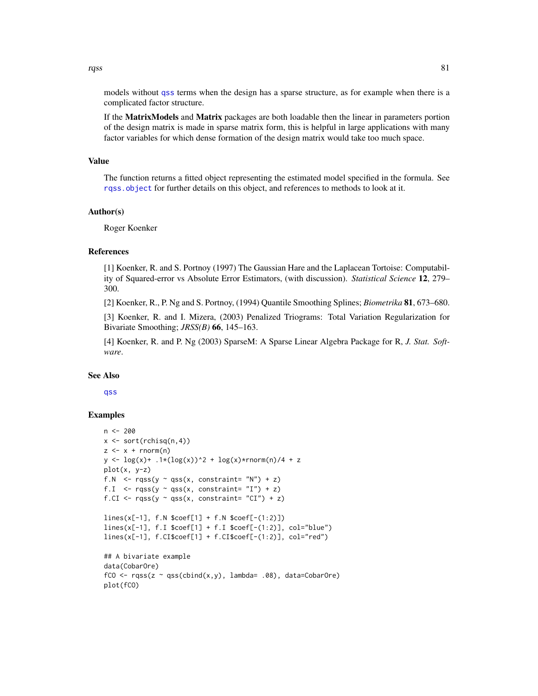<span id="page-80-0"></span>rqss 81

models without [qss](#page-52-0) terms when the design has a sparse structure, as for example when there is a complicated factor structure.

If the MatrixModels and Matrix packages are both loadable then the linear in parameters portion of the design matrix is made in sparse matrix form, this is helpful in large applications with many factor variables for which dense formation of the design matrix would take too much space.

#### Value

The function returns a fitted object representing the estimated model specified in the formula. See [rqss.object](#page-81-0) for further details on this object, and references to methods to look at it.

#### Author(s)

Roger Koenker

# References

[1] Koenker, R. and S. Portnoy (1997) The Gaussian Hare and the Laplacean Tortoise: Computability of Squared-error vs Absolute Error Estimators, (with discussion). *Statistical Science* 12, 279– 300.

[2] Koenker, R., P. Ng and S. Portnoy, (1994) Quantile Smoothing Splines; *Biometrika* 81, 673–680.

[3] Koenker, R. and I. Mizera, (2003) Penalized Triograms: Total Variation Regularization for Bivariate Smoothing; *JRSS(B)* 66, 145–163.

[4] Koenker, R. and P. Ng (2003) SparseM: A Sparse Linear Algebra Package for R, *J. Stat. Software*.

#### See Also

[qss](#page-52-0)

#### Examples

```
n <- 200
x \leftarrow sort(rchisq(n,4))z \leq x + \text{norm}(n)y \leq log(x) + .1*(log(x))^2 + log(x)*rnorm(n)/4 + zplot(x, y-z)
f.N \leq rqss(y \sim qss(x, constraint= "N") + z)
f.I \leq rqss(y \sim qss(x, constraint= "I") + z)
f.CI <- rqss(y ~ qss(x, constraint= "CI") + z)
lines(x[-1], f.N $coef[1] + f.N $coef[-(1:2)])
lines(x[-1], f.I $coef[1] + f.I $coef[-(1:2)], col="blue")
lines(x[-1], f.CI$coef[1] + f.CI$coef[-(1:2)], col="red")
## A bivariate example
data(CobarOre)
fCO \leq r \text{qss}(z \sim \text{qss}(cbind(x,y)), \text{lambda} = .08), \text{data=CobarOre})plot(fCO)
```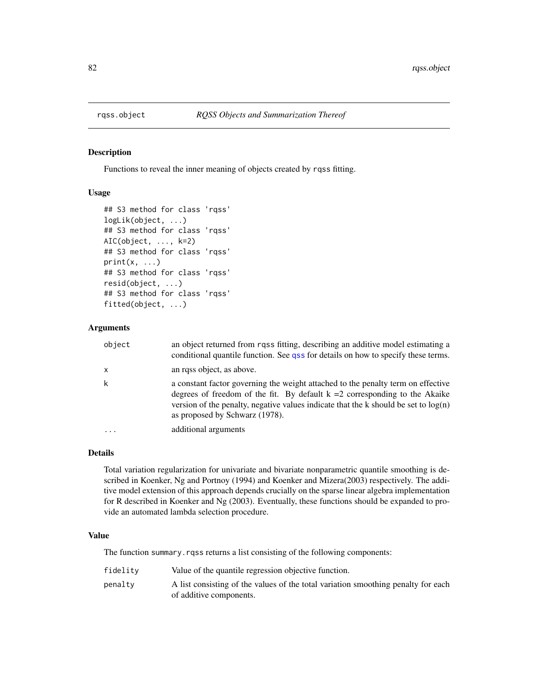<span id="page-81-1"></span><span id="page-81-0"></span>

Functions to reveal the inner meaning of objects created by rqss fitting.

# Usage

```
## S3 method for class 'rqss'
logLik(object, ...)
## S3 method for class 'rqss'
AIC(object, ..., k=2)
## S3 method for class 'rqss'
print(x, \ldots)## S3 method for class 'rqss'
resid(object, ...)
## S3 method for class 'rqss'
fitted(object, ...)
```
# Arguments

| object       | an object returned from rqss fitting, describing an additive model estimating a<br>conditional quantile function. See qss for details on how to specify these terms.                                                                                                                         |
|--------------|----------------------------------------------------------------------------------------------------------------------------------------------------------------------------------------------------------------------------------------------------------------------------------------------|
| $\mathsf{x}$ | an rqss object, as above.                                                                                                                                                                                                                                                                    |
| k            | a constant factor governing the weight attached to the penalty term on effective<br>degrees of freedom of the fit. By default $k = 2$ corresponding to the Akaike<br>version of the penalty, negative values indicate that the k should be set to $log(n)$<br>as proposed by Schwarz (1978). |
| $\cdots$     | additional arguments                                                                                                                                                                                                                                                                         |
|              |                                                                                                                                                                                                                                                                                              |

#### Details

Total variation regularization for univariate and bivariate nonparametric quantile smoothing is described in Koenker, Ng and Portnoy (1994) and Koenker and Mizera(2003) respectively. The additive model extension of this approach depends crucially on the sparse linear algebra implementation for R described in Koenker and Ng (2003). Eventually, these functions should be expanded to provide an automated lambda selection procedure.

# Value

The function summary. rqss returns a list consisting of the following components:

| fidelity | Value of the quantile regression objective function.                                                         |
|----------|--------------------------------------------------------------------------------------------------------------|
| penalty  | A list consisting of the values of the total variation smoothing penalty for each<br>of additive components. |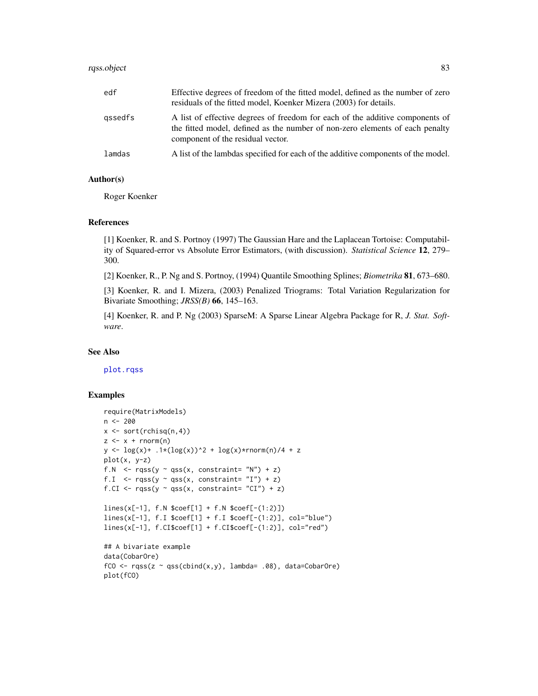# <span id="page-82-0"></span>rqss.object 83

| edf     | Effective degrees of freedom of the fitted model, defined as the number of zero<br>residuals of the fitted model, Koenker Mizera (2003) for details.                                               |
|---------|----------------------------------------------------------------------------------------------------------------------------------------------------------------------------------------------------|
| gssedfs | A list of effective degrees of freedom for each of the additive components of<br>the fitted model, defined as the number of non-zero elements of each penalty<br>component of the residual vector. |
| lamdas  | A list of the lambdas specified for each of the additive components of the model.                                                                                                                  |

#### Author(s)

Roger Koenker

#### References

[1] Koenker, R. and S. Portnoy (1997) The Gaussian Hare and the Laplacean Tortoise: Computability of Squared-error vs Absolute Error Estimators, (with discussion). *Statistical Science* 12, 279– 300.

[2] Koenker, R., P. Ng and S. Portnoy, (1994) Quantile Smoothing Splines; *Biometrika* 81, 673–680.

[3] Koenker, R. and I. Mizera, (2003) Penalized Triograms: Total Variation Regularization for Bivariate Smoothing; *JRSS(B)* 66, 145–163.

[4] Koenker, R. and P. Ng (2003) SparseM: A Sparse Linear Algebra Package for R, *J. Stat. Software*.

#### See Also

[plot.rqss](#page-41-0)

# Examples

```
require(MatrixModels)
n <- 200
x \leftarrow sort(rchisq(n,4))z \leq x + \text{norm}(n)y \leq log(x) + .1*(log(x))^2 + log(x)*rnorm(n)/4 + zplot(x, y-z)
f.N \leq rqss(y \sim qss(x, constraint= "N") + z)
f.I \leq rqss(y \sim qss(x, constraint= "I") + z)
f.CI <- rqss(y ~ qss(x, constraint= "CI") + z)
lines(x[-1], f.N $coef[1] + f.N $coef[-(1:2)])
lines(x[-1], f.I $coef[1] + f.I $coef[-(1:2)], col="blue")
lines(x[-1], f.CI$coef[1] + f.CI$coef[-(1:2)], col="red")
## A bivariate example
data(CobarOre)
fCO \leftarrow rqss(z \sim qss(cbind(x,y), lambda= .08), data=CobarOre)plot(fCO)
```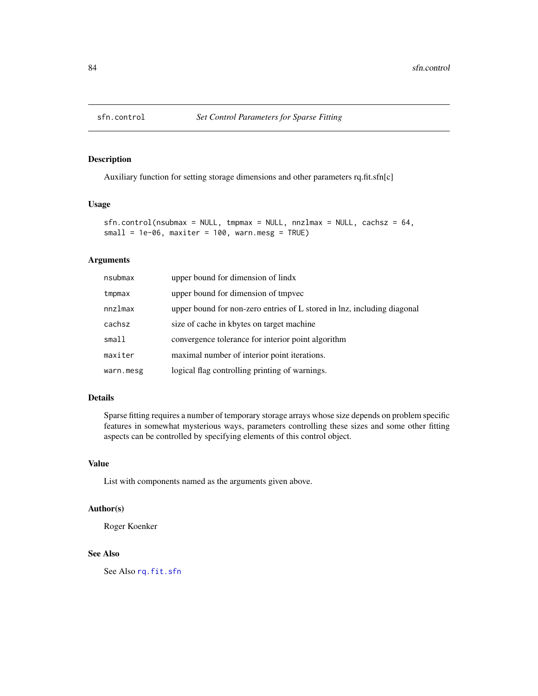<span id="page-83-1"></span><span id="page-83-0"></span>

Auxiliary function for setting storage dimensions and other parameters rq.fit.sfn[c]

#### Usage

```
sfn.control(nsubmax = NULL, tempmax = NULL, nnzlmax = NULL, cachesz = 64,small = 1e-06, maxiter = 100, warn.mesg = TRUE)
```
# Arguments

| nsubmax   | upper bound for dimension of lindx                                      |
|-----------|-------------------------------------------------------------------------|
| tmpmax    | upper bound for dimension of tmpvec                                     |
| nnzlmax   | upper bound for non-zero entries of L stored in lnz, including diagonal |
| cachsz    | size of cache in kbytes on target machine                               |
| small     | convergence tolerance for interior point algorithm                      |
| maxiter   | maximal number of interior point iterations.                            |
| warn.mesg | logical flag controlling printing of warnings.                          |

# Details

Sparse fitting requires a number of temporary storage arrays whose size depends on problem specific features in somewhat mysterious ways, parameters controlling these sizes and some other fitting aspects can be controlled by specifying elements of this control object.

# Value

List with components named as the arguments given above.

# Author(s)

Roger Koenker

#### See Also

See Also [rq.fit.sfn](#page-70-0)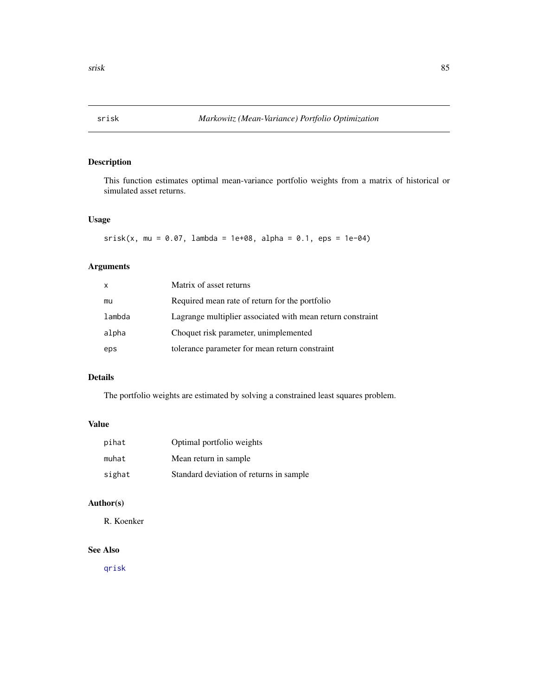<span id="page-84-0"></span>

This function estimates optimal mean-variance portfolio weights from a matrix of historical or simulated asset returns.

# Usage

```
srisk(x, mu = 0.07, lambda = 1e+08, alpha = 0.1,eps = 1e-04)
```
# Arguments

| X      | Matrix of asset returns                                    |
|--------|------------------------------------------------------------|
| mu     | Required mean rate of return for the portfolio             |
| lambda | Lagrange multiplier associated with mean return constraint |
| alpha  | Choquet risk parameter, unimplemented                      |
| eps    | tolerance parameter for mean return constraint             |

# Details

The portfolio weights are estimated by solving a constrained least squares problem.

# Value

| pihat  | Optimal portfolio weights               |
|--------|-----------------------------------------|
| muhat  | Mean return in sample                   |
| sighat | Standard deviation of returns in sample |

# Author(s)

R. Koenker

# See Also

[qrisk](#page-50-0)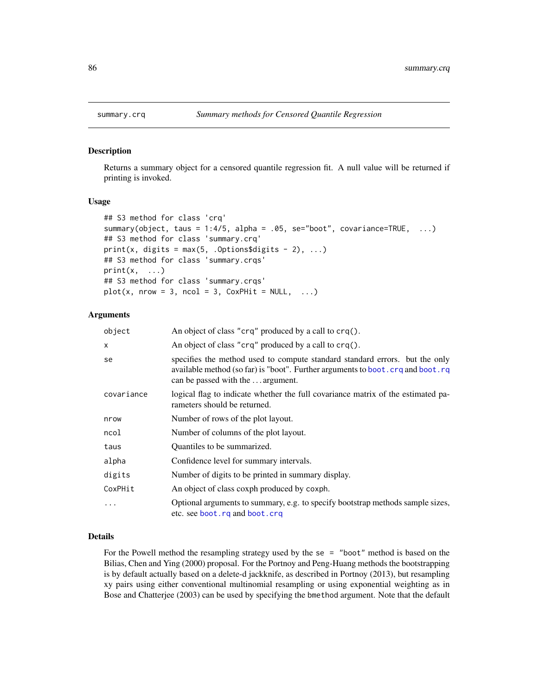Returns a summary object for a censored quantile regression fit. A null value will be returned if printing is invoked.

#### Usage

```
## S3 method for class 'crq'
summary(object, taus = 1:4/5, alpha = .05, se="boot", covariance=TRUE, ...)
## S3 method for class 'summary.crq'
print(x, digits = max(5, .Options$digits - 2), \dots)
## S3 method for class 'summary.crqs'
print(x, \ldots)## S3 method for class 'summary.crqs'
plot(x, nrow = 3, ncol = 3, CoxPHit = NULL, ...)
```
#### Arguments

| object     | An object of class "crq" produced by a call to crq().                                                                                                                                                |  |
|------------|------------------------------------------------------------------------------------------------------------------------------------------------------------------------------------------------------|--|
| X          | An object of class "crq" produced by a call to crq().                                                                                                                                                |  |
| se         | specifies the method used to compute standard standard errors. but the only<br>available method (so far) is "boot". Further arguments to boot. crq and boot. rq<br>can be passed with the  argument. |  |
| covariance | logical flag to indicate whether the full covariance matrix of the estimated pa-<br>rameters should be returned.                                                                                     |  |
| nrow       | Number of rows of the plot layout.                                                                                                                                                                   |  |
| ncol       | Number of columns of the plot layout.                                                                                                                                                                |  |
| taus       | Quantiles to be summarized.                                                                                                                                                                          |  |
| alpha      | Confidence level for summary intervals.                                                                                                                                                              |  |
| digits     | Number of digits to be printed in summary display.                                                                                                                                                   |  |
| CoxPHit    | An object of class coxph produced by coxph.                                                                                                                                                          |  |
| $\ddotsc$  | Optional arguments to summary, e.g. to specify bootstrap methods sample sizes,<br>etc. see boot. rq and boot. crq                                                                                    |  |

# Details

For the Powell method the resampling strategy used by the se  $=$  "boot" method is based on the Bilias, Chen and Ying (2000) proposal. For the Portnoy and Peng-Huang methods the bootstrapping is by default actually based on a delete-d jackknife, as described in Portnoy (2013), but resampling xy pairs using either conventional multinomial resampling or using exponential weighting as in Bose and Chatterjee (2003) can be used by specifying the bmethod argument. Note that the default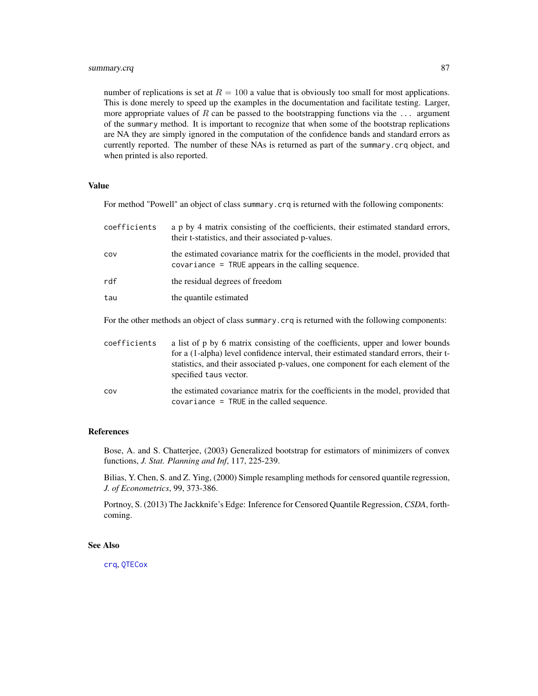<span id="page-86-0"></span>number of replications is set at  $R = 100$  a value that is obviously too small for most applications. This is done merely to speed up the examples in the documentation and facilitate testing. Larger, more appropriate values of R can be passed to the bootstrapping functions via the  $\dots$  argument of the summary method. It is important to recognize that when some of the bootstrap replications are NA they are simply ignored in the computation of the confidence bands and standard errors as currently reported. The number of these NAs is returned as part of the summary.crq object, and when printed is also reported.

#### Value

For method "Powell" an object of class summary.crq is returned with the following components:

| coefficients | a p by 4 matrix consisting of the coefficients, their estimated standard errors,<br>their t-statistics, and their associated p-values.                                                                                                                                               |
|--------------|--------------------------------------------------------------------------------------------------------------------------------------------------------------------------------------------------------------------------------------------------------------------------------------|
| COV          | the estimated covariance matrix for the coefficients in the model, provided that<br>$covariance = TRUE$ appears in the calling sequence.                                                                                                                                             |
| rdf          | the residual degrees of freedom                                                                                                                                                                                                                                                      |
| tau          | the quantile estimated                                                                                                                                                                                                                                                               |
|              | For the other methods an object of class summary, crq is returned with the following components:                                                                                                                                                                                     |
| coefficients | a list of p by 6 matrix consisting of the coefficients, upper and lower bounds<br>for a (1-alpha) level confidence interval, their estimated standard errors, their t-<br>statistics, and their associated p-values, one component for each element of the<br>specified taus vector. |

cov the estimated covariance matrix for the coefficients in the model, provided that covariance = TRUE in the called sequence.

#### References

Bose, A. and S. Chatterjee, (2003) Generalized bootstrap for estimators of minimizers of convex functions, *J. Stat. Planning and Inf*, 117, 225-239.

Bilias, Y. Chen, S. and Z. Ying, (2000) Simple resampling methods for censored quantile regression, *J. of Econometrics*, 99, 373-386.

Portnoy, S. (2013) The Jackknife's Edge: Inference for Censored Quantile Regression, *CSDA*, forthcoming.

# See Also

[crq](#page-15-0), [QTECox](#page-53-0)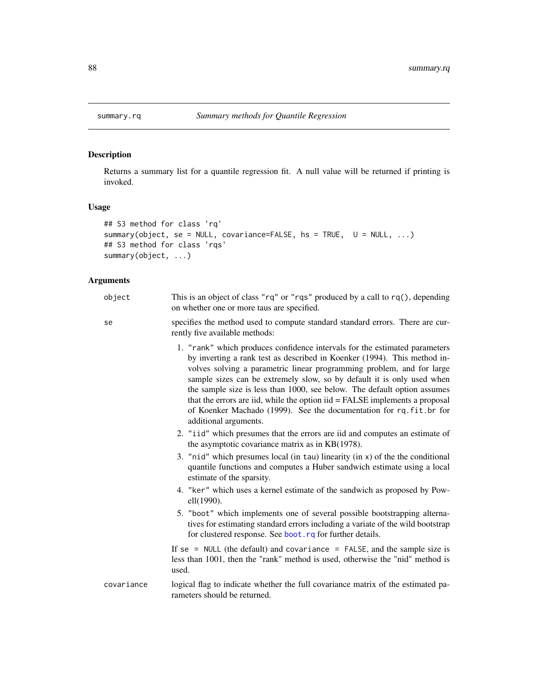Returns a summary list for a quantile regression fit. A null value will be returned if printing is invoked.

# Usage

```
## S3 method for class 'rq'
summary(object, se = NULL, covariance=FALSE, hs = TRUE, \cup = NULL, ...)
## S3 method for class 'rqs'
summary(object, ...)
```
# Arguments

| object     | This is an object of class " $rq$ " or " $rqs$ " produced by a call to $rq()$ , depending<br>on whether one or more taus are specified.                                                                                                                                                                                                                                                                                                                                                                                                                             |  |
|------------|---------------------------------------------------------------------------------------------------------------------------------------------------------------------------------------------------------------------------------------------------------------------------------------------------------------------------------------------------------------------------------------------------------------------------------------------------------------------------------------------------------------------------------------------------------------------|--|
| se         | specifies the method used to compute standard standard errors. There are cur-<br>rently five available methods:                                                                                                                                                                                                                                                                                                                                                                                                                                                     |  |
|            | 1. "rank" which produces confidence intervals for the estimated parameters<br>by inverting a rank test as described in Koenker (1994). This method in-<br>volves solving a parametric linear programming problem, and for large<br>sample sizes can be extremely slow, so by default it is only used when<br>the sample size is less than 1000, see below. The default option assumes<br>that the errors are iid, while the option iid = FALSE implements a proposal<br>of Koenker Machado (1999). See the documentation for rq.fit.br for<br>additional arguments. |  |
|            | 2. "iid" which presumes that the errors are iid and computes an estimate of<br>the asymptotic covariance matrix as in KB(1978).                                                                                                                                                                                                                                                                                                                                                                                                                                     |  |
|            | 3. "nid" which presumes local (in tau) linearity (in $x$ ) of the the conditional<br>quantile functions and computes a Huber sandwich estimate using a local<br>estimate of the sparsity.                                                                                                                                                                                                                                                                                                                                                                           |  |
|            | 4. "ker" which uses a kernel estimate of the sandwich as proposed by Pow-<br>ell(1990).                                                                                                                                                                                                                                                                                                                                                                                                                                                                             |  |
|            | 5. "boot" which implements one of several possible bootstrapping alterna-<br>tives for estimating standard errors including a variate of the wild bootstrap<br>for clustered response. See boot. rq for further details.                                                                                                                                                                                                                                                                                                                                            |  |
|            | If se = NULL (the default) and covariance = FALSE, and the sample size is<br>less than 1001, then the "rank" method is used, otherwise the "nid" method is<br>used.                                                                                                                                                                                                                                                                                                                                                                                                 |  |
| covariance | logical flag to indicate whether the full covariance matrix of the estimated pa-<br>rameters should be returned.                                                                                                                                                                                                                                                                                                                                                                                                                                                    |  |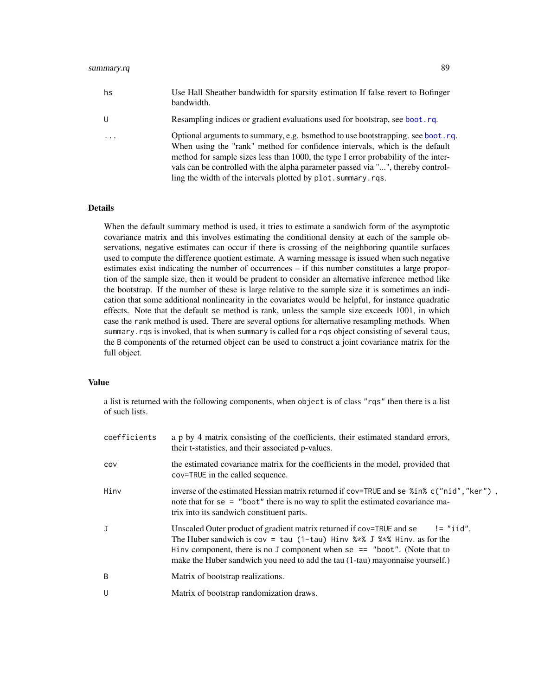<span id="page-88-0"></span>

| hs                      | Use Hall Sheather bandwidth for sparsity estimation If false revert to Bofinger<br>bandwidth.                                                                                                                                                                                                                                                                                                              |
|-------------------------|------------------------------------------------------------------------------------------------------------------------------------------------------------------------------------------------------------------------------------------------------------------------------------------------------------------------------------------------------------------------------------------------------------|
| -U                      | Resampling indices or gradient evaluations used for bootstrap, see boot.rq.                                                                                                                                                                                                                                                                                                                                |
| $\cdot$ $\cdot$ $\cdot$ | Optional arguments to summary, e.g. bsmethod to use bootstrapping. see boot. rq.<br>When using the "rank" method for confidence intervals, which is the default<br>method for sample sizes less than 1000, the type I error probability of the inter-<br>vals can be controlled with the alpha parameter passed via "", thereby control-<br>ling the width of the intervals plotted by plot. summary. rqs. |

# Details

When the default summary method is used, it tries to estimate a sandwich form of the asymptotic covariance matrix and this involves estimating the conditional density at each of the sample observations, negative estimates can occur if there is crossing of the neighboring quantile surfaces used to compute the difference quotient estimate. A warning message is issued when such negative estimates exist indicating the number of occurrences – if this number constitutes a large proportion of the sample size, then it would be prudent to consider an alternative inference method like the bootstrap. If the number of these is large relative to the sample size it is sometimes an indication that some additional nonlinearity in the covariates would be helpful, for instance quadratic effects. Note that the default se method is rank, unless the sample size exceeds 1001, in which case the rank method is used. There are several options for alternative resampling methods. When summary.rqs is invoked, that is when summary is called for a rqs object consisting of several taus, the B components of the returned object can be used to construct a joint covariance matrix for the full object.

#### Value

a list is returned with the following components, when object is of class "rqs" then there is a list of such lists.

| coefficients | a p by 4 matrix consisting of the coefficients, their estimated standard errors,<br>their t-statistics, and their associated p-values.                                                                                                                                                                                          |
|--------------|---------------------------------------------------------------------------------------------------------------------------------------------------------------------------------------------------------------------------------------------------------------------------------------------------------------------------------|
| COV          | the estimated covariance matrix for the coefficients in the model, provided that<br>cov=TRUE in the called sequence.                                                                                                                                                                                                            |
| Hinv         | inverse of the estimated Hessian matrix returned if cov=TRUE and se %in% c("nid", "ker"),<br>note that for se = "boot" there is no way to split the estimated covariance ma-<br>trix into its sandwich constituent parts.                                                                                                       |
| J            | Unscaled Outer product of gradient matrix returned if cov=TRUE and se<br>$!=$ "iid".<br>The Huber sandwich is $cov = tau(1-tau)$ Hinv %*% J %*% Hinv. as for the<br>Hinv component, there is no J component when se $==$ "boot". (Note that to<br>make the Huber sandwich you need to add the tau (1-tau) mayonnaise yourself.) |
| B            | Matrix of bootstrap realizations.                                                                                                                                                                                                                                                                                               |
| U            | Matrix of bootstrap randomization draws.                                                                                                                                                                                                                                                                                        |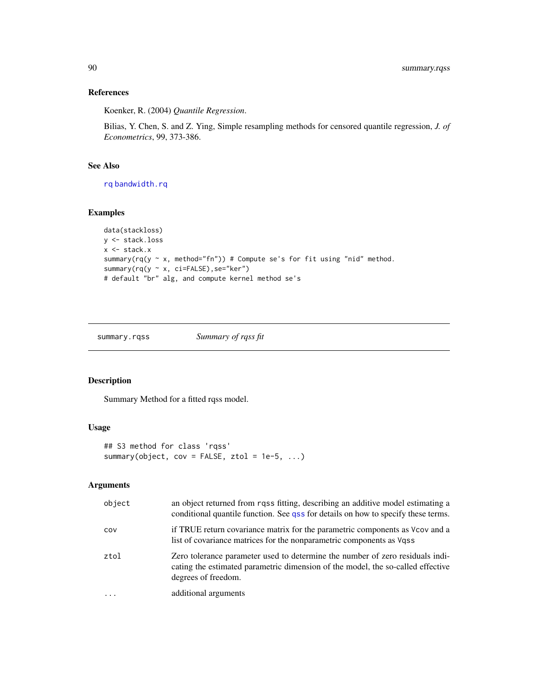# References

Koenker, R. (2004) *Quantile Regression*.

Bilias, Y. Chen, S. and Z. Ying, Simple resampling methods for censored quantile regression, *J. of Econometrics*, 99, 373-386.

# See Also

[rq](#page-57-0) [bandwidth.rq](#page-7-0)

# Examples

```
data(stackloss)
y <- stack.loss
x <- stack.x
summary(rq(y \sim x, method="fn")) # Compute se's for fit using "nid" method.
summary(rq(y ~ x, ci=FALSE),se="ker")
# default "br" alg, and compute kernel method se's
```
summary.rqss *Summary of rqss fit*

# Description

Summary Method for a fitted rqss model.

# Usage

```
## S3 method for class 'rqss'
summary(object, cov = FALSE, ztol = 1e-5, \ldots)
```
#### Arguments

| object   | an object returned from rqss fitting, describing an additive model estimating a<br>conditional quantile function. See qss for details on how to specify these terms.                    |
|----------|-----------------------------------------------------------------------------------------------------------------------------------------------------------------------------------------|
| COV      | if TRUE return covariance matrix for the parametric components as Vcov and a<br>list of covariance matrices for the nonparametric components as Vqss                                    |
| ztol     | Zero tolerance parameter used to determine the number of zero residuals indi-<br>cating the estimated parametric dimension of the model, the so-called effective<br>degrees of freedom. |
| $\cdots$ | additional arguments                                                                                                                                                                    |

<span id="page-89-0"></span>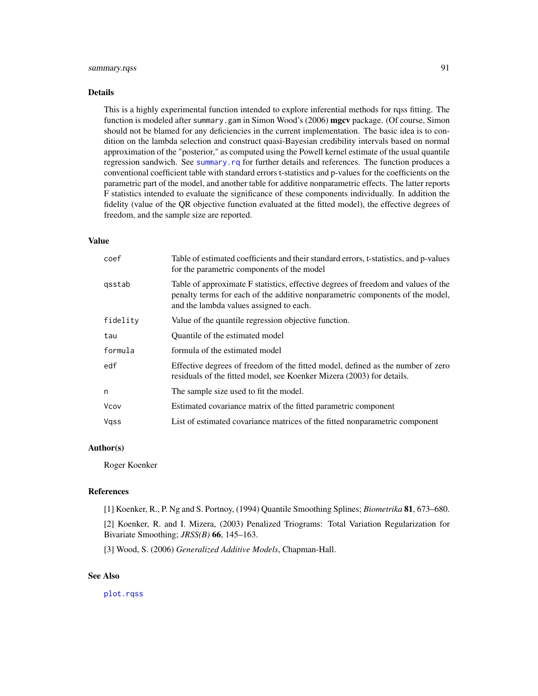# <span id="page-90-0"></span>summary.rqss 91

#### Details

This is a highly experimental function intended to explore inferential methods for rqss fitting. The function is modeled after summary.gam in Simon Wood's (2006) mgcv package. (Of course, Simon should not be blamed for any deficiencies in the current implementation. The basic idea is to condition on the lambda selection and construct quasi-Bayesian credibility intervals based on normal approximation of the "posterior," as computed using the Powell kernel estimate of the usual quantile regression sandwich. See [summary.rq](#page-87-0) for further details and references. The function produces a conventional coefficient table with standard errors t-statistics and p-values for the coefficients on the parametric part of the model, and another table for additive nonparametric effects. The latter reports F statistics intended to evaluate the significance of these components individually. In addition the fidelity (value of the QR objective function evaluated at the fitted model), the effective degrees of freedom, and the sample size are reported.

#### Value

| coef     | Table of estimated coefficients and their standard errors, t-statistics, and p-values<br>for the parametric components of the model                                                                           |
|----------|---------------------------------------------------------------------------------------------------------------------------------------------------------------------------------------------------------------|
| qsstab   | Table of approximate F statistics, effective degrees of freedom and values of the<br>penalty terms for each of the additive nonparametric components of the model,<br>and the lambda values assigned to each. |
| fidelity | Value of the quantile regression objective function.                                                                                                                                                          |
| tau      | Quantile of the estimated model                                                                                                                                                                               |
| formula  | formula of the estimated model                                                                                                                                                                                |
| edf      | Effective degrees of freedom of the fitted model, defined as the number of zero<br>residuals of the fitted model, see Koenker Mizera (2003) for details.                                                      |
| n        | The sample size used to fit the model.                                                                                                                                                                        |
| Vcov     | Estimated covariance matrix of the fitted parametric component                                                                                                                                                |
| Vass     | List of estimated covariance matrices of the fitted nonparametric component                                                                                                                                   |

# Author(s)

Roger Koenker

#### References

[1] Koenker, R., P. Ng and S. Portnoy, (1994) Quantile Smoothing Splines; *Biometrika* 81, 673–680.

[2] Koenker, R. and I. Mizera, (2003) Penalized Triograms: Total Variation Regularization for Bivariate Smoothing; *JRSS(B)* 66, 145–163.

[3] Wood, S. (2006) *Generalized Additive Models*, Chapman-Hall.

# See Also

[plot.rqss](#page-41-0)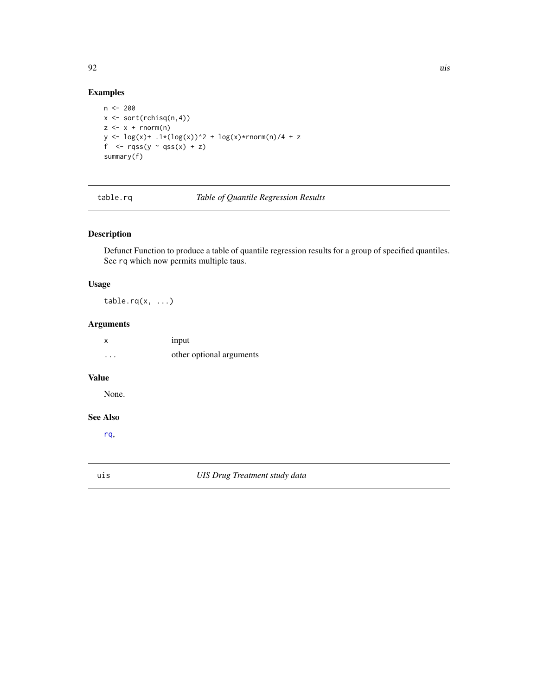# Examples

```
n < - 200x <- sort(rchisq(n,4))
z \leq x + \text{norm}(n)y \leftarrow \log(x) + .1*(\log(x))^2 + \log(x)*rnorm(n)/4 + zf \leq rqss(y \sim qss(x) + z)
summary(f)
```
table.rq *Table of Quantile Regression Results*

# Description

Defunct Function to produce a table of quantile regression results for a group of specified quantiles. See rq which now permits multiple taus.

# Usage

table.rq $(x, \ldots)$ 

# Arguments

| X       | 1 <sub>nput</sub>        |
|---------|--------------------------|
| $\cdot$ | other optional arguments |

# Value

None.

# See Also

[rq](#page-57-0),

uis *UIS Drug Treatment study data*

<span id="page-91-0"></span>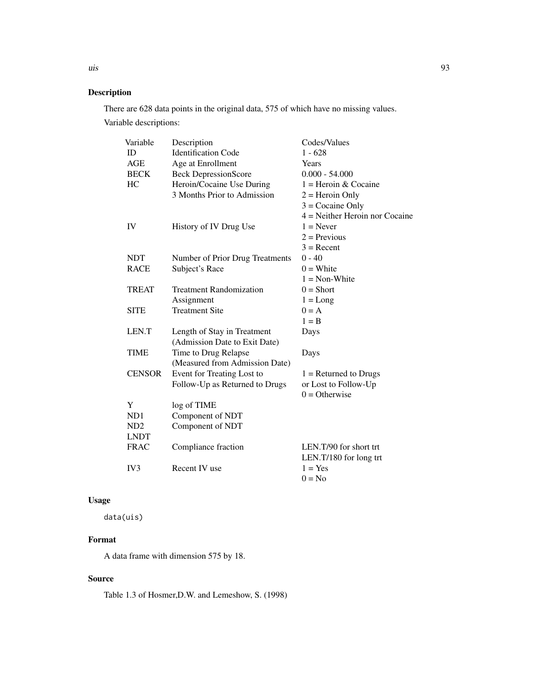There are 628 data points in the original data, 575 of which have no missing values. Variable descriptions:

| Variable        | Description                     | Codes/Values                     |
|-----------------|---------------------------------|----------------------------------|
| <b>ID</b>       | <b>Identification Code</b>      | $1 - 628$                        |
| AGE             | Age at Enrollment               | Years                            |
| <b>BECK</b>     | <b>Beck DepressionScore</b>     | $0.000 - 54.000$                 |
| HC              | Heroin/Cocaine Use During       | $1 =$ Heroin & Cocaine           |
|                 | 3 Months Prior to Admission     | $2 =$ Heroin Only                |
|                 |                                 | $3 = Cocaine Only$               |
|                 |                                 | $4$ = Neither Heroin nor Cocaine |
| IV              | History of IV Drug Use          | $1 =$ Never                      |
|                 |                                 | $2 =$ Previous                   |
|                 |                                 | $3 =$ Recent                     |
| <b>NDT</b>      | Number of Prior Drug Treatments | $0 - 40$                         |
| <b>RACE</b>     | Subject's Race                  | $0 =$ White                      |
|                 |                                 | $1 = Non-White$                  |
| TREAT           | <b>Treatment Randomization</b>  | $0 = Short$                      |
|                 | Assignment                      | $1 = Long$                       |
| <b>SITE</b>     | <b>Treatment Site</b>           | $0 = A$                          |
|                 |                                 | $1 = B$                          |
| LEN.T           | Length of Stay in Treatment     | Days                             |
|                 | (Admission Date to Exit Date)   |                                  |
| <b>TIME</b>     | Time to Drug Relapse            | Days                             |
|                 | (Measured from Admission Date)  |                                  |
| <b>CENSOR</b>   | Event for Treating Lost to      | $1 =$ Returned to Drugs          |
|                 | Follow-Up as Returned to Drugs  | or Lost to Follow-Up             |
|                 |                                 | $0 =$ Otherwise                  |
| Y               | log of TIME                     |                                  |
| ND1             | Component of NDT                |                                  |
| ND <sub>2</sub> | Component of NDT                |                                  |
| <b>LNDT</b>     |                                 |                                  |
| <b>FRAC</b>     | Compliance fraction             | LEN.T/90 for short trt           |
|                 |                                 | LEN.T/180 for long trt           |
| IV <sub>3</sub> | Recent IV use                   | $1 = Yes$                        |
|                 |                                 | $0 = No$                         |

# Usage

data(uis)

# Format

A data frame with dimension 575 by 18.

# Source

Table 1.3 of Hosmer,D.W. and Lemeshow, S. (1998)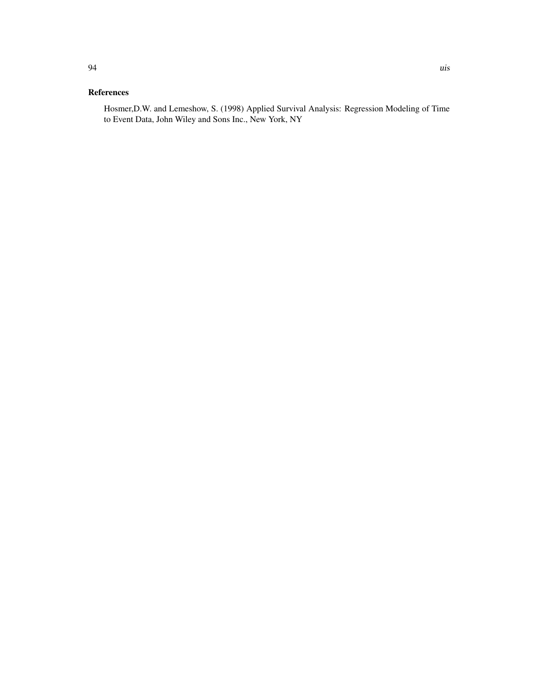# References

Hosmer,D.W. and Lemeshow, S. (1998) Applied Survival Analysis: Regression Modeling of Time to Event Data, John Wiley and Sons Inc., New York, NY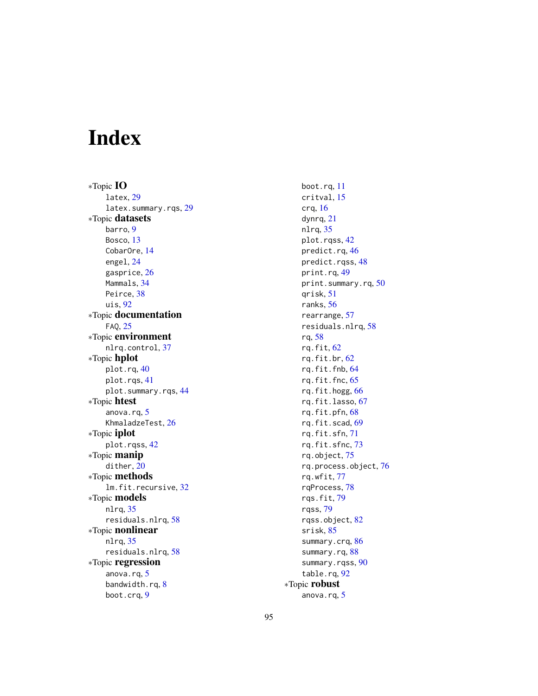# Index

∗Topic IO latex, [29](#page-28-0) latex.summary.rqs, [29](#page-28-0) ∗Topic datasets barro, [9](#page-8-1) Bosco, [13](#page-12-0) CobarOre, [14](#page-13-0) engel, [24](#page-23-0) gasprice, [26](#page-25-1) Mammals, [34](#page-33-0) Peirce, [38](#page-37-0) uis, [92](#page-91-0) ∗Topic documentation FAQ, [25](#page-24-0) ∗Topic environment nlrq.control, [37](#page-36-0) ∗Topic hplot plot.rq, [40](#page-39-0) plot.rqs, [41](#page-40-0) plot.summary.rqs, [44](#page-43-0) ∗Topic htest anova.rq, [5](#page-4-0) KhmaladzeTest, [26](#page-25-1) ∗Topic iplot plot.rqss, [42](#page-41-1) ∗Topic manip dither, [20](#page-19-0) ∗Topic methods lm.fit.recursive, [32](#page-31-0) ∗Topic models nlrq, [35](#page-34-0) residuals.nlrq, [58](#page-57-1) ∗Topic nonlinear nlrq, [35](#page-34-0) residuals.nlrq, [58](#page-57-1) ∗Topic regression anova.rq, [5](#page-4-0) bandwidth.rq, [8](#page-7-1) boot.crq, [9](#page-8-1)

boot.rq, [11](#page-10-1) critval, [15](#page-14-0) crq, [16](#page-15-1) dynrq, [21](#page-20-0) nlrq, [35](#page-34-0) plot.rqss, [42](#page-41-1) predict.rq, [46](#page-45-0) predict.rqss, [48](#page-47-0) print.rq, [49](#page-48-0) print.summary.rq, [50](#page-49-0) qrisk, [51](#page-50-1) ranks, [56](#page-55-0) rearrange, [57](#page-56-0) residuals.nlrq, [58](#page-57-1) rq, [58](#page-57-1) rq.fit, [62](#page-61-1) rq.fit.br, [62](#page-61-1) rq.fit.fnb, [64](#page-63-1) rq.fit.fnc, [65](#page-64-0) rq.fit.hogg, [66](#page-65-0) rq.fit.lasso, [67](#page-66-1) rq.fit.pfn, [68](#page-67-0) rq.fit.scad, [69](#page-68-0) rq.fit.sfn, [71](#page-70-1) rq.fit.sfnc, [73](#page-72-0) rq.object, [75](#page-74-0) rq.process.object, [76](#page-75-0) rq.wfit, [77](#page-76-0) rqProcess, [78](#page-77-0) rqs.fit, [79](#page-78-0) rqss, [79](#page-78-0) rqss.object, [82](#page-81-1) srisk, [85](#page-84-0) summary.crq, [86](#page-85-0) summary.rq, [88](#page-87-1) summary.rqss, [90](#page-89-0) table.rq, [92](#page-91-0) ∗Topic robust anova.rq, [5](#page-4-0)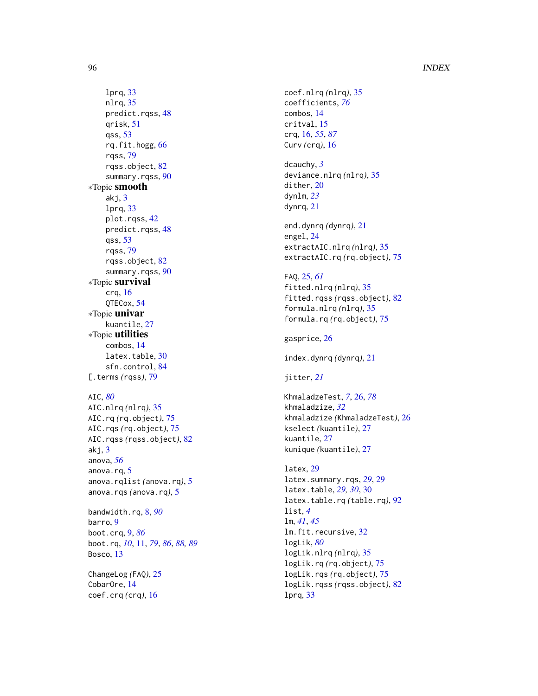# 96 **INDEX**

```
lprq
, 33
    nlrq
, 35
    predict.rqss
, 48
    qrisk
, 51
    qss
, 53
    rq.fit.hogg
, 66
    rqss
, 79
    rqss.object
, 82
    90
∗Topic smooth
    akj
,
3
    lprq
, 33
    plot.rqss
, 42
    predict.rqss
, 48
    qss
, 53
    rqss
, 79
    rqss.object
, 82
    90
∗Topic survival
    crq
, 16
    QTECox
, 54
∗Topic univar
    kuantile
, 27
∗Topic utilities
    combos
, 14
    30
    84
79
AIC
, 80
AIC.nlrq
(nlrq
)
, 35
AIC.rq
(rq.object
)
, 75
AIC.rqs
(rq.object
)
, 75
AIC.rqss
(rqss.object
)
, 82
```
akj , [3](#page-2-0) anova , *[56](#page-55-0)* anova.rq, [5](#page-4-0) anova.rqlist *(*anova.rq *)* , [5](#page-4-0) anova.rqs *(*anova.rq *)* , [5](#page-4-0)

bandwidth.rq , [8](#page-7-1) , *[90](#page-89-0)* barro, [9](#page-8-1) boot.crq , [9](#page-8-1) , *[86](#page-85-0)* boot.rq , *[10](#page-9-0)* , [11](#page-10-1) , *[79](#page-78-0)* , *[86](#page-85-0)* , *[88](#page-87-1) , [89](#page-88-0)* Bosco, [13](#page-12-0)

ChangeLog *(*FAQ *)* , [25](#page-24-0) CobarOre , [14](#page-13-0) coef.crq *(*crq *)* , [16](#page-15-1)

```
coef.nlrq
(nlrq
)
, 35
coefficients
, 76
combos
, 14
critval
, 15
crq
, 16
, 55
, 87
Curv
(crq
)
, 16
```
dcauchy , *[3](#page-2-0)* deviance.nlrq *(*nlrq *)* , [35](#page-34-0) dither, [20](#page-19-0) dynlm , *[23](#page-22-0)* dynrq , [21](#page-20-0)

end.dynrq *(*dynrq *)* , [21](#page-20-0) engel , [24](#page-23-0) extractAIC.nlrq *(*nlrq *)* , [35](#page-34-0) extractAIC.rq *(*rq.object *)* , [75](#page-74-0)

# FAQ , [25](#page-24-0) , *[61](#page-60-0)*

fitted.nlrq *(*nlrq *)* , [35](#page-34-0) fitted.rqss *(*rqss.object *)* , [82](#page-81-1) formula.nlrq *(*nlrq *)* , [35](#page-34-0) formula.rq *(*rq.object *)* , [75](#page-74-0)

gasprice, [26](#page-25-1)

index.dynrq *(*dynrq *)* , [21](#page-20-0)

# jitter , *[21](#page-20-0)*

KhmaladzeTest , *[7](#page-6-0)* , [26](#page-25-1) , *[78](#page-77-0)* khmaladzize , *[32](#page-31-0)* khmaladzize *(*KhmaladzeTest *)* , [26](#page-25-1) kselect *(*kuantile *)* , [27](#page-26-0) kuantile , [27](#page-26-0) kunique *(*kuantile *)* , [27](#page-26-0)

```
latex
, 29
latex.summary.rqs
, 29
, 29
2930, 30
latex.table.rq
(table.rq
)
, 92
list
,
4
lm
, 41
, 45
lm.fit.recursive
, 32
logLik
, 80
logLik.nlrq
(nlrq
)
, 35
logLik.rq
(rq.object
)
, 75
logLik.rqs
(rq.object
)
, 75
logLik.rqss
(rqss.object
)
, 82
lprq
, 33
```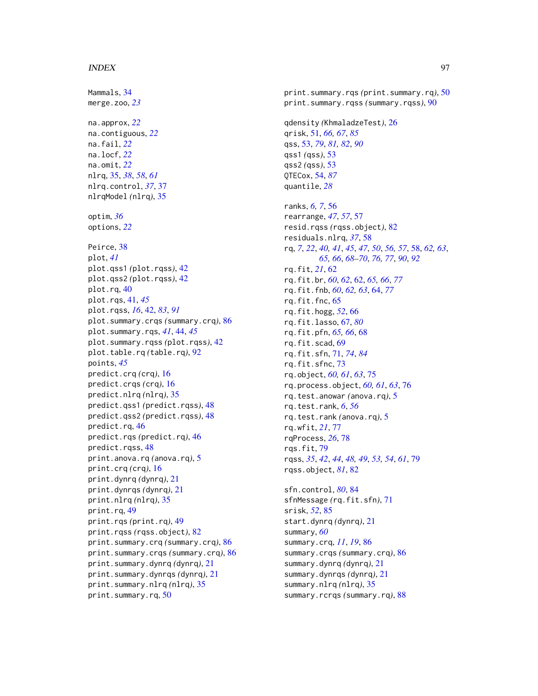#### INDEX  $\sim$  97

Mammals, [34](#page-33-0) merge.zoo, *[23](#page-22-0)* na.approx, *[22](#page-21-0)* na.contiguous, *[22](#page-21-0)* na.fail, *[22](#page-21-0)* na.locf, *[22](#page-21-0)* na.omit, *[22](#page-21-0)* nlrq, [35,](#page-34-0) *[38](#page-37-0)*, *[58](#page-57-1)*, *[61](#page-60-0)* nlrq.control, *[37](#page-36-0)*, [37](#page-36-0) nlrqModel *(*nlrq*)*, [35](#page-34-0) optim, *[36](#page-35-0)* options, *[22](#page-21-0)* Peirce, [38](#page-37-0) plot, *[41](#page-40-0)* plot.qss1 *(*plot.rqss*)*, [42](#page-41-1) plot.qss2 *(*plot.rqss*)*, [42](#page-41-1) plot.rq, [40](#page-39-0) plot.rqs, [41,](#page-40-0) *[45](#page-44-0)* plot.rqss, *[16](#page-15-1)*, [42,](#page-41-1) *[83](#page-82-0)*, *[91](#page-90-0)* plot.summary.crqs *(*summary.crq*)*, [86](#page-85-0) plot.summary.rqs, *[41](#page-40-0)*, [44,](#page-43-0) *[45](#page-44-0)* plot.summary.rqss *(*plot.rqss*)*, [42](#page-41-1) plot.table.rq *(*table.rq*)*, [92](#page-91-0) points, *[45](#page-44-0)* predict.crq *(*crq*)*, [16](#page-15-1) predict.crqs *(*crq*)*, [16](#page-15-1) predict.nlrq *(*nlrq*)*, [35](#page-34-0) predict.qss1 *(*predict.rqss*)*, [48](#page-47-0) predict.qss2 *(*predict.rqss*)*, [48](#page-47-0) predict.rq, [46](#page-45-0) predict.rqs *(*predict.rq*)*, [46](#page-45-0) predict.rqss, [48](#page-47-0) print.anova.rq *(*anova.rq*)*, [5](#page-4-0) print.crq *(*crq*)*, [16](#page-15-1) print.dynrq *(*dynrq*)*, [21](#page-20-0) print.dynrqs *(*dynrq*)*, [21](#page-20-0) print.nlrq *(*nlrq*)*, [35](#page-34-0) print.rq, [49](#page-48-0) print.rqs *(*print.rq*)*, [49](#page-48-0) print.rqss *(*rqss.object*)*, [82](#page-81-1) print.summary.crq *(*summary.crq*)*, [86](#page-85-0) print.summary.crqs *(*summary.crq*)*, [86](#page-85-0) print.summary.dynrq *(*dynrq*)*, [21](#page-20-0) print.summary.dynrqs *(*dynrq*)*, [21](#page-20-0) print.summary.nlrq *(*nlrq*)*, [35](#page-34-0) print.summary.rq, [50](#page-49-0)

print.summary.rqs *(*print.summary.rq*)*, [50](#page-49-0) print.summary.rqss *(*summary.rqss*)*, [90](#page-89-0) qdensity *(*KhmaladzeTest*)*, [26](#page-25-1) qrisk, [51,](#page-50-1) *[66,](#page-65-0) [67](#page-66-1)*, *[85](#page-84-0)* qss, [53,](#page-52-1) *[79](#page-78-0)*, *[81,](#page-80-0) [82](#page-81-1)*, *[90](#page-89-0)* qss1 *(*qss*)*, [53](#page-52-1) qss2 *(*qss*)*, [53](#page-52-1) QTECox, [54,](#page-53-1) *[87](#page-86-0)* quantile, *[28](#page-27-0)* ranks, *[6,](#page-5-0) [7](#page-6-0)*, [56](#page-55-0) rearrange, *[47](#page-46-0)*, *[57](#page-56-0)*, [57](#page-56-0) resid.rqss *(*rqss.object*)*, [82](#page-81-1) residuals.nlrq, *[37](#page-36-0)*, [58](#page-57-1) rq, *[7](#page-6-0)*, *[22](#page-21-0)*, *[40,](#page-39-0) [41](#page-40-0)*, *[45](#page-44-0)*, *[47](#page-46-0)*, *[50](#page-49-0)*, *[56,](#page-55-0) [57](#page-56-0)*, [58,](#page-57-1) *[62,](#page-61-1) [63](#page-62-0)*, *[65,](#page-64-0) [66](#page-65-0)*, *[68](#page-67-0)[–70](#page-69-0)*, *[76,](#page-75-0) [77](#page-76-0)*, *[90](#page-89-0)*, *[92](#page-91-0)* rq.fit, *[21](#page-20-0)*, [62](#page-61-1) rq.fit.br, *[60](#page-59-0)*, *[62](#page-61-1)*, [62,](#page-61-1) *[65,](#page-64-0) [66](#page-65-0)*, *[77](#page-76-0)* rq.fit.fnb, *[60](#page-59-0)*, *[62,](#page-61-1) [63](#page-62-0)*, [64,](#page-63-1) *[77](#page-76-0)* rq.fit.fnc, [65](#page-64-0) rq.fit.hogg, *[52](#page-51-0)*, [66](#page-65-0) rq.fit.lasso, [67,](#page-66-1) *[80](#page-79-0)* rq.fit.pfn, *[65,](#page-64-0) [66](#page-65-0)*, [68](#page-67-0) rq.fit.scad, [69](#page-68-0) rq.fit.sfn, [71,](#page-70-1) *[74](#page-73-0)*, *[84](#page-83-1)* rq.fit.sfnc, [73](#page-72-0) rq.object, *[60,](#page-59-0) [61](#page-60-0)*, *[63](#page-62-0)*, [75](#page-74-0) rq.process.object, *[60,](#page-59-0) [61](#page-60-0)*, *[63](#page-62-0)*, [76](#page-75-0) rq.test.anowar *(*anova.rq*)*, [5](#page-4-0) rq.test.rank, *[6](#page-5-0)*, *[56](#page-55-0)* rq.test.rank *(*anova.rq*)*, [5](#page-4-0) rq.wfit, *[21](#page-20-0)*, [77](#page-76-0) rqProcess, *[26](#page-25-1)*, [78](#page-77-0) rqs.fit, [79](#page-78-0) rqss, *[35](#page-34-0)*, *[42](#page-41-1)*, *[44](#page-43-0)*, *[48,](#page-47-0) [49](#page-48-0)*, *[53,](#page-52-1) [54](#page-53-1)*, *[61](#page-60-0)*, [79](#page-78-0) rqss.object, *[81](#page-80-0)*, [82](#page-81-1) sfn.control, *[80](#page-79-0)*, [84](#page-83-1) sfnMessage *(*rq.fit.sfn*)*, [71](#page-70-1) srisk, *[52](#page-51-0)*, [85](#page-84-0) start.dynrq *(*dynrq*)*, [21](#page-20-0) summary, *[60](#page-59-0)* summary.crq, *[11](#page-10-1)*, *[19](#page-18-0)*, [86](#page-85-0) summary.crqs *(*summary.crq*)*, [86](#page-85-0) summary.dynrq *(*dynrq*)*, [21](#page-20-0) summary.dynrqs *(*dynrq*)*, [21](#page-20-0) summary.nlrq *(*nlrq*)*, [35](#page-34-0) summary.rcrqs *(*summary.rq*)*, [88](#page-87-1)